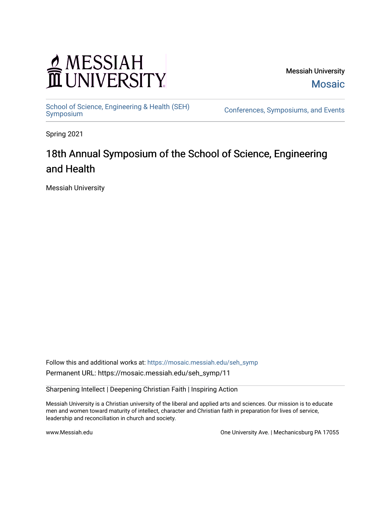# MESSIAH

Messiah University [Mosaic](https://mosaic.messiah.edu/) 

[School of Science, Engineering & Health \(SEH\)](https://mosaic.messiah.edu/seh_symp)<br>Symposium

Conferences, Symposiums, and Events

Spring 2021

# 18th Annual Symposium of the School of Science, Engineering and Health

Messiah University

Follow this and additional works at: [https://mosaic.messiah.edu/seh\\_symp](https://mosaic.messiah.edu/seh_symp?utm_source=mosaic.messiah.edu%2Fseh_symp%2F11&utm_medium=PDF&utm_campaign=PDFCoverPages) Permanent URL: https://mosaic.messiah.edu/seh\_symp/11

Sharpening Intellect | Deepening Christian Faith | Inspiring Action

Messiah University is a Christian university of the liberal and applied arts and sciences. Our mission is to educate men and women toward maturity of intellect, character and Christian faith in preparation for lives of service, leadership and reconciliation in church and society.

www.Messiah.edu **One University Ave. | Mechanicsburg PA 17055**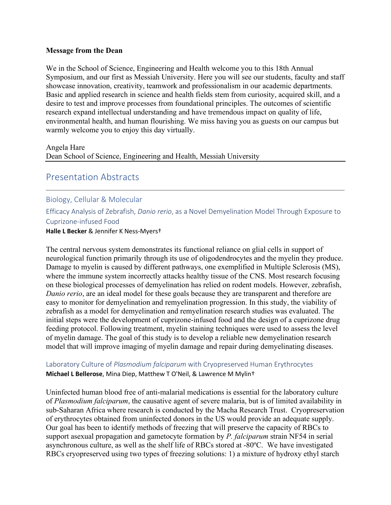## **Message from the Dean**

We in the School of Science, Engineering and Health welcome you to this 18th Annual Symposium, and our first as Messiah University. Here you will see our students, faculty and staff showcase innovation, creativity, teamwork and professionalism in our academic departments. Basic and applied research in science and health fields stem from curiosity, acquired skill, and a desire to test and improve processes from foundational principles. The outcomes of scientific research expand intellectual understanding and have tremendous impact on quality of life, environmental health, and human flourishing. We miss having you as guests on our campus but warmly welcome you to enjoy this day virtually.

#### Angela Hare

Dean School of Science, Engineering and Health, Messiah University

# Presentation Abstracts

# Biology, Cellular & Molecular

Efficacy Analysis of Zebrafish, *Danio rerio*, as a Novel Demyelination Model Through Exposure to Cuprizone-infused Food

#### **Halle L Becker** & Jennifer K Ness-Myers†

The central nervous system demonstrates its functional reliance on glial cells in support of neurological function primarily through its use of oligodendrocytes and the myelin they produce. Damage to myelin is caused by different pathways, one exemplified in Multiple Sclerosis (MS), where the immune system incorrectly attacks healthy tissue of the CNS. Most research focusing on these biological processes of demyelination has relied on rodent models. However, zebrafish, *Danio rerio*, are an ideal model for these goals because they are transparent and therefore are easy to monitor for demyelination and remyelination progression. In this study, the viability of zebrafish as a model for demyelination and remyelination research studies was evaluated. The initial steps were the development of cuprizone-infused food and the design of a cuprizone drug feeding protocol. Following treatment, myelin staining techniques were used to assess the level of myelin damage. The goal of this study is to develop a reliable new demyelination research model that will improve imaging of myelin damage and repair during demyelinating diseases.

# Laboratory Culture of *Plasmodium falciparum* with Cryopreserved Human Erythrocytes **Michael L Bellerose**, Mina Diep, Matthew T O'Neil, & Lawrence M Mylin†

Uninfected human blood free of anti-malarial medications is essential for the laboratory culture of *Plasmodium falciparum*, the causative agent of severe malaria, but is of limited availability in sub-Saharan Africa where research is conducted by the Macha Research Trust. Cryopreservation of erythrocytes obtained from uninfected donors in the US would provide an adequate supply. Our goal has been to identify methods of freezing that will preserve the capacity of RBCs to support asexual propagation and gametocyte formation by *P. falciparum* strain NF54 in serial asynchronous culture, as well as the shelf life of RBCs stored at -80ºC. We have investigated RBCs cryopreserved using two types of freezing solutions: 1) a mixture of hydroxy ethyl starch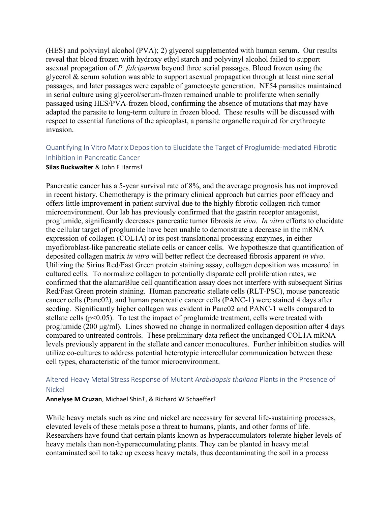(HES) and polyvinyl alcohol (PVA); 2) glycerol supplemented with human serum. Our results reveal that blood frozen with hydroxy ethyl starch and polyvinyl alcohol failed to support asexual propagation of *P. falciparum* beyond three serial passages. Blood frozen using the glycerol & serum solution was able to support asexual propagation through at least nine serial passages, and later passages were capable of gametocyte generation. NF54 parasites maintained in serial culture using glycerol/serum-frozen remained unable to proliferate when serially passaged using HES/PVA-frozen blood, confirming the absence of mutations that may have adapted the parasite to long-term culture in frozen blood. These results will be discussed with respect to essential functions of the apicoplast, a parasite organelle required for erythrocyte invasion.

# Quantifying In Vitro Matrix Deposition to Elucidate the Target of Proglumide-mediated Fibrotic Inhibition in Pancreatic Cancer

#### **Silas Buckwalter** & John F Harms†

Pancreatic cancer has a 5-year survival rate of 8%, and the average prognosis has not improved in recent history. Chemotherapy is the primary clinical approach but carries poor efficacy and offers little improvement in patient survival due to the highly fibrotic collagen-rich tumor microenvironment. Our lab has previously confirmed that the gastrin receptor antagonist, proglumide, significantly decreases pancreatic tumor fibrosis *in vivo*. *In vitro* efforts to elucidate the cellular target of proglumide have been unable to demonstrate a decrease in the mRNA expression of collagen (COL1A) or its post-translational processing enzymes, in either myofibroblast-like pancreatic stellate cells or cancer cells. We hypothesize that quantification of deposited collagen matrix *in vitro* will better reflect the decreased fibrosis apparent *in vivo*. Utilizing the Sirius Red/Fast Green protein staining assay, collagen deposition was measured in cultured cells. To normalize collagen to potentially disparate cell proliferation rates, we confirmed that the alamarBlue cell quantification assay does not interfere with subsequent Sirius Red/Fast Green protein staining. Human pancreatic stellate cells (RLT-PSC), mouse pancreatic cancer cells (Panc02), and human pancreatic cancer cells (PANC-1) were stained 4 days after seeding. Significantly higher collagen was evident in Panc02 and PANC-1 wells compared to stellate cells ( $p<0.05$ ). To test the impact of proglumide treatment, cells were treated with proglumide (200 μg/ml). Lines showed no change in normalized collagen deposition after 4 days compared to untreated controls. These preliminary data reflect the unchanged COL1A mRNA levels previously apparent in the stellate and cancer monocultures. Further inhibition studies will utilize co-cultures to address potential heterotypic intercellular communication between these cell types, characteristic of the tumor microenvironment.

# Altered Heavy Metal Stress Response of Mutant *Arabidopsis thaliana* Plants in the Presence of Nickel

# **Annelyse M Cruzan**, Michael Shin†, & Richard W Schaeffer†

While heavy metals such as zinc and nickel are necessary for several life-sustaining processes, elevated levels of these metals pose a threat to humans, plants, and other forms of life. Researchers have found that certain plants known as hyperaccumulators tolerate higher levels of heavy metals than non-hyperaccumulating plants. They can be planted in heavy metal contaminated soil to take up excess heavy metals, thus decontaminating the soil in a process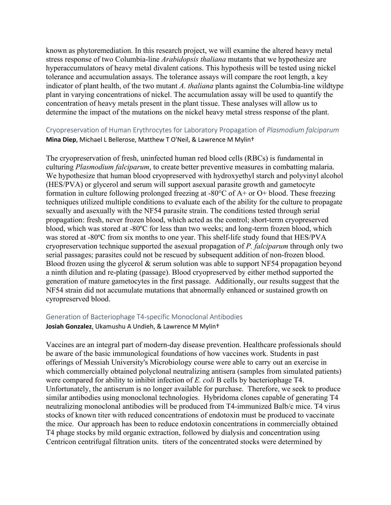known as phytoremediation. In this research project, we will examine the altered heavy metal stress response of two Columbia-line *Arabidopsis thaliana* mutants that we hypothesize are hyperaccumulators of heavy metal divalent cations. This hypothesis will be tested using nickel tolerance and accumulation assays. The tolerance assays will compare the root length, a key indicator of plant health, of the two mutant *A. thaliana* plants against the Columbia-line wildtype plant in varying concentrations of nickel. The accumulation assay will be used to quantify the concentration of heavy metals present in the plant tissue. These analyses will allow us to determine the impact of the mutations on the nickel heavy metal stress response of the plant.

# Cryopreservation of Human Erythrocytes for Laboratory Propagation of *Plasmodium falciparum* **Mina Diep**, Michael L Bellerose, Matthew T O'Neil, & Lawrence M Mylin†

The cryopreservation of fresh, uninfected human red blood cells (RBCs) is fundamental in culturing *Plasmodium falciparum*, to create better preventive measures in combatting malaria. We hypothesize that human blood cryopreserved with hydroxyethyl starch and polyvinyl alcohol (HES/PVA) or glycerol and serum will support asexual parasite growth and gametocyte formation in culture following prolonged freezing at -80°C of A+ or O+ blood. These freezing techniques utilized multiple conditions to evaluate each of the ability for the culture to propagate sexually and asexually with the NF54 parasite strain. The conditions tested through serial propagation: fresh, never frozen blood, which acted as the control; short-term cryopreserved blood, which was stored at -80ºC for less than two weeks; and long-term frozen blood, which was stored at -80ºC from six months to one year. This shelf-life study found that HES/PVA cryopreservation technique supported the asexual propagation of *P. falciparum* through only two serial passages; parasites could not be rescued by subsequent addition of non-frozen blood. Blood frozen using the glycerol  $\&$  serum solution was able to support NF54 propagation beyond a ninth dilution and re-plating (passage). Blood cryopreserved by either method supported the generation of mature gametocytes in the first passage. Additionally, our results suggest that the NF54 strain did not accumulate mutations that abnormally enhanced or sustained growth on cyropreserved blood.

# Generation of Bacteriophage T4-specific Monoclonal Antibodies

# **Josiah Gonzalez**, Ukamushu A Undieh, & Lawrence M Mylin†

Vaccines are an integral part of modern-day disease prevention. Healthcare professionals should be aware of the basic immunological foundations of how vaccines work. Students in past offerings of Messiah University's Microbiology course were able to carry out an exercise in which commercially obtained polyclonal neutralizing antisera (samples from simulated patients) were compared for ability to inhibit infection of *E. coli* B cells by bacteriophage T4. Unfortunately, the antiserum is no longer available for purchase. Therefore, we seek to produce similar antibodies using monoclonal technologies. Hybridoma clones capable of generating T4 neutralizing monoclonal antibodies will be produced from T4-immunized Balb/c mice. T4 virus stocks of known titer with reduced concentrations of endotoxin must be produced to vaccinate the mice. Our approach has been to reduce endotoxin concentrations in commercially obtained T4 phage stocks by mild organic extraction, followed by dialysis and concentration using Centricon centrifugal filtration units. titers of the concentrated stocks were determined by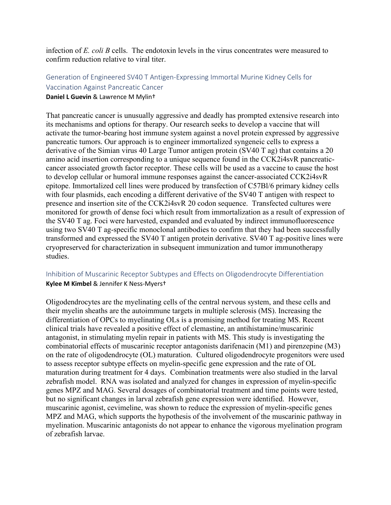infection of *E. coli B* cells. The endotoxin levels in the virus concentrates were measured to confirm reduction relative to viral titer.

# Generation of Engineered SV40 T Antigen-Expressing Immortal Murine Kidney Cells for Vaccination Against Pancreatic Cancer **Daniel L Guevin** & Lawrence M Mylin†

That pancreatic cancer is unusually aggressive and deadly has prompted extensive research into its mechanisms and options for therapy. Our research seeks to develop a vaccine that will activate the tumor-bearing host immune system against a novel protein expressed by aggressive pancreatic tumors. Our approach is to engineer immortalized syngeneic cells to express a derivative of the Simian virus 40 Large Tumor antigen protein (SV40 T ag) that contains a 20 amino acid insertion corresponding to a unique sequence found in the CCK2i4svR pancreaticcancer associated growth factor receptor. These cells will be used as a vaccine to cause the host to develop cellular or humoral immune responses against the cancer-associated CCK2i4svR epitope. Immortalized cell lines were produced by transfection of C57Bl/6 primary kidney cells with four plasmids, each encoding a different derivative of the SV40 T antigen with respect to presence and insertion site of the CCK2i4svR 20 codon sequence. Transfected cultures were

monitored for growth of dense foci which result from immortalization as a result of expression of the SV40 T ag. Foci were harvested, expanded and evaluated by indirect immunofluorescence using two SV40 T ag-specific monoclonal antibodies to confirm that they had been successfully transformed and expressed the SV40 T antigen protein derivative. SV40 T ag-positive lines were cryopreserved for characterization in subsequent immunization and tumor immunotherapy studies.

# Inhibition of Muscarinic Receptor Subtypes and Effects on Oligodendrocyte Differentiation **Kylee M Kimbel** & Jennifer K Ness-Myers†

Oligodendrocytes are the myelinating cells of the central nervous system, and these cells and their myelin sheaths are the autoimmune targets in multiple sclerosis (MS). Increasing the differentiation of OPCs to myelinating OLs is a promising method for treating MS. Recent clinical trials have revealed a positive effect of clemastine, an antihistamine/muscarinic antagonist, in stimulating myelin repair in patients with MS. This study is investigating the combinatorial effects of muscarinic receptor antagonists darifenacin (M1) and pirenzepine (M3) on the rate of oligodendrocyte (OL) maturation. Cultured oligodendrocyte progenitors were used to assess receptor subtype effects on myelin-specific gene expression and the rate of OL maturation during treatment for 4 days. Combination treatments were also studied in the larval zebrafish model. RNA was isolated and analyzed for changes in expression of myelin-specific genes MPZ and MAG. Several dosages of combinatorial treatment and time points were tested, but no significant changes in larval zebrafish gene expression were identified. However, muscarinic agonist, cevimeline, was shown to reduce the expression of myelin-specific genes MPZ and MAG, which supports the hypothesis of the involvement of the muscarinic pathway in myelination. Muscarinic antagonists do not appear to enhance the vigorous myelination program of zebrafish larvae.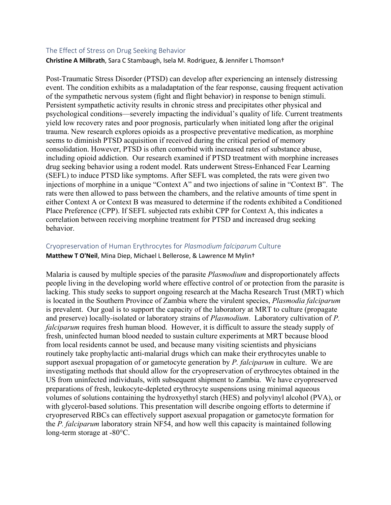#### The Effect of Stress on Drug Seeking Behavior

**Christine A Milbrath**, Sara C Stambaugh, Isela M. Rodriguez, & Jennifer L Thomson†

Post-Traumatic Stress Disorder (PTSD) can develop after experiencing an intensely distressing event. The condition exhibits as a maladaptation of the fear response, causing frequent activation of the sympathetic nervous system (fight and flight behavior) in response to benign stimuli. Persistent sympathetic activity results in chronic stress and precipitates other physical and psychological conditions—severely impacting the individual's quality of life. Current treatments yield low recovery rates and poor prognosis, particularly when initiated long after the original trauma. New research explores opioids as a prospective preventative medication, as morphine seems to diminish PTSD acquisition if received during the critical period of memory consolidation. However, PTSD is often comorbid with increased rates of substance abuse, including opioid addiction. Our research examined if PTSD treatment with morphine increases drug seeking behavior using a rodent model. Rats underwent Stress-Enhanced Fear Learning (SEFL) to induce PTSD like symptoms. After SEFL was completed, the rats were given two injections of morphine in a unique "Context A" and two injections of saline in "Context B". The rats were then allowed to pass between the chambers, and the relative amounts of time spent in either Context A or Context B was measured to determine if the rodents exhibited a Conditioned Place Preference (CPP). If SEFL subjected rats exhibit CPP for Context A, this indicates a correlation between receiving morphine treatment for PTSD and increased drug seeking behavior.

# Cryopreservation of Human Erythrocytes for *Plasmodium falciparum* Culture **Matthew T O'Neil**, Mina Diep, Michael L Bellerose, & Lawrence M Mylin†

Malaria is caused by multiple species of the parasite *Plasmodium* and disproportionately affects people living in the developing world where effective control of or protection from the parasite is lacking. This study seeks to support ongoing research at the Macha Research Trust (MRT) which is located in the Southern Province of Zambia where the virulent species, *Plasmodia falciparum*  is prevalent. Our goal is to support the capacity of the laboratory at MRT to culture (propagate and preserve) locally-isolated or laboratory strains of *Plasmodium*. Laboratory cultivation of *P. falciparum* requires fresh human blood. However, it is difficult to assure the steady supply of fresh, uninfected human blood needed to sustain culture experiments at MRT because blood from local residents cannot be used, and because many visiting scientists and physicians routinely take prophylactic anti-malarial drugs which can make their erythrocytes unable to support asexual propagation of or gametocyte generation by *P. falciparum* in culture. We are investigating methods that should allow for the cryopreservation of erythrocytes obtained in the US from uninfected individuals, with subsequent shipment to Zambia. We have cryopreserved preparations of fresh, leukocyte-depleted erythrocyte suspensions using minimal aqueous volumes of solutions containing the hydroxyethyl starch (HES) and polyvinyl alcohol (PVA), or with glycerol-based solutions. This presentation will describe ongoing efforts to determine if cryopreserved RBCs can effectively support asexual propagation or gametocyte formation for the *P. falciparum* laboratory strain NF54, and how well this capacity is maintained following long-term storage at -80°C.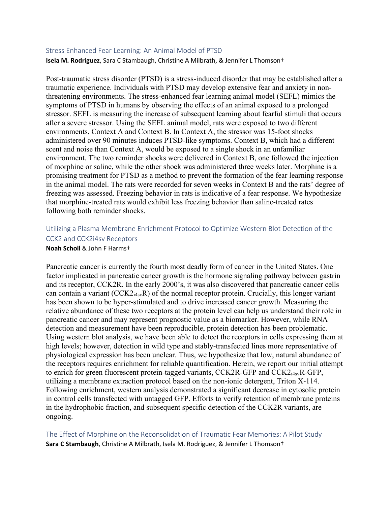#### Stress Enhanced Fear Learning: An Animal Model of PTSD

**Isela M. Rodriguez**, Sara C Stambaugh, Christine A Milbrath, & Jennifer L Thomson†

Post-traumatic stress disorder (PTSD) is a stress-induced disorder that may be established after a traumatic experience. Individuals with PTSD may develop extensive fear and anxiety in nonthreatening environments. The stress-enhanced fear learning animal model (SEFL) mimics the symptoms of PTSD in humans by observing the effects of an animal exposed to a prolonged stressor. SEFL is measuring the increase of subsequent learning about fearful stimuli that occurs after a severe stressor. Using the SEFL animal model, rats were exposed to two different environments, Context A and Context B. In Context A, the stressor was 15-foot shocks administered over 90 minutes induces PTSD-like symptoms. Context B, which had a different scent and noise than Context A, would be exposed to a single shock in an unfamiliar environment. The two reminder shocks were delivered in Context B, one followed the injection of morphine or saline, while the other shock was administered three weeks later. Morphine is a promising treatment for PTSD as a method to prevent the formation of the fear learning response in the animal model. The rats were recorded for seven weeks in Context B and the rats' degree of freezing was assessed. Freezing behavior in rats is indicative of a fear response. We hypothesize that morphine-treated rats would exhibit less freezing behavior than saline-treated rates following both reminder shocks.

# Utilizing a Plasma Membrane Enrichment Protocol to Optimize Western Blot Detection of the CCK2 and CCK2i4sv Receptors

#### **Noah Scholl** & John F Harms†

Pancreatic cancer is currently the fourth most deadly form of cancer in the United States. One factor implicated in pancreatic cancer growth is the hormone signaling pathway between gastrin and its receptor, CCK2R. In the early 2000's, it was also discovered that pancreatic cancer cells can contain a variant (CCK2i4svR) of the normal receptor protein. Crucially, this longer variant has been shown to be hyper-stimulated and to drive increased cancer growth. Measuring the relative abundance of these two receptors at the protein level can help us understand their role in pancreatic cancer and may represent prognostic value as a biomarker. However, while RNA detection and measurement have been reproducible, protein detection has been problematic. Using western blot analysis, we have been able to detect the receptors in cells expressing them at high levels; however, detection in wild type and stably-transfected lines more representative of physiological expression has been unclear. Thus, we hypothesize that low, natural abundance of the receptors requires enrichment for reliable quantification. Herein, we report our initial attempt to enrich for green fluorescent protein-tagged variants, CCK2R-GFP and CCK2<sub>i4sv</sub>R-GFP, utilizing a membrane extraction protocol based on the non-ionic detergent, Triton X-114. Following enrichment, western analysis demonstrated a significant decrease in cytosolic protein in control cells transfected with untagged GFP. Efforts to verify retention of membrane proteins in the hydrophobic fraction, and subsequent specific detection of the CCK2R variants, are ongoing.

The Effect of Morphine on the Reconsolidation of Traumatic Fear Memories: A Pilot Study **Sara C Stambaugh**, Christine A Milbrath, Isela M. Rodriguez, & Jennifer L Thomson†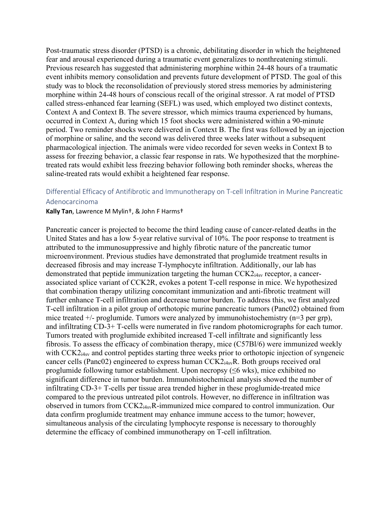Post-traumatic stress disorder (PTSD) is a chronic, debilitating disorder in which the heightened fear and arousal experienced during a traumatic event generalizes to nonthreatening stimuli. Previous research has suggested that administering morphine within 24-48 hours of a traumatic event inhibits memory consolidation and prevents future development of PTSD. The goal of this study was to block the reconsolidation of previously stored stress memories by administering morphine within 24-48 hours of conscious recall of the original stressor. A rat model of PTSD called stress-enhanced fear learning (SEFL) was used, which employed two distinct contexts, Context A and Context B. The severe stressor, which mimics trauma experienced by humans, occurred in Context A, during which 15 foot shocks were administered within a 90-minute period. Two reminder shocks were delivered in Context B. The first was followed by an injection of morphine or saline, and the second was delivered three weeks later without a subsequent pharmacological injection. The animals were video recorded for seven weeks in Context B to assess for freezing behavior, a classic fear response in rats. We hypothesized that the morphinetreated rats would exhibit less freezing behavior following both reminder shocks, whereas the saline-treated rats would exhibit a heightened fear response.

# Differential Efficacy of Antifibrotic and Immunotherapy on T-cell Infiltration in Murine Pancreatic Adenocarcinoma

#### **Kally Tan**, Lawrence M Mylin†, & John F Harms†

Pancreatic cancer is projected to become the third leading cause of cancer-related deaths in the United States and has a low 5-year relative survival of 10%. The poor response to treatment is attributed to the immunosuppressive and highly fibrotic nature of the pancreatic tumor microenvironment. Previous studies have demonstrated that proglumide treatment results in decreased fibrosis and may increase T-lymphocyte infiltration. Additionally, our lab has demonstrated that peptide immunization targeting the human  $CCK2<sub>14sv</sub>$  receptor, a cancerassociated splice variant of CCK2R, evokes a potent T-cell response in mice. We hypothesized that combination therapy utilizing concomitant immunization and anti-fibrotic treatment will further enhance T-cell infiltration and decrease tumor burden. To address this, we first analyzed T-cell infiltration in a pilot group of orthotopic murine pancreatic tumors (Panc02) obtained from mice treated  $+/-$  proglumide. Tumors were analyzed by immunohistochemistry (n=3 per grp), and infiltrating CD-3+ T-cells were numerated in five random photomicrographs for each tumor. Tumors treated with proglumide exhibited increased T-cell infiltrate and significantly less fibrosis. To assess the efficacy of combination therapy, mice (C57Bl/6) were immunized weekly with CCK2<sub>i4sv</sub> and control peptides starting three weeks prior to orthotopic injection of syngeneic cancer cells (Panc02) engineered to express human CCK2<sub>i4sv</sub>R. Both groups received oral proglumide following tumor establishment. Upon necropsy (≤6 wks), mice exhibited no significant difference in tumor burden. Immunohistochemical analysis showed the number of infiltrating CD-3+ T-cells per tissue area trended higher in these proglumide-treated mice compared to the previous untreated pilot controls. However, no difference in infiltration was observed in tumors from CCK2i4svR-immunized mice compared to control immunization. Our data confirm proglumide treatment may enhance immune access to the tumor; however, simultaneous analysis of the circulating lymphocyte response is necessary to thoroughly determine the efficacy of combined immunotherapy on T-cell infiltration.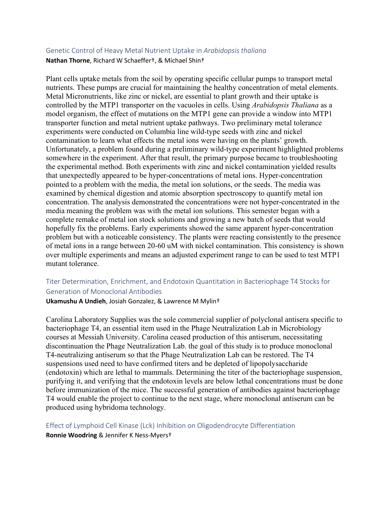# Genetic Control of Heavy Metal Nutrient Uptake in *Arabidopsis thaliana*

**Nathan Thorne**, Richard W Schaeffer†, & Michael Shin†

Plant cells uptake metals from the soil by operating specific cellular pumps to transport metal nutrients. These pumps are crucial for maintaining the healthy concentration of metal elements. Metal Micronutrients, like zinc or nickel, are essential to plant growth and their uptake is controlled by the MTP1 transporter on the vacuoles in cells. Using *Arabidopsis Thaliana* as a model organism, the effect of mutations on the MTP1 gene can provide a window into MTP1 transporter function and metal nutrient uptake pathways. Two preliminary metal tolerance experiments were conducted on Columbia line wild-type seeds with zinc and nickel contamination to learn what effects the metal ions were having on the plants' growth. Unfortunately, a problem found during a preliminary wild-type experiment highlighted problems somewhere in the experiment. After that result, the primary purpose became to troubleshooting the experimental method. Both experiments with zinc and nickel contamination yielded results that unexpectedly appeared to be hyper-concentrations of metal ions. Hyper-concentration pointed to a problem with the media, the metal ion solutions, or the seeds. The media was examined by chemical digestion and atomic absorption spectroscopy to quantify metal ion concentration. The analysis demonstrated the concentrations were not hyper-concentrated in the media meaning the problem was with the metal ion solutions. This semester began with a complete remake of metal ion stock solutions and growing a new batch of seeds that would hopefully fix the problems. Early experiments showed the same apparent hyper-concentration problem but with a noticeable consistency. The plants were reacting consistently to the presence of metal ions in a range between 20-60 uM with nickel contamination. This consistency is shown over multiple experiments and means an adjusted experiment range to can be used to test MTP1 mutant tolerance.

# Titer Determination, Enrichment, and Endotoxin Quantitation in Bacteriophage T4 Stocks for Generation of Monoclonal Antibodies

**Ukamushu A Undieh**, Josiah Gonzalez, & Lawrence M Mylin†

Carolina Laboratory Supplies was the sole commercial supplier of polyclonal antisera specific to bacteriophage T4, an essential item used in the Phage Neutralization Lab in Microbiology courses at Messiah University. Carolina ceased production of this antiserum, necessitating discontinuation the Phage Neutralization Lab. the goal of this study is to produce monoclonal T4-neutralizing antiserum so that the Phage Neutralization Lab can be restored. The T4 suspensions used need to have confirmed titers and be depleted of lipopolysaccharide (endotoxin) which are lethal to mammals. Determining the titer of the bacteriophage suspension, purifying it, and verifying that the endotoxin levels are below lethal concentrations must be done before immunization of the mice. The successful generation of antibodies against bacteriophage T4 would enable the project to continue to the next stage, where monoclonal antiserum can be produced using hybridoma technology.

Effect of Lymphoid Cell Kinase (Lck) Inhibition on Oligodendrocyte Differentiation **Ronnie Woodring** & Jennifer K Ness-Myers†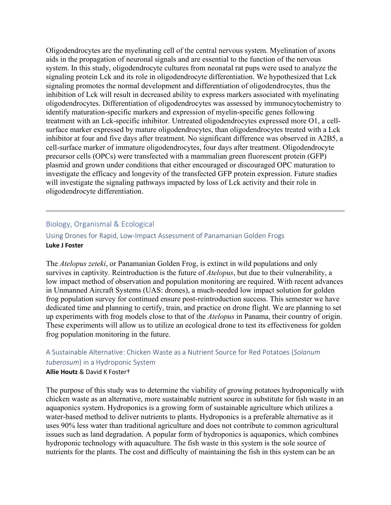Oligodendrocytes are the myelinating cell of the central nervous system. Myelination of axons aids in the propagation of neuronal signals and are essential to the function of the nervous system. In this study, oligodendrocyte cultures from neonatal rat pups were used to analyze the signaling protein Lck and its role in oligodendrocyte differentiation. We hypothesized that Lck signaling promotes the normal development and differentiation of oligodendrocytes, thus the inhibition of Lck will result in decreased ability to express markers associated with myelinating oligodendrocytes. Differentiation of oligodendrocytes was assessed by immunocytochemistry to identify maturation-specific markers and expression of myelin-specific genes following treatment with an Lck-specific inhibitor. Untreated oligodendrocytes expressed more O1, a cellsurface marker expressed by mature oligodendrocytes, than oligodendrocytes treated with a Lck inhibitor at four and five days after treatment. No significant difference was observed in A2B5, a cell-surface marker of immature oligodendrocytes, four days after treatment. Oligodendrocyte precursor cells (OPCs) were transfected with a mammalian green fluorescent protein (GFP) plasmid and grown under conditions that either encouraged or discouraged OPC maturation to investigate the efficacy and longevity of the transfected GFP protein expression. Future studies will investigate the signaling pathways impacted by loss of Lck activity and their role in oligodendrocyte differentiation.

# Biology, Organismal & Ecological

Using Drones for Rapid, Low-Impact Assessment of Panamanian Golden Frogs **Luke J Foster**

The *Atelopus zeteki*, or Panamanian Golden Frog, is extinct in wild populations and only survives in captivity. Reintroduction is the future of *Atelopus*, but due to their vulnerability, a low impact method of observation and population monitoring are required. With recent advances in Unmanned Aircraft Systems (UAS: drones), a much-needed low impact solution for golden frog population survey for continued ensure post-reintroduction success. This semester we have dedicated time and planning to certify, train, and practice on drone flight. We are planning to set up experiments with frog models close to that of the *Atelopus* in Panama, their country of origin. These experiments will allow us to utilize an ecological drone to test its effectiveness for golden frog population monitoring in the future.

# A Sustainable Alternative: Chicken Waste as a Nutrient Source for Red Potatoes (*Solanum tuberosum*) in a Hydroponic System **Allie Houtz** & David K Foster†

The purpose of this study was to determine the viability of growing potatoes hydroponically with chicken waste as an alternative, more sustainable nutrient source in substitute for fish waste in an aquaponics system. Hydroponics is a growing form of sustainable agriculture which utilizes a water-based method to deliver nutrients to plants. Hydroponics is a preferable alternative as it uses 90% less water than traditional agriculture and does not contribute to common agricultural issues such as land degradation. A popular form of hydroponics is aquaponics, which combines hydroponic technology with aquaculture. The fish waste in this system is the sole source of nutrients for the plants. The cost and difficulty of maintaining the fish in this system can be an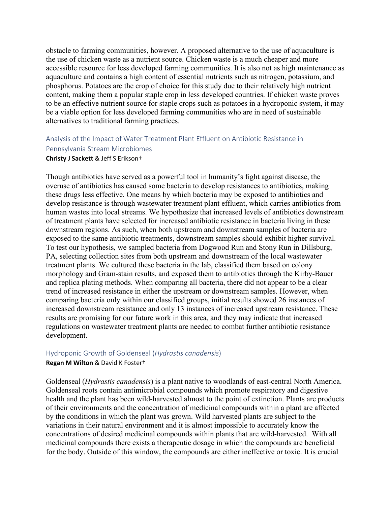obstacle to farming communities, however. A proposed alternative to the use of aquaculture is the use of chicken waste as a nutrient source. Chicken waste is a much cheaper and more accessible resource for less developed farming communities. It is also not as high maintenance as aquaculture and contains a high content of essential nutrients such as nitrogen, potassium, and phosphorus. Potatoes are the crop of choice for this study due to their relatively high nutrient content, making them a popular staple crop in less developed countries. If chicken waste proves to be an effective nutrient source for staple crops such as potatoes in a hydroponic system, it may be a viable option for less developed farming communities who are in need of sustainable alternatives to traditional farming practices.

# Analysis of the Impact of Water Treatment Plant Effluent on Antibiotic Resistance in Pennsylvania Stream Microbiomes

#### **Christy J Sackett** & Jeff S Erikson†

Though antibiotics have served as a powerful tool in humanity's fight against disease, the overuse of antibiotics has caused some bacteria to develop resistances to antibiotics, making these drugs less effective. One means by which bacteria may be exposed to antibiotics and develop resistance is through wastewater treatment plant effluent, which carries antibiotics from human wastes into local streams. We hypothesize that increased levels of antibiotics downstream of treatment plants have selected for increased antibiotic resistance in bacteria living in these downstream regions. As such, when both upstream and downstream samples of bacteria are exposed to the same antibiotic treatments, downstream samples should exhibit higher survival. To test our hypothesis, we sampled bacteria from Dogwood Run and Stony Run in Dillsburg, PA, selecting collection sites from both upstream and downstream of the local wastewater treatment plants. We cultured these bacteria in the lab, classified them based on colony morphology and Gram-stain results, and exposed them to antibiotics through the Kirby-Bauer and replica plating methods. When comparing all bacteria, there did not appear to be a clear trend of increased resistance in either the upstream or downstream samples. However, when comparing bacteria only within our classified groups, initial results showed 26 instances of increased downstream resistance and only 13 instances of increased upstream resistance. These results are promising for our future work in this area, and they may indicate that increased regulations on wastewater treatment plants are needed to combat further antibiotic resistance development.

#### Hydroponic Growth of Goldenseal (*Hydrastis canadensis*)

#### **Regan M Wilton** & David K Foster†

Goldenseal (*Hydrastis canadensis*) is a plant native to woodlands of east-central North America. Goldenseal roots contain antimicrobial compounds which promote respiratory and digestive health and the plant has been wild-harvested almost to the point of extinction. Plants are products of their environments and the concentration of medicinal compounds within a plant are affected by the conditions in which the plant was grown. Wild harvested plants are subject to the variations in their natural environment and it is almost impossible to accurately know the concentrations of desired medicinal compounds within plants that are wild-harvested. With all medicinal compounds there exists a therapeutic dosage in which the compounds are beneficial for the body. Outside of this window, the compounds are either ineffective or toxic. It is crucial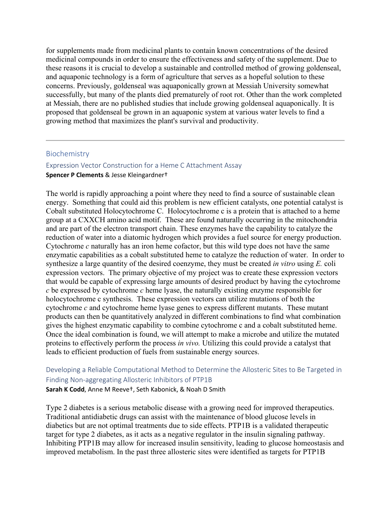for supplements made from medicinal plants to contain known concentrations of the desired medicinal compounds in order to ensure the effectiveness and safety of the supplement. Due to these reasons it is crucial to develop a sustainable and controlled method of growing goldenseal, and aquaponic technology is a form of agriculture that serves as a hopeful solution to these concerns. Previously, goldenseal was aquaponically grown at Messiah University somewhat successfully, but many of the plants died prematurely of root rot. Other than the work completed at Messiah, there are no published studies that include growing goldenseal aquaponically. It is proposed that goldenseal be grown in an aquaponic system at various water levels to find a growing method that maximizes the plant's survival and productivity.

#### Biochemistry

# Expression Vector Construction for a Heme C Attachment Assay **Spencer P Clements** & Jesse Kleingardner†

The world is rapidly approaching a point where they need to find a source of sustainable clean energy. Something that could aid this problem is new efficient catalysts, one potential catalyst is Cobalt substituted Holocytochrome C. Holocytochrome c is a protein that is attached to a heme group at a CXXCH amino acid motif. These are found naturally occurring in the mitochondria and are part of the electron transport chain. These enzymes have the capability to catalyze the reduction of water into a diatomic hydrogen which provides a fuel source for energy production. Cytochrome *c* naturally has an iron heme cofactor, but this wild type does not have the same enzymatic capabilities as a cobalt substituted heme to catalyze the reduction of water. In order to synthesize a large quantity of the desired coenzyme, they must be created *in vitro* using *E.* coli expression vectors. The primary objective of my project was to create these expression vectors that would be capable of expressing large amounts of desired product by having the cytochrome *c* be expressed by cytochrome *c* heme lyase, the naturally existing enzyme responsible for holocytochrome c synthesis. These expression vectors can utilize mutations of both the cytochrome *c* and cytochrome heme lyase genes to express different mutants. These mutant products can then be quantitatively analyzed in different combinations to find what combination gives the highest enzymatic capability to combine cytochrome c and a cobalt substituted heme. Once the ideal combination is found, we will attempt to make a microbe and utilize the mutated proteins to effectively perform the process *in vivo.* Utilizing this could provide a catalyst that leads to efficient production of fuels from sustainable energy sources.

# Developing a Reliable Computational Method to Determine the Allosteric Sites to Be Targeted in Finding Non-aggregating Allosteric Inhibitors of PTP1B

**Sarah K Codd**, Anne M Reeve†, Seth Kabonick, & Noah D Smith

Type 2 diabetes is a serious metabolic disease with a growing need for improved therapeutics. Traditional antidiabetic drugs can assist with the maintenance of blood glucose levels in diabetics but are not optimal treatments due to side effects. PTP1B is a validated therapeutic target for type 2 diabetes, as it acts as a negative regulator in the insulin signaling pathway. Inhibiting PTP1B may allow for increased insulin sensitivity, leading to glucose homeostasis and improved metabolism. In the past three allosteric sites were identified as targets for PTP1B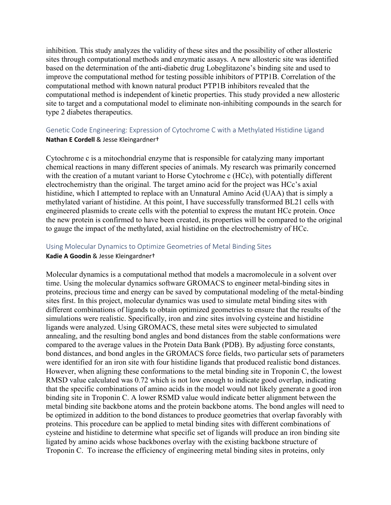inhibition. This study analyzes the validity of these sites and the possibility of other allosteric sites through computational methods and enzymatic assays. A new allosteric site was identified based on the determination of the anti-diabetic drug Lobeglitazone's binding site and used to improve the computational method for testing possible inhibitors of PTP1B. Correlation of the computational method with known natural product PTP1B inhibitors revealed that the computational method is independent of kinetic properties. This study provided a new allosteric site to target and a computational model to eliminate non-inhibiting compounds in the search for type 2 diabetes therapeutics.

# Genetic Code Engineering: Expression of Cytochrome C with a Methylated Histidine Ligand **Nathan E Cordell** & Jesse Kleingardner†

Cytochrome c is a mitochondrial enzyme that is responsible for catalyzing many important chemical reactions in many different species of animals. My research was primarily concerned with the creation of a mutant variant to Horse Cytochrome c (HCc), with potentially different electrochemistry than the original. The target amino acid for the project was HCc's axial histidine, which I attempted to replace with an Unnatural Amino Acid (UAA) that is simply a methylated variant of histidine. At this point, I have successfully transformed BL21 cells with engineered plasmids to create cells with the potential to express the mutant HCc protein. Once the new protein is confirmed to have been created, its properties will be compared to the original to gauge the impact of the methylated, axial histidine on the electrochemistry of HCc.

# Using Molecular Dynamics to Optimize Geometries of Metal Binding Sites **Kadie A Goodin** & Jesse Kleingardner†

Molecular dynamics is a computational method that models a macromolecule in a solvent over time. Using the molecular dynamics software GROMACS to engineer metal-binding sites in proteins, precious time and energy can be saved by computational modeling of the metal-binding sites first. In this project, molecular dynamics was used to simulate metal binding sites with different combinations of ligands to obtain optimized geometries to ensure that the results of the simulations were realistic. Specifically, iron and zinc sites involving cysteine and histidine ligands were analyzed. Using GROMACS, these metal sites were subjected to simulated annealing, and the resulting bond angles and bond distances from the stable conformations were compared to the average values in the Protein Data Bank (PDB). By adjusting force constants, bond distances, and bond angles in the GROMACS force fields, two particular sets of parameters were identified for an iron site with four histidine ligands that produced realistic bond distances. However, when aligning these conformations to the metal binding site in Troponin C, the lowest RMSD value calculated was 0.72 which is not low enough to indicate good overlap, indicating that the specific combinations of amino acids in the model would not likely generate a good iron binding site in Troponin C. A lower RSMD value would indicate better alignment between the metal binding site backbone atoms and the protein backbone atoms. The bond angles will need to be optimized in addition to the bond distances to produce geometries that overlap favorably with proteins. This procedure can be applied to metal binding sites with different combinations of cysteine and histidine to determine what specific set of ligands will produce an iron binding site ligated by amino acids whose backbones overlay with the existing backbone structure of Troponin C. To increase the efficiency of engineering metal binding sites in proteins, only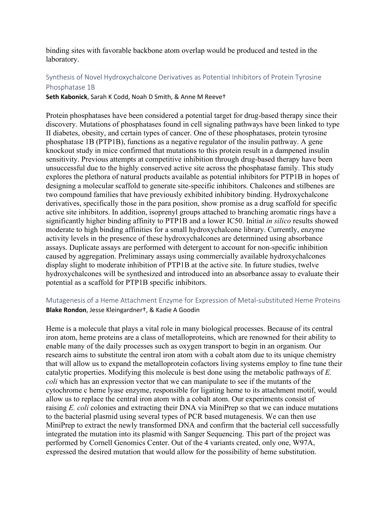binding sites with favorable backbone atom overlap would be produced and tested in the laboratory.

# Synthesis of Novel Hydroxychalcone Derivatives as Potential Inhibitors of Protein Tyrosine Phosphatase 1B

**Seth Kabonick**, Sarah K Codd, Noah D Smith, & Anne M Reeve†

Protein phosphatases have been considered a potential target for drug-based therapy since their discovery. Mutations of phosphatases found in cell signaling pathways have been linked to type II diabetes, obesity, and certain types of cancer. One of these phosphatases, protein tyrosine phosphatase 1B (PTP1B), functions as a negative regulator of the insulin pathway. A gene knockout study in mice confirmed that mutations to this protein result in a dampened insulin sensitivity. Previous attempts at competitive inhibition through drug-based therapy have been unsuccessful due to the highly conserved active site across the phosphatase family. This study explores the plethora of natural products available as potential inhibitors for PTP1B in hopes of designing a molecular scaffold to generate site-specific inhibitors. Chalcones and stilbenes are two compound families that have previously exhibited inhibitory binding. Hydroxychalcone derivatives, specifically those in the para position, show promise as a drug scaffold for specific active site inhibitors. In addition, isoprenyl groups attached to branching aromatic rings have a significantly higher binding affinity to PTP1B and a lower IC50. Initial *in silico* results showed moderate to high binding affinities for a small hydroxychalcone library. Currently, enzyme activity levels in the presence of these hydroxychalcones are determined using absorbance assays. Duplicate assays are performed with detergent to account for non-specific inhibition caused by aggregation. Preliminary assays using commercially available hydroxychalcones display slight to moderate inhibition of PTP1B at the active site. In future studies, twelve hydroxychalcones will be synthesized and introduced into an absorbance assay to evaluate their potential as a scaffold for PTP1B specific inhibitors.

# Mutagenesis of a Heme Attachment Enzyme for Expression of Metal-substituted Heme Proteins **Blake Rondon**, Jesse Kleingardner†, & Kadie A Goodin

Heme is a molecule that plays a vital role in many biological processes. Because of its central iron atom, heme proteins are a class of metalloproteins, which are renowned for their ability to enable many of the daily processes such as oxygen transport to begin in an organism. Our research aims to substitute the central iron atom with a cobalt atom due to its unique chemistry that will allow us to expand the metalloprotein cofactors living systems employ to fine tune their catalytic properties. Modifying this molecule is best done using the metabolic pathways of *E. coli* which has an expression vector that we can manipulate to see if the mutants of the cytochrome c heme lyase enzyme, responsible for ligating heme to its attachment motif, would allow us to replace the central iron atom with a cobalt atom. Our experiments consist of raising *E. coli* colonies and extracting their DNA via MiniPrep so that we can induce mutations to the bacterial plasmid using several types of PCR based mutagenesis. We can then use MiniPrep to extract the newly transformed DNA and confirm that the bacterial cell successfully integrated the mutation into its plasmid with Sanger Sequencing. This part of the project was performed by Cornell Genomics Center. Out of the 4 variants created, only one, W97A, expressed the desired mutation that would allow for the possibility of heme substitution.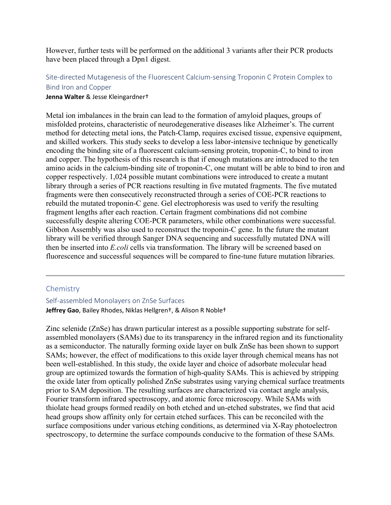However, further tests will be performed on the additional 3 variants after their PCR products have been placed through a Dpn1 digest.

# Site-directed Mutagenesis of the Fluorescent Calcium-sensing Troponin C Protein Complex to Bind Iron and Copper

#### **Jenna Walter** & Jesse Kleingardner†

Metal ion imbalances in the brain can lead to the formation of amyloid plaques, groups of misfolded proteins, characteristic of neurodegenerative diseases like Alzheimer's. The current method for detecting metal ions, the Patch-Clamp, requires excised tissue, expensive equipment, and skilled workers. This study seeks to develop a less labor-intensive technique by genetically encoding the binding site of a fluorescent calcium-sensing protein, troponin-C, to bind to iron and copper. The hypothesis of this research is that if enough mutations are introduced to the ten amino acids in the calcium-binding site of troponin-C, one mutant will be able to bind to iron and copper respectively. 1,024 possible mutant combinations were introduced to create a mutant library through a series of PCR reactions resulting in five mutated fragments. The five mutated fragments were then consecutively reconstructed through a series of COE-PCR reactions to rebuild the mutated troponin-C gene. Gel electrophoresis was used to verify the resulting fragment lengths after each reaction. Certain fragment combinations did not combine successfully despite altering COE-PCR parameters, while other combinations were successful. Gibbon Assembly was also used to reconstruct the troponin-C gene. In the future the mutant library will be verified through Sanger DNA sequencing and successfully mutated DNA will then be inserted into *E.coli* cells via transformation. The library will be screened based on fluorescence and successful sequences will be compared to fine-tune future mutation libraries.

#### **Chemistry**

# Self-assembled Monolayers on ZnSe Surfaces **Jeffrey Gao**, Bailey Rhodes, Niklas Hellgren†, & Alison R Noble†

Zinc selenide (ZnSe) has drawn particular interest as a possible supporting substrate for selfassembled monolayers (SAMs) due to its transparency in the infrared region and its functionality as a semiconductor. The naturally forming oxide layer on bulk ZnSe has been shown to support SAMs; however, the effect of modifications to this oxide layer through chemical means has not been well-established. In this study, the oxide layer and choice of adsorbate molecular head group are optimized towards the formation of high-quality SAMs. This is achieved by stripping the oxide later from optically polished ZnSe substrates using varying chemical surface treatments prior to SAM deposition. The resulting surfaces are characterized via contact angle analysis, Fourier transform infrared spectroscopy, and atomic force microscopy. While SAMs with thiolate head groups formed readily on both etched and un-etched substrates, we find that acid head groups show affinity only for certain etched surfaces. This can be reconciled with the surface compositions under various etching conditions, as determined via X-Ray photoelectron spectroscopy, to determine the surface compounds conducive to the formation of these SAMs.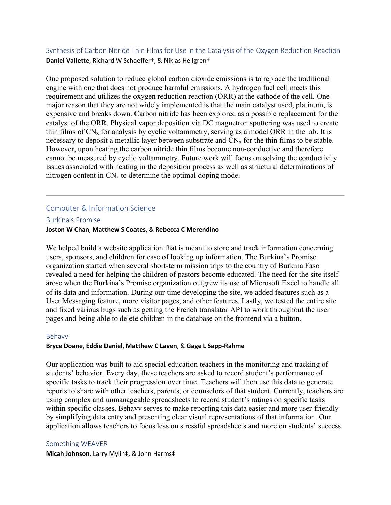Synthesis of Carbon Nitride Thin Films for Use in the Catalysis of the Oxygen Reduction Reaction **Daniel Vallette**, Richard W Schaeffer†, & Niklas Hellgren†

One proposed solution to reduce global carbon dioxide emissions is to replace the traditional engine with one that does not produce harmful emissions. A hydrogen fuel cell meets this requirement and utilizes the oxygen reduction reaction (ORR) at the cathode of the cell. One major reason that they are not widely implemented is that the main catalyst used, platinum, is expensive and breaks down. Carbon nitride has been explored as a possible replacement for the catalyst of the ORR. Physical vapor deposition via DC magnetron sputtering was used to create thin films of  $CN_x$  for analysis by cyclic voltammetry, serving as a model ORR in the lab. It is necessary to deposit a metallic layer between substrate and  $CN_x$  for the thin films to be stable. However, upon heating the carbon nitride thin films become non-conductive and therefore cannot be measured by cyclic voltammetry. Future work will focus on solving the conductivity issues associated with heating in the deposition process as well as structural determinations of nitrogen content in  $CN_x$  to determine the optimal doping mode.

# Computer & Information Science

Burkina's Promise

#### **Joston W Chan**, **Matthew S Coates**, & **Rebecca C Merendino**

We helped build a website application that is meant to store and track information concerning users, sponsors, and children for ease of looking up information. The Burkina's Promise organization started when several short-term mission trips to the country of Burkina Faso revealed a need for helping the children of pastors become educated. The need for the site itself arose when the Burkina's Promise organization outgrew its use of Microsoft Excel to handle all of its data and information. During our time developing the site, we added features such as a User Messaging feature, more visitor pages, and other features. Lastly, we tested the entire site and fixed various bugs such as getting the French translator API to work throughout the user pages and being able to delete children in the database on the frontend via a button.

#### Behavv

#### **Bryce Doane**, **Eddie Daniel**, **Matthew C Laven**, & **Gage L Sapp-Rahme**

Our application was built to aid special education teachers in the monitoring and tracking of students' behavior. Every day, these teachers are asked to record student's performance of specific tasks to track their progression over time. Teachers will then use this data to generate reports to share with other teachers, parents, or counselors of that student. Currently, teachers are using complex and unmanageable spreadsheets to record student's ratings on specific tasks within specific classes. Behavv serves to make reporting this data easier and more user-friendly by simplifying data entry and presenting clear visual representations of that information. Our application allows teachers to focus less on stressful spreadsheets and more on students' success.

#### Something WEAVER

**Micah Johnson**, Larry Mylin‡, & John Harms‡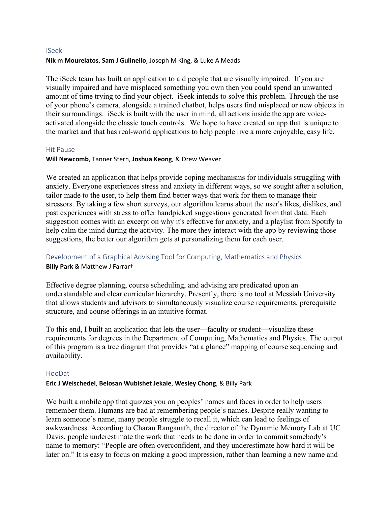#### ISeek **Nik m Mourelatos**, **Sam J Gulinello**, Joseph M King, & Luke A Meads

The iSeek team has built an application to aid people that are visually impaired. If you are visually impaired and have misplaced something you own then you could spend an unwanted amount of time trying to find your object. iSeek intends to solve this problem. Through the use of your phone's camera, alongside a trained chatbot, helps users find misplaced or new objects in their surroundings. iSeek is built with the user in mind, all actions inside the app are voiceactivated alongside the classic touch controls. We hope to have created an app that is unique to the market and that has real-world applications to help people live a more enjoyable, easy life.

#### Hit Pause

# **Will Newcomb**, Tanner Stern, **Joshua Keong**, & Drew Weaver

We created an application that helps provide coping mechanisms for individuals struggling with anxiety. Everyone experiences stress and anxiety in different ways, so we sought after a solution, tailor made to the user, to help them find better ways that work for them to manage their stressors. By taking a few short surveys, our algorithm learns about the user's likes, dislikes, and past experiences with stress to offer handpicked suggestions generated from that data. Each suggestion comes with an excerpt on why it's effective for anxiety, and a playlist from Spotify to help calm the mind during the activity. The more they interact with the app by reviewing those suggestions, the better our algorithm gets at personalizing them for each user.

# Development of a Graphical Advising Tool for Computing, Mathematics and Physics **Billy Park** & Matthew J Farrar†

Effective degree planning, course scheduling, and advising are predicated upon an understandable and clear curricular hierarchy. Presently, there is no tool at Messiah University that allows students and advisors to simultaneously visualize course requirements, prerequisite structure, and course offerings in an intuitive format.

To this end, I built an application that lets the user—faculty or student—visualize these requirements for degrees in the Department of Computing, Mathematics and Physics. The output of this program is a tree diagram that provides "at a glance" mapping of course sequencing and availability.

#### HooDat

#### **Eric J Weischedel**, **Belosan Wubishet Jekale**, **Wesley Chong**, & Billy Park

We built a mobile app that quizzes you on peoples' names and faces in order to help users remember them. Humans are bad at remembering people's names. Despite really wanting to learn someone's name, many people struggle to recall it, which can lead to feelings of awkwardness. According to Charan Ranganath, the director of the Dynamic Memory Lab at UC Davis, people underestimate the work that needs to be done in order to commit somebody's name to memory: "People are often overconfident, and they underestimate how hard it will be later on." It is easy to focus on making a good impression, rather than learning a new name and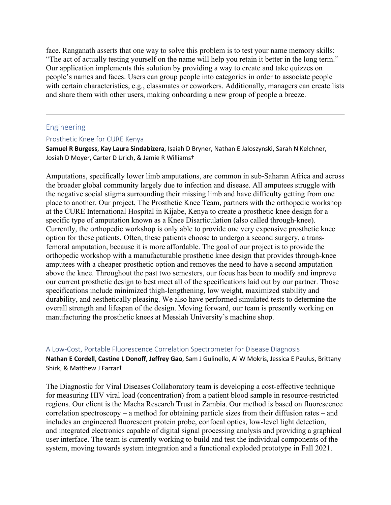face. Ranganath asserts that one way to solve this problem is to test your name memory skills: "The act of actually testing yourself on the name will help you retain it better in the long term." Our application implements this solution by providing a way to create and take quizzes on people's names and faces. Users can group people into categories in order to associate people with certain characteristics, e.g., classmates or coworkers. Additionally, managers can create lists and share them with other users, making onboarding a new group of people a breeze.

#### Engineering

#### Prosthetic Knee for CURE Kenya

**Samuel R Burgess**, **Kay Laura Sindabizera**, Isaiah D Bryner, Nathan E Jaloszynski, Sarah N Kelchner, Josiah D Moyer, Carter D Urich, & Jamie R Williams†

Amputations, specifically lower limb amputations, are common in sub-Saharan Africa and across the broader global community largely due to infection and disease. All amputees struggle with the negative social stigma surrounding their missing limb and have difficulty getting from one place to another. Our project, The Prosthetic Knee Team, partners with the orthopedic workshop at the CURE International Hospital in Kijabe, Kenya to create a prosthetic knee design for a specific type of amputation known as a Knee Disarticulation (also called through-knee). Currently, the orthopedic workshop is only able to provide one very expensive prosthetic knee option for these patients. Often, these patients choose to undergo a second surgery, a transfemoral amputation, because it is more affordable. The goal of our project is to provide the orthopedic workshop with a manufacturable prosthetic knee design that provides through-knee amputees with a cheaper prosthetic option and removes the need to have a second amputation above the knee. Throughout the past two semesters, our focus has been to modify and improve our current prosthetic design to best meet all of the specifications laid out by our partner. Those specifications include minimized thigh-lengthening, low weight, maximized stability and durability, and aesthetically pleasing. We also have performed simulated tests to determine the overall strength and lifespan of the design. Moving forward, our team is presently working on manufacturing the prosthetic knees at Messiah University's machine shop.

#### A Low-Cost, Portable Fluorescence Correlation Spectrometer for Disease Diagnosis

**Nathan E Cordell**, **Castine L Donoff**, **Jeffrey Gao**, Sam J Gulinello, Al W Mokris, Jessica E Paulus, Brittany Shirk, & Matthew J Farrar†

The Diagnostic for Viral Diseases Collaboratory team is developing a cost-effective technique for measuring HIV viral load (concentration) from a patient blood sample in resource-restricted regions. Our client is the Macha Research Trust in Zambia. Our method is based on fluorescence correlation spectroscopy – a method for obtaining particle sizes from their diffusion rates – and includes an engineered fluorescent protein probe, confocal optics, low-level light detection, and integrated electronics capable of digital signal processing analysis and providing a graphical user interface. The team is currently working to build and test the individual components of the system, moving towards system integration and a functional exploded prototype in Fall 2021.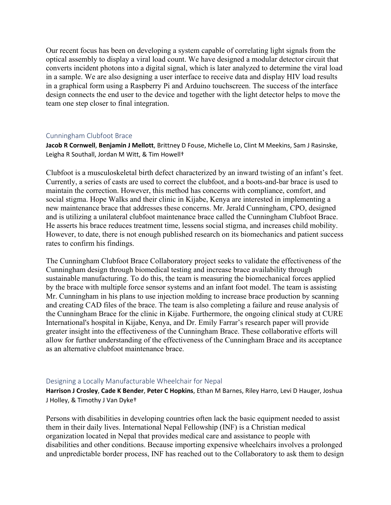Our recent focus has been on developing a system capable of correlating light signals from the optical assembly to display a viral load count. We have designed a modular detector circuit that converts incident photons into a digital signal, which is later analyzed to determine the viral load in a sample. We are also designing a user interface to receive data and display HIV load results in a graphical form using a Raspberry Pi and Arduino touchscreen. The success of the interface design connects the end user to the device and together with the light detector helps to move the team one step closer to final integration.

#### Cunningham Clubfoot Brace

**Jacob R Cornwell**, **Benjamin J Mellott**, Brittney D Fouse, Michelle Lo, Clint M Meekins, Sam J Rasinske, Leigha R Southall, Jordan M Witt, & Tim Howell†

Clubfoot is a musculoskeletal birth defect characterized by an inward twisting of an infant's feet. Currently, a series of casts are used to correct the clubfoot, and a boots-and-bar brace is used to maintain the correction. However, this method has concerns with compliance, comfort, and social stigma. Hope Walks and their clinic in Kijabe, Kenya are interested in implementing a new maintenance brace that addresses these concerns. Mr. Jerald Cunningham, CPO, designed and is utilizing a unilateral clubfoot maintenance brace called the Cunningham Clubfoot Brace. He asserts his brace reduces treatment time, lessens social stigma, and increases child mobility. However, to date, there is not enough published research on its biomechanics and patient success rates to confirm his findings.

The Cunningham Clubfoot Brace Collaboratory project seeks to validate the effectiveness of the Cunningham design through biomedical testing and increase brace availability through sustainable manufacturing. To do this, the team is measuring the biomechanical forces applied by the brace with multiple force sensor systems and an infant foot model. The team is assisting Mr. Cunningham in his plans to use injection molding to increase brace production by scanning and creating CAD files of the brace. The team is also completing a failure and reuse analysis of the Cunningham Brace for the clinic in Kijabe. Furthermore, the ongoing clinical study at CURE International's hospital in Kijabe, Kenya, and Dr. Emily Farrar's research paper will provide greater insight into the effectiveness of the Cunningham Brace. These collaborative efforts will allow for further understanding of the effectiveness of the Cunningham Brace and its acceptance as an alternative clubfoot maintenance brace.

#### Designing a Locally Manufacturable Wheelchair for Nepal

**Harrison J Crosley**, **Cade K Bender**, **Peter C Hopkins**, Ethan M Barnes, Riley Harro, Levi D Hauger, Joshua J Holley, & Timothy J Van Dyke†

Persons with disabilities in developing countries often lack the basic equipment needed to assist them in their daily lives. International Nepal Fellowship (INF) is a Christian medical organization located in Nepal that provides medical care and assistance to people with disabilities and other conditions. Because importing expensive wheelchairs involves a prolonged and unpredictable border process, INF has reached out to the Collaboratory to ask them to design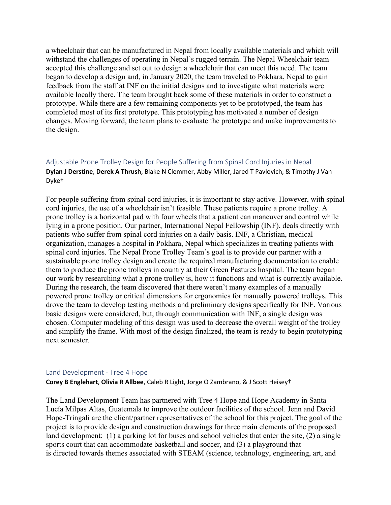a wheelchair that can be manufactured in Nepal from locally available materials and which will withstand the challenges of operating in Nepal's rugged terrain. The Nepal Wheelchair team accepted this challenge and set out to design a wheelchair that can meet this need. The team began to develop a design and, in January 2020, the team traveled to Pokhara, Nepal to gain feedback from the staff at INF on the initial designs and to investigate what materials were available locally there. The team brought back some of these materials in order to construct a prototype. While there are a few remaining components yet to be prototyped, the team has completed most of its first prototype. This prototyping has motivated a number of design changes. Moving forward, the team plans to evaluate the prototype and make improvements to the design.

# Adjustable Prone Trolley Design for People Suffering from Spinal Cord Injuries in Nepal **Dylan J Derstine**, **Derek A Thrush**, Blake N Clemmer, Abby Miller, Jared T Pavlovich, & Timothy J Van Dyke†

For people suffering from spinal cord injuries, it is important to stay active. However, with spinal cord injuries, the use of a wheelchair isn't feasible. These patients require a prone trolley. A prone trolley is a horizontal pad with four wheels that a patient can maneuver and control while lying in a prone position. Our partner, International Nepal Fellowship (INF), deals directly with patients who suffer from spinal cord injuries on a daily basis. INF, a Christian, medical organization, manages a hospital in Pokhara, Nepal which specializes in treating patients with spinal cord injuries. The Nepal Prone Trolley Team's goal is to provide our partner with a sustainable prone trolley design and create the required manufacturing documentation to enable them to produce the prone trolleys in country at their Green Pastures hospital. The team began our work by researching what a prone trolley is, how it functions and what is currently available. During the research, the team discovered that there weren't many examples of a manually powered prone trolley or critical dimensions for ergonomics for manually powered trolleys. This drove the team to develop testing methods and preliminary designs specifically for INF. Various basic designs were considered, but, through communication with INF, a single design was chosen. Computer modeling of this design was used to decrease the overall weight of the trolley and simplify the frame. With most of the design finalized, the team is ready to begin prototyping next semester.

#### Land Development - Tree 4 Hope

**Corey B Englehart**, **Olivia R Allbee**, Caleb R Light, Jorge O Zambrano, & J Scott Heisey†

The Land Development Team has partnered with Tree 4 Hope and Hope Academy in Santa Lucía Milpas Altas, Guatemala to improve the outdoor facilities of the school. Jenn and David Hope-Tringali are the client/partner representatives of the school for this project. The goal of the project is to provide design and construction drawings for three main elements of the proposed land development: (1) a parking lot for buses and school vehicles that enter the site, (2) a single sports court that can accommodate basketball and soccer, and (3) a playground that is directed towards themes associated with STEAM (science, technology, engineering, art, and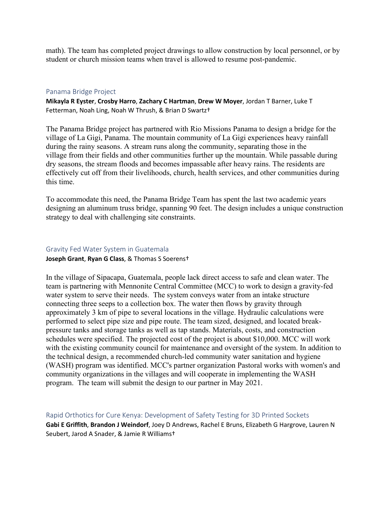math). The team has completed project drawings to allow construction by local personnel, or by student or church mission teams when travel is allowed to resume post-pandemic.

#### Panama Bridge Project

**Mikayla R Eyster**, **Crosby Harro**, **Zachary C Hartman**, **Drew W Moyer**, Jordan T Barner, Luke T Fetterman, Noah Ling, Noah W Thrush, & Brian D Swartz†

The Panama Bridge project has partnered with Rio Missions Panama to design a bridge for the village of La Gigi, Panama. The mountain community of La Gigi experiences heavy rainfall during the rainy seasons. A stream runs along the community, separating those in the village from their fields and other communities further up the mountain. While passable during dry seasons, the stream floods and becomes impassable after heavy rains. The residents are effectively cut off from their livelihoods, church, health services, and other communities during this time.

To accommodate this need, the Panama Bridge Team has spent the last two academic years designing an aluminum truss bridge, spanning 90 feet. The design includes a unique construction strategy to deal with challenging site constraints.

# Gravity Fed Water System in Guatemala

**Joseph Grant**, **Ryan G Class**, & Thomas S Soerens†

In the village of Sipacapa, Guatemala, people lack direct access to safe and clean water. The team is partnering with Mennonite Central Committee (MCC) to work to design a gravity-fed water system to serve their needs. The system conveys water from an intake structure connecting three seeps to a collection box. The water then flows by gravity through approximately 3 km of pipe to several locations in the village. Hydraulic calculations were performed to select pipe size and pipe route. The team sized, designed, and located breakpressure tanks and storage tanks as well as tap stands. Materials, costs, and construction schedules were specified. The projected cost of the project is about \$10,000. MCC will work with the existing community council for maintenance and oversight of the system. In addition to the technical design, a recommended church-led community water sanitation and hygiene (WASH) program was identified. MCC's partner organization Pastoral works with women's and community organizations in the villages and will cooperate in implementing the WASH program. The team will submit the design to our partner in May 2021.

Rapid Orthotics for Cure Kenya: Development of Safety Testing for 3D Printed Sockets **Gabi E Griffith**, **Brandon J Weindorf**, Joey D Andrews, Rachel E Bruns, Elizabeth G Hargrove, Lauren N Seubert, Jarod A Snader, & Jamie R Williams†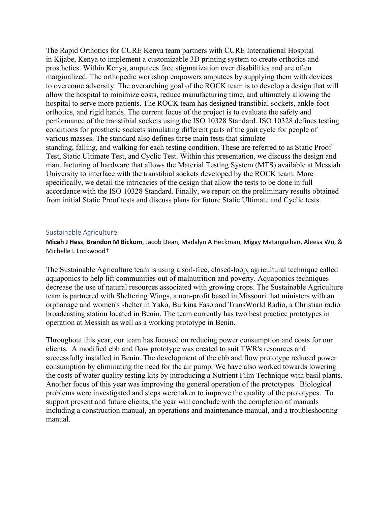The Rapid Orthotics for CURE Kenya team partners with CURE International Hospital in Kijabe, Kenya to implement a customizable 3D printing system to create orthotics and prosthetics. Within Kenya, amputees face stigmatization over disabilities and are often marginalized. The orthopedic workshop empowers amputees by supplying them with devices to overcome adversity. The overarching goal of the ROCK team is to develop a design that will allow the hospital to minimize costs, reduce manufacturing time, and ultimately allowing the hospital to serve more patients. The ROCK team has designed transtibial sockets, ankle-foot orthotics, and rigid hands. The current focus of the project is to evaluate the safety and performance of the transtibial sockets using the ISO 10328 Standard. ISO 10328 defines testing conditions for prosthetic sockets simulating different parts of the gait cycle for people of various masses. The standard also defines three main tests that simulate standing, falling, and walking for each testing condition. These are referred to as Static Proof Test, Static Ultimate Test, and Cyclic Test. Within this presentation, we discuss the design and manufacturing of hardware that allows the Material Testing System (MTS) available at Messiah University to interface with the transtibial sockets developed by the ROCK team. More specifically, we detail the intricacies of the design that allow the tests to be done in full accordance with the ISO 10328 Standard. Finally, we report on the preliminary results obtained from initial Static Proof tests and discuss plans for future Static Ultimate and Cyclic tests.

#### Sustainable Agriculture

**Micah J Hess**, **Brandon M Bickom**, Jacob Dean, Madalyn A Heckman, Miggy Matanguihan, Aleesa Wu, & Michelle L Lockwood†

The Sustainable Agriculture team is using a soil-free, closed-loop, agricultural technique called aquaponics to help lift communities out of malnutrition and poverty. Aquaponics techniques decrease the use of natural resources associated with growing crops. The Sustainable Agriculture team is partnered with Sheltering Wings, a non-profit based in Missouri that ministers with an orphanage and women's shelter in Yako, Burkina Faso and TransWorld Radio, a Christian radio broadcasting station located in Benin. The team currently has two best practice prototypes in operation at Messiah as well as a working prototype in Benin.

Throughout this year, our team has focused on reducing power consumption and costs for our clients. A modified ebb and flow prototype was created to suit TWR's resources and successfully installed in Benin. The development of the ebb and flow prototype reduced power consumption by eliminating the need for the air pump. We have also worked towards lowering the costs of water quality testing kits by introducing a Nutrient Film Technique with basil plants. Another focus of this year was improving the general operation of the prototypes. Biological problems were investigated and steps were taken to improve the quality of the prototypes. To support present and future clients, the year will conclude with the completion of manuals including a construction manual, an operations and maintenance manual, and a troubleshooting manual.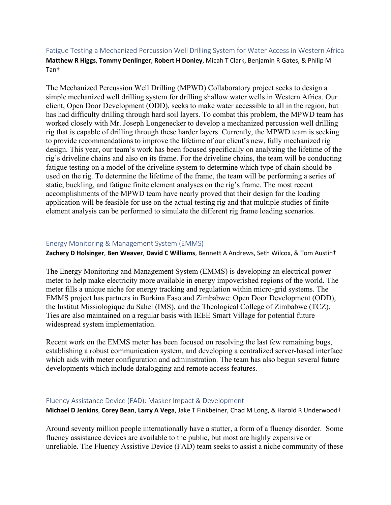# Fatigue Testing a Mechanized Percussion Well Drilling System for Water Access in Western Africa **Matthew R Higgs**, **Tommy Denlinger**, **Robert H Donley**, Micah T Clark, Benjamin R Gates, & Philip M Tan†

The Mechanized Percussion Well Drilling (MPWD) Collaboratory project seeks to design a simple mechanized well drilling system for drilling shallow water wells in Western Africa. Our client, Open Door Development (ODD), seeks to make water accessible to all in the region, but has had difficulty drilling through hard soil layers. To combat this problem, the MPWD team has worked closely with Mr. Joseph Longenecker to develop a mechanized percussion well drilling rig that is capable of drilling through these harder layers. Currently, the MPWD team is seeking to provide recommendations to improve the lifetime of our client's new, fully mechanized rig design. This year, our team's work has been focused specifically on analyzing the lifetime of the rig's driveline chains and also on its frame. For the driveline chains, the team will be conducting fatigue testing on a model of the driveline system to determine which type of chain should be used on the rig. To determine the lifetime of the frame, the team will be performing a series of static, buckling, and fatigue finite element analyses on the rig's frame. The most recent accomplishments of the MPWD team have nearly proved that their design for the loading application will be feasible for use on the actual testing rig and that multiple studies of finite element analysis can be performed to simulate the different rig frame loading scenarios.

#### Energy Monitoring & Management System (EMMS)

**Zachery D Holsinger**, **Ben Weaver**, **David C Williams**, Bennett A Andrews, Seth Wilcox, & Tom Austin†

The Energy Monitoring and Management System (EMMS) is developing an electrical power meter to help make electricity more available in energy impoverished regions of the world. The meter fills a unique niche for energy tracking and regulation within micro-grid systems. The EMMS project has partners in Burkina Faso and Zimbabwe: Open Door Development (ODD), the Institut Missiologique du Sahel (IMS), and the Theological College of Zimbabwe (TCZ). Ties are also maintained on a regular basis with IEEE Smart Village for potential future widespread system implementation.

Recent work on the EMMS meter has been focused on resolving the last few remaining bugs, establishing a robust communication system, and developing a centralized server-based interface which aids with meter configuration and administration. The team has also begun several future developments which include datalogging and remote access features.

#### Fluency Assistance Device (FAD): Masker Impact & Development

**Michael D Jenkins**, **Corey Bean**, **Larry A Vega**, Jake T Finkbeiner, Chad M Long, & Harold R Underwood†

Around seventy million people internationally have a stutter, a form of a fluency disorder. Some fluency assistance devices are available to the public, but most are highly expensive or unreliable. The Fluency Assistive Device (FAD) team seeks to assist a niche community of these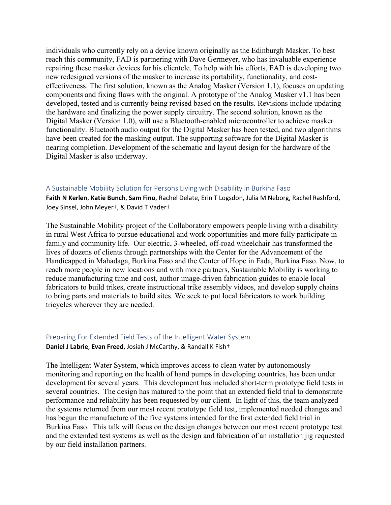individuals who currently rely on a device known originally as the Edinburgh Masker. To best reach this community, FAD is partnering with Dave Germeyer, who has invaluable experience repairing these masker devices for his clientele. To help with his efforts, FAD is developing two new redesigned versions of the masker to increase its portability, functionality, and costeffectiveness. The first solution, known as the Analog Masker (Version 1.1), focuses on updating components and fixing flaws with the original. A prototype of the Analog Masker v1.1 has been developed, tested and is currently being revised based on the results. Revisions include updating the hardware and finalizing the power supply circuitry. The second solution, known as the Digital Masker (Version 1.0), will use a Bluetooth-enabled microcontroller to achieve masker functionality. Bluetooth audio output for the Digital Masker has been tested, and two algorithms have been created for the masking output. The supporting software for the Digital Masker is nearing completion. Development of the schematic and layout design for the hardware of the Digital Masker is also underway.

#### A Sustainable Mobility Solution for Persons Living with Disability in Burkina Faso

**Faith N Kerlen**, **Katie Bunch**, **Sam Fino**, Rachel Delate, Erin T Logsdon, Julia M Neborg, Rachel Rashford, Joey Sinsel, John Meyer†, & David T Vader†

The Sustainable Mobility project of the Collaboratory empowers people living with a disability in rural West Africa to pursue educational and work opportunities and more fully participate in family and community life. Our electric, 3-wheeled, off-road wheelchair has transformed the lives of dozens of clients through partnerships with the Center for the Advancement of the Handicapped in Mahadaga, Burkina Faso and the Center of Hope in Fada, Burkina Faso. Now, to reach more people in new locations and with more partners, Sustainable Mobility is working to reduce manufacturing time and cost, author image-driven fabrication guides to enable local fabricators to build trikes, create instructional trike assembly videos, and develop supply chains to bring parts and materials to build sites. We seek to put local fabricators to work building tricycles wherever they are needed.

# Preparing For Extended Field Tests of the Intelligent Water System

#### **Daniel J Labrie**, **Evan Freed**, Josiah J McCarthy, & Randall K Fish†

The Intelligent Water System, which improves access to clean water by autonomously monitoring and reporting on the health of hand pumps in developing countries, has been under development for several years. This development has included short-term prototype field tests in several countries. The design has matured to the point that an extended field trial to demonstrate performance and reliability has been requested by our client. In light of this, the team analyzed the systems returned from our most recent prototype field test, implemented needed changes and has begun the manufacture of the five systems intended for the first extended field trial in Burkina Faso. This talk will focus on the design changes between our most recent prototype test and the extended test systems as well as the design and fabrication of an installation jig requested by our field installation partners.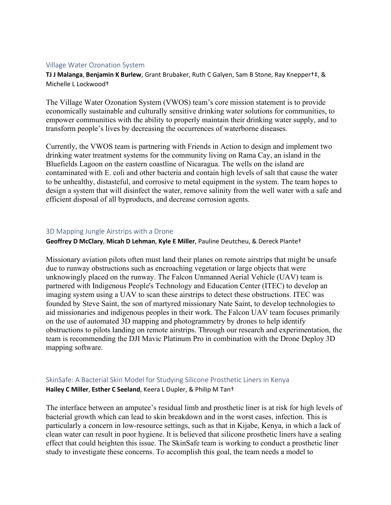#### Village Water Ozonation System

**TJ J Malanga**, **Benjamin K Burlew**, Grant Brubaker, Ruth C Galyen, Sam B Stone, Ray Knepper†‡, & Michelle L Lockwood†

The Village Water Ozonation System (VWOS) team's core mission statement is to provide economically sustainable and culturally sensitive drinking water solutions for communities, to empower communities with the ability to properly maintain their drinking water supply, and to transform people's lives by decreasing the occurrences of waterborne diseases.

Currently, the VWOS team is partnering with Friends in Action to design and implement two drinking water treatment systems for the community living on Rama Cay, an island in the Bluefields Lagoon on the eastern coastline of Nicaragua. The wells on the island are contaminated with E. coli and other bacteria and contain high levels of salt that cause the water to be unhealthy, distasteful, and corrosive to metal equipment in the system. The team hopes to design a system that will disinfect the water, remove salinity from the well water with a safe and efficient disposal of all byproducts, and decrease corrosion agents.

#### 3D Mapping Jungle Airstrips with a Drone

**Geoffrey D McClary**, **Micah D Lehman**, **Kyle E Miller**, Pauline Deutcheu, & Dereck Plante†

Missionary aviation pilots often must land their planes on remote airstrips that might be unsafe due to runway obstructions such as encroaching vegetation or large objects that were unknowingly placed on the runway. The Falcon Unmanned Aerial Vehicle (UAV) team is partnered with Indigenous People's Technology and Education Center (ITEC) to develop an imaging system using a UAV to scan these airstrips to detect these obstructions. ITEC was founded by Steve Saint, the son of martyred missionary Nate Saint, to develop technologies to aid missionaries and indigenous peoples in their work. The Falcon UAV team focuses primarily on the use of automated 3D mapping and photogrammetry by drones to help identify obstructions to pilots landing on remote airstrips. Through our research and experimentation, the team is recommending the DJI Mavic Platinum Pro in combination with the Drone Deploy 3D mapping software.

# SkinSafe: A Bacterial Skin Model for Studying Silicone Prosthetic Liners in Kenya **Hailey C Miller**, **Esther C Seeland**, Keera L Dupler, & Philip M Tan†

The interface between an amputee's residual limb and prosthetic liner is at risk for high levels of bacterial growth which can lead to skin breakdown and in the worst cases, infection. This is particularly a concern in low-resource settings, such as that in Kijabe, Kenya, in which a lack of clean water can result in poor hygiene. It is believed that silicone prosthetic liners have a sealing effect that could heighten this issue. The SkinSafe team is working to conduct a prosthetic liner study to investigate these concerns. To accomplish this goal, the team needs a model to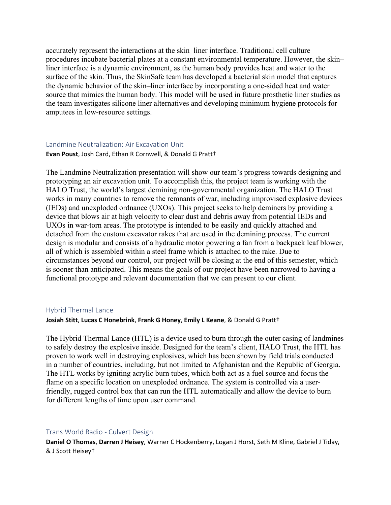accurately represent the interactions at the skin–liner interface. Traditional cell culture procedures incubate bacterial plates at a constant environmental temperature. However, the skin– liner interface is a dynamic environment, as the human body provides heat and water to the surface of the skin. Thus, the SkinSafe team has developed a bacterial skin model that captures the dynamic behavior of the skin–liner interface by incorporating a one-sided heat and water source that mimics the human body. This model will be used in future prosthetic liner studies as the team investigates silicone liner alternatives and developing minimum hygiene protocols for amputees in low-resource settings.

#### Landmine Neutralization: Air Excavation Unit

#### **Evan Poust**, Josh Card, Ethan R Cornwell, & Donald G Pratt†

The Landmine Neutralization presentation will show our team's progress towards designing and prototyping an air excavation unit. To accomplish this, the project team is working with the HALO Trust, the world's largest demining non-governmental organization. The HALO Trust works in many countries to remove the remnants of war, including improvised explosive devices (IEDs) and unexploded ordnance (UXOs). This project seeks to help deminers by providing a device that blows air at high velocity to clear dust and debris away from potential IEDs and UXOs in war-torn areas. The prototype is intended to be easily and quickly attached and detached from the custom excavator rakes that are used in the demining process. The current design is modular and consists of a hydraulic motor powering a fan from a backpack leaf blower, all of which is assembled within a steel frame which is attached to the rake. Due to circumstances beyond our control, our project will be closing at the end of this semester, which is sooner than anticipated. This means the goals of our project have been narrowed to having a functional prototype and relevant documentation that we can present to our client.

#### Hybrid Thermal Lance

#### **Josiah Stitt**, **Lucas C Honebrink**, **Frank G Honey**, **Emily L Keane**, & Donald G Pratt†

The Hybrid Thermal Lance (HTL) is a device used to burn through the outer casing of landmines to safely destroy the explosive inside. Designed for the team's client, HALO Trust, the HTL has proven to work well in destroying explosives, which has been shown by field trials conducted in a number of countries, including, but not limited to Afghanistan and the Republic of Georgia. The HTL works by igniting acrylic burn tubes, which both act as a fuel source and focus the flame on a specific location on unexploded ordnance. The system is controlled via a userfriendly, rugged control box that can run the HTL automatically and allow the device to burn for different lengths of time upon user command.

#### Trans World Radio - Culvert Design

**Daniel O Thomas**, **Darren J Heisey**, Warner C Hockenberry, Logan J Horst, Seth M Kline, Gabriel J Tiday, & J Scott Heisey†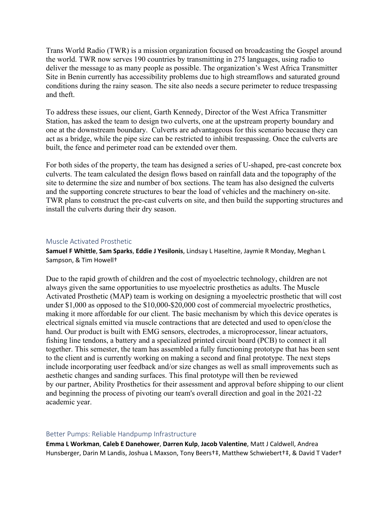Trans World Radio (TWR) is a mission organization focused on broadcasting the Gospel around the world. TWR now serves 190 countries by transmitting in 275 languages, using radio to deliver the message to as many people as possible. The organization's West Africa Transmitter Site in Benin currently has accessibility problems due to high streamflows and saturated ground conditions during the rainy season. The site also needs a secure perimeter to reduce trespassing and theft.

To address these issues, our client, Garth Kennedy, Director of the West Africa Transmitter Station, has asked the team to design two culverts, one at the upstream property boundary and one at the downstream boundary. Culverts are advantageous for this scenario because they can act as a bridge, while the pipe size can be restricted to inhibit trespassing. Once the culverts are built, the fence and perimeter road can be extended over them.

For both sides of the property, the team has designed a series of U-shaped, pre-cast concrete box culverts. The team calculated the design flows based on rainfall data and the topography of the site to determine the size and number of box sections. The team has also designed the culverts and the supporting concrete structures to bear the load of vehicles and the machinery on-site. TWR plans to construct the pre-cast culverts on site, and then build the supporting structures and install the culverts during their dry season.

#### Muscle Activated Prosthetic

**Samuel F Whittle**, **Sam Sparks**, **Eddie J Yesilonis**, Lindsay L Haseltine, Jaymie R Monday, Meghan L Sampson, & Tim Howell†

Due to the rapid growth of children and the cost of myoelectric technology, children are not always given the same opportunities to use myoelectric prosthetics as adults. The Muscle Activated Prosthetic (MAP) team is working on designing a myoelectric prosthetic that will cost under \$1,000 as opposed to the \$10,000-\$20,000 cost of commercial myoelectric prosthetics, making it more affordable for our client. The basic mechanism by which this device operates is electrical signals emitted via muscle contractions that are detected and used to open/close the hand. Our product is built with EMG sensors, electrodes, a microprocessor, linear actuators, fishing line tendons, a battery and a specialized printed circuit board (PCB) to connect it all together. This semester, the team has assembled a fully functioning prototype that has been sent to the client and is currently working on making a second and final prototype. The next steps include incorporating user feedback and/or size changes as well as small improvements such as aesthetic changes and sanding surfaces. This final prototype will then be reviewed by our partner, Ability Prosthetics for their assessment and approval before shipping to our client and beginning the process of pivoting our team's overall direction and goal in the 2021-22 academic year.

#### Better Pumps: Reliable Handpump Infrastructure

**Emma L Workman**, **Caleb E Danehower**, **Darren Kulp**, **Jacob Valentine**, Matt J Caldwell, Andrea Hunsberger, Darin M Landis, Joshua L Maxson, Tony Beers†‡, Matthew Schwiebert†‡, & David T Vader†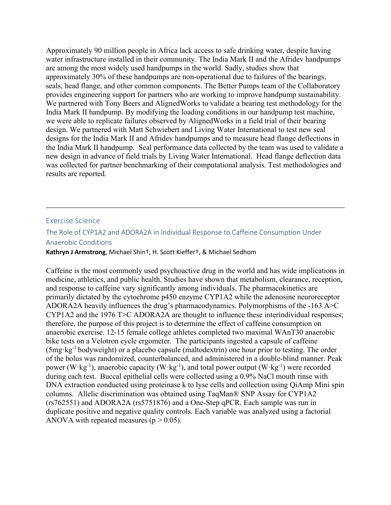Approximately 90 million people in Africa lack access to safe drinking water, despite having water infrastructure installed in their community. The India Mark II and the Afridev handpumps are among the most widely used handpumps in the world. Sadly, studies show that approximately 30% of these handpumps are non-operational due to failures of the bearings, seals, head flange, and other common components. The Better Pumps team of the Collaboratory provides engineering support for partners who are working to improve handpump sustainability. We partnered with Tony Beers and AlignedWorks to validate a bearing test methodology for the India Mark II handpump. By modifying the loading conditions in our handpump test machine, we were able to replicate failures observed by AlignedWorks in a field trial of their bearing design. We partnered with Matt Schwiebert and Living Water International to test new seal designs for the India Mark II and Afridev handpumps and to measure head flange deflections in the India Mark II handpump. Seal performance data collected by the team was used to validate a new design in advance of field trials by Living Water International. Head flange deflection data was collected for partner benchmarking of their computational analysis. Test methodologies and results are reported.

#### Exercise Science

# The Role of CYP1A2 and ADORA2A in Individual Response to Caffeine Consumption Under Anaerobic Conditions

**Kathryn J Armstrong**, Michael Shin†, H. Scott Kieffer†, & Michael Sedhom

Caffeine is the most commonly used psychoactive drug in the world and has wide implications in medicine, athletics, and public health. Studies have shown that metabolism, clearance, reception, and response to caffeine vary significantly among individuals. The pharmacokinetics are primarily dictated by the cytochrome p450 enzyme CYP1A2 while the adenosine neuroreceptor ADORA2A heavily influences the drug's pharmacodynamics. Polymorphisms of the -163 A>C CYP1A2 and the 1976 T>C ADORA2A are thought to influence these interindividual responses; therefore, the purpose of this project is to determine the effect of caffeine consumption on anaerobic exercise. 12-15 female college athletes completed two maximal WAnT30 anaerobic bike tests on a Velotron cycle ergometer. The participants ingested a capsule of caffeine  $(5mg \cdot kg^{-1})$  bodyweight) or a placebo capsule (maltodextrin) one hour prior to testing. The order of the bolus was randomized, counterbalanced, and administered in a double-blind manner. Peak power (W·kg<sup>-1</sup>), anaerobic capacity (W·kg<sup>-1</sup>), and total power output (W·kg<sup>-1</sup>) were recorded during each test. Buccal epithelial cells were collected using a 0.9% NaCl mouth rinse with DNA extraction conducted using proteinase k to lyse cells and collection using QiAmp Mini spin columns. Allelic discrimination was obtained using TaqMan® SNP Assay for CYP1A2 (rs762551) and ADORA2A (rs5751876) and a One-Step qPCR. Each sample was run in duplicate positive and negative quality controls. Each variable was analyzed using a factorial ANOVA with repeated measures ( $p > 0.05$ ).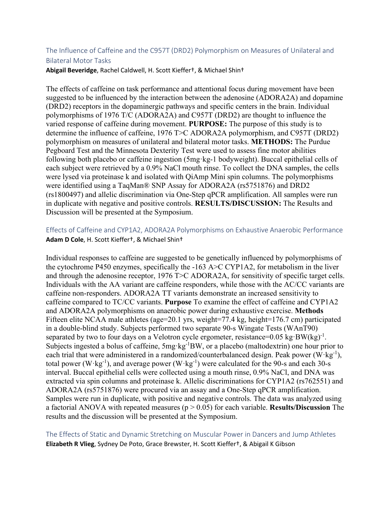# The Influence of Caffeine and the C957T (DRD2) Polymorphism on Measures of Unilateral and Bilateral Motor Tasks

**Abigail Beveridge**, Rachel Caldwell, H. Scott Kieffer†, & Michael Shin†

The effects of caffeine on task performance and attentional focus during movement have been suggested to be influenced by the interaction between the adenosine (ADORA2A) and dopamine (DRD2) receptors in the dopaminergic pathways and specific centers in the brain. Individual polymorphisms of 1976 T/C (ADORA2A) and C957T (DRD2) are thought to influence the varied response of caffeine during movement. **PURPOSE:** The purpose of this study is to determine the influence of caffeine, 1976 T>C ADORA2A polymorphism, and C957T (DRD2) polymorphism on measures of unilateral and bilateral motor tasks. **METHODS:** The Purdue Pegboard Test and the Minnesota Dexterity Test were used to assess fine motor abilities following both placebo or caffeine ingestion (5mg·kg-1 bodyweight). Buccal epithelial cells of each subject were retrieved by a 0.9% NaCl mouth rinse. To collect the DNA samples, the cells were lysed via proteinase k and isolated with QiAmp Mini spin columns. The polymorphisms were identified using a TaqMan® SNP Assay for ADORA2A (rs5751876) and DRD2 (rs1800497) and allelic discrimination via One-Step qPCR amplification. All samples were run in duplicate with negative and positive controls. **RESULTS/DISCUSSION:** The Results and Discussion will be presented at the Symposium.

Effects of Caffeine and CYP1A2, ADORA2A Polymorphisms on Exhaustive Anaerobic Performance **Adam D Cole**, H. Scott Kieffer†, & Michael Shin†

Individual responses to caffeine are suggested to be genetically influenced by polymorphisms of the cytochrome P450 enzymes, specifically the -163 A>C CYP1A2, for metabolism in the liver and through the adenosine receptor, 1976 T>C ADORA2A, for sensitivity of specific target cells. Individuals with the AA variant are caffeine responders, while those with the AC/CC variants are caffeine non-responders. ADORA2A TT variants demonstrate an increased sensitivity to caffeine compared to TC/CC variants. **Purpose** To examine the effect of caffeine and CYP1A2 and ADORA2A polymorphisms on anaerobic power during exhaustive exercise. **Methods**  Fifteen elite NCAA male athletes (age=20.1 yrs, weight=77.4 kg, height=176.7 cm) participated in a double-blind study. Subjects performed two separate 90-s Wingate Tests (WAnT90) separated by two to four days on a Velotron cycle ergometer, resistance= $0.05 \text{ kg} \cdot \text{BW}(\text{kg})^{-1}$ . Subjects ingested a bolus of caffeine, 5mg·kg<sup>-1</sup>BW, or a placebo (maltodextrin) one hour prior to each trial that were administered in a randomized/counterbalanced design. Peak power  $(W \cdot kg^{-1})$ , total power ( $W$ ·kg<sup>-1</sup>), and average power ( $W$ ·kg<sup>-1</sup>) were calculated for the 90-s and each 30-s interval. Buccal epithelial cells were collected using a mouth rinse, 0.9% NaCl, and DNA was extracted via spin columns and proteinase k. Allelic discriminations for CYP1A2 (rs762551) and ADORA2A (rs5751876) were procured via an assay and a One-Step qPCR amplification. Samples were run in duplicate, with positive and negative controls. The data was analyzed using a factorial ANOVA with repeated measures (p > 0.05) for each variable. **Results/Discussion** The results and the discussion will be presented at the Symposium.

The Effects of Static and Dynamic Stretching on Muscular Power in Dancers and Jump Athletes **Elizabeth R Vlieg**, Sydney De Poto, Grace Brewster, H. Scott Kieffer†, & Abigail K Gibson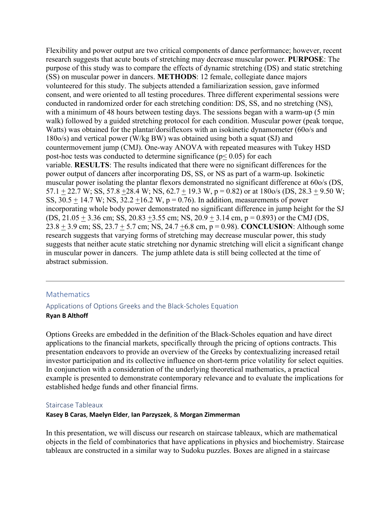Flexibility and power output are two critical components of dance performance; however, recent research suggests that acute bouts of stretching may decrease muscular power. **PURPOSE**: The purpose of this study was to compare the effects of dynamic stretching (DS) and static stretching (SS) on muscular power in dancers. **METHODS**: 12 female, collegiate dance majors volunteered for this study. The subjects attended a familiarization session, gave informed consent, and were oriented to all testing procedures. Three different experimental sessions were conducted in randomized order for each stretching condition: DS, SS, and no stretching (NS), with a minimum of 48 hours between testing days. The sessions began with a warm-up (5 min walk) followed by a guided stretching protocol for each condition. Muscular power (peak torque, Watts) was obtained for the plantar/dorsiflexors with an isokinetic dynamometer (60o/s and 180o/s) and vertical power (W/kg BW) was obtained using both a squat (SJ) and countermovement jump (CMJ). One-way ANOVA with repeated measures with Tukey HSD post-hoc tests was conducted to determine significance ( $p$ < 0.05) for each variable. **RESULTS**: The results indicated that there were no significant differences for the power output of dancers after incorporating DS, SS, or NS as part of a warm-up. Isokinetic muscular power isolating the plantar flexors demonstrated no significant difference at 60o/s (DS,  $57.1 + 22.7$  W; SS,  $57.8 + 28.4$  W; NS,  $62.7 + 19.3$  W,  $p = 0.82$ ) or at  $1800/s$  (DS,  $28.3 + 9.50$  W; SS,  $30.5 + 14.7$  W; NS,  $32.2 + 16.2$  W,  $p = 0.76$ ). In addition, measurements of power incorporating whole body power demonstrated no significant difference in jump height for the SJ  $(DS, 21.05 + 3.36$  cm; SS,  $20.83 + 3.55$  cm; NS,  $20.9 + 3.14$  cm,  $p = 0.893$ ) or the CMJ (DS, 23.8 + 3.9 cm; SS, 23.7 + 5.7 cm; NS, 24.7 +6.8 cm, p = 0.98). **CONCLUSION**: Although some research suggests that varying forms of stretching may decrease muscular power, this study suggests that neither acute static stretching nor dynamic stretching will elicit a significant change in muscular power in dancers. The jump athlete data is still being collected at the time of abstract submission.

# **Mathematics**

# Applications of Options Greeks and the Black-Scholes Equation **Ryan B Althoff**

Options Greeks are embedded in the definition of the Black-Scholes equation and have direct applications to the financial markets, specifically through the pricing of options contracts. This presentation endeavors to provide an overview of the Greeks by contextualizing increased retail investor participation and its collective influence on short-term price volatility for select equities. In conjunction with a consideration of the underlying theoretical mathematics, a practical example is presented to demonstrate contemporary relevance and to evaluate the implications for established hedge funds and other financial firms.

# Staircase Tableaux

#### **Kasey B Caras**, **Maelyn Elder**, **Ian Parzyszek**, & **Morgan Zimmerman**

In this presentation, we will discuss our research on staircase tableaux, which are mathematical objects in the field of combinatorics that have applications in physics and biochemistry. Staircase tableaux are constructed in a similar way to Sudoku puzzles. Boxes are aligned in a staircase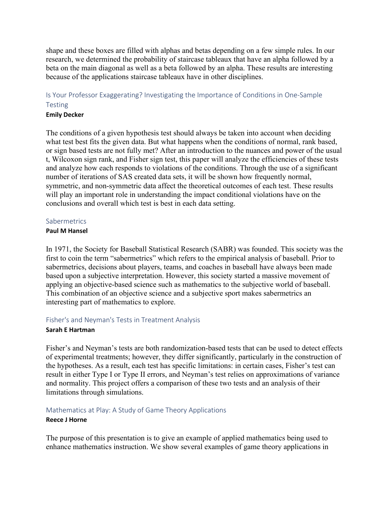shape and these boxes are filled with alphas and betas depending on a few simple rules. In our research, we determined the probability of staircase tableaux that have an alpha followed by a beta on the main diagonal as well as a beta followed by an alpha. These results are interesting because of the applications staircase tableaux have in other disciplines.

# Is Your Professor Exaggerating? Investigating the Importance of Conditions in One-Sample **Testing**

#### **Emily Decker**

The conditions of a given hypothesis test should always be taken into account when deciding what test best fits the given data. But what happens when the conditions of normal, rank based, or sign based tests are not fully met? After an introduction to the nuances and power of the usual t, Wilcoxon sign rank, and Fisher sign test, this paper will analyze the efficiencies of these tests and analyze how each responds to violations of the conditions. Through the use of a significant number of iterations of SAS created data sets, it will be shown how frequently normal, symmetric, and non-symmetric data affect the theoretical outcomes of each test. These results will play an important role in understanding the impact conditional violations have on the conclusions and overall which test is best in each data setting.

#### **Sabermetrics**

#### **Paul M Hansel**

In 1971, the Society for Baseball Statistical Research (SABR) was founded. This society was the first to coin the term "sabermetrics" which refers to the empirical analysis of baseball. Prior to sabermetrics, decisions about players, teams, and coaches in baseball have always been made based upon a subjective interpretation. However, this society started a massive movement of applying an objective-based science such as mathematics to the subjective world of baseball. This combination of an objective science and a subjective sport makes sabermetrics an interesting part of mathematics to explore.

# Fisher's and Neyman's Tests in Treatment Analysis

#### **Sarah E Hartman**

Fisher's and Neyman's tests are both randomization-based tests that can be used to detect effects of experimental treatments; however, they differ significantly, particularly in the construction of the hypotheses. As a result, each test has specific limitations: in certain cases, Fisher's test can result in either Type I or Type II errors, and Neyman's test relies on approximations of variance and normality. This project offers a comparison of these two tests and an analysis of their limitations through simulations.

#### Mathematics at Play: A Study of Game Theory Applications **Reece J Horne**

# The purpose of this presentation is to give an example of applied mathematics being used to enhance mathematics instruction. We show several examples of game theory applications in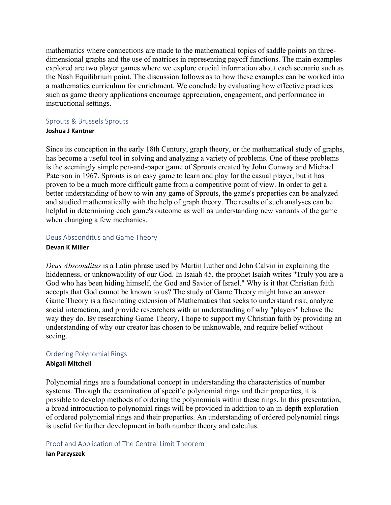mathematics where connections are made to the mathematical topics of saddle points on threedimensional graphs and the use of matrices in representing payoff functions. The main examples explored are two player games where we explore crucial information about each scenario such as the Nash Equilibrium point. The discussion follows as to how these examples can be worked into a mathematics curriculum for enrichment. We conclude by evaluating how effective practices such as game theory applications encourage appreciation, engagement, and performance in instructional settings.

# Sprouts & Brussels Sprouts

# **Joshua J Kantner**

Since its conception in the early 18th Century, graph theory, or the mathematical study of graphs, has become a useful tool in solving and analyzing a variety of problems. One of these problems is the seemingly simple pen-and-paper game of Sprouts created by John Conway and Michael Paterson in 1967. Sprouts is an easy game to learn and play for the casual player, but it has proven to be a much more difficult game from a competitive point of view. In order to get a better understanding of how to win any game of Sprouts, the game's properties can be analyzed and studied mathematically with the help of graph theory. The results of such analyses can be helpful in determining each game's outcome as well as understanding new variants of the game when changing a few mechanics.

# Deus Absconditus and Game Theory

#### **Devan K Miller**

*Deus Absconditus* is a Latin phrase used by Martin Luther and John Calvin in explaining the hiddenness, or unknowability of our God. In Isaiah 45, the prophet Isaiah writes "Truly you are a God who has been hiding himself, the God and Savior of Israel." Why is it that Christian faith accepts that God cannot be known to us? The study of Game Theory might have an answer. Game Theory is a fascinating extension of Mathematics that seeks to understand risk, analyze social interaction, and provide researchers with an understanding of why "players" behave the way they do. By researching Game Theory, I hope to support my Christian faith by providing an understanding of why our creator has chosen to be unknowable, and require belief without seeing.

# Ordering Polynomial Rings

# **Abigail Mitchell**

Polynomial rings are a foundational concept in understanding the characteristics of number systems. Through the examination of specific polynomial rings and their properties, it is possible to develop methods of ordering the polynomials within these rings. In this presentation, a broad introduction to polynomial rings will be provided in addition to an in-depth exploration of ordered polynomial rings and their properties. An understanding of ordered polynomial rings is useful for further development in both number theory and calculus.

# Proof and Application of The Central Limit Theorem **Ian Parzyszek**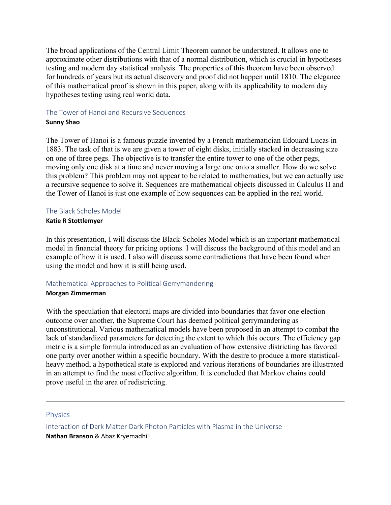The broad applications of the Central Limit Theorem cannot be understated. It allows one to approximate other distributions with that of a normal distribution, which is crucial in hypotheses testing and modern day statistical analysis. The properties of this theorem have been observed for hundreds of years but its actual discovery and proof did not happen until 1810. The elegance of this mathematical proof is shown in this paper, along with its applicability to modern day hypotheses testing using real world data.

#### The Tower of Hanoi and Recursive Sequences

#### **Sunny Shao**

The Tower of Hanoi is a famous puzzle invented by a French mathematician Edouard Lucas in 1883. The task of that is we are given a tower of eight disks, initially stacked in decreasing size on one of three pegs. The objective is to transfer the entire tower to one of the other pegs, moving only one disk at a time and never moving a large one onto a smaller. How do we solve this problem? This problem may not appear to be related to mathematics, but we can actually use a recursive sequence to solve it. Sequences are mathematical objects discussed in Calculus II and the Tower of Hanoi is just one example of how sequences can be applied in the real world.

#### The Black Scholes Model

#### **Katie R Stottlemyer**

In this presentation, I will discuss the Black-Scholes Model which is an important mathematical model in financial theory for pricing options. I will discuss the background of this model and an example of how it is used. I also will discuss some contradictions that have been found when using the model and how it is still being used.

# Mathematical Approaches to Political Gerrymandering

#### **Morgan Zimmerman**

With the speculation that electoral maps are divided into boundaries that favor one election outcome over another, the Supreme Court has deemed political gerrymandering as unconstitutional. Various mathematical models have been proposed in an attempt to combat the lack of standardized parameters for detecting the extent to which this occurs. The efficiency gap metric is a simple formula introduced as an evaluation of how extensive districting has favored one party over another within a specific boundary. With the desire to produce a more statisticalheavy method, a hypothetical state is explored and various iterations of boundaries are illustrated in an attempt to find the most effective algorithm. It is concluded that Markov chains could prove useful in the area of redistricting.

# Physics

Interaction of Dark Matter Dark Photon Particles with Plasma in the Universe **Nathan Branson** & Abaz Kryemadhi†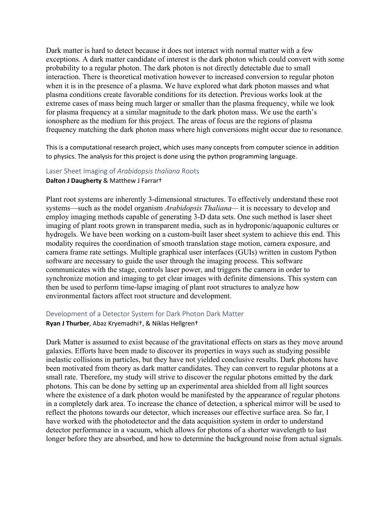Dark matter is hard to detect because it does not interact with normal matter with a few exceptions. A dark matter candidate of interest is the dark photon which could convert with some probability to a regular photon. The dark photon is not directly detectable due to small interaction. There is theoretical motivation however to increased conversion to regular photon when it is in the presence of a plasma. We have explored what dark photon masses and what plasma conditions create favorable conditions for its detection. Previous works look at the extreme cases of mass being much larger or smaller than the plasma frequency, while we look for plasma frequency at a similar magnitude to the dark photon mass. We use the earth's ionosphere as the medium for this project. The areas of focus are the regions of plasma frequency matching the dark photon mass where high conversions might occur due to resonance.

This is a computational research project, which uses many concepts from computer science in addition to physics. The analysis for this project is done using the python programming language.

#### Laser Sheet Imaging of *Arabidopsis thaliana* Roots

#### **Dalton J Daugherty** & Matthew J Farrar†

Plant root systems are inherently 3-dimensional structures. To effectively understand these root systems—such as the model organism *Arabidopsis Thaliana—* it is necessary to develop and employ imaging methods capable of generating 3-D data sets. One such method is laser sheet imaging of plant roots grown in transparent media, such as in hydroponic/aquaponic cultures or hydrogels. We have been working on a custom-built laser sheet system to achieve this end. This modality requires the coordination of smooth translation stage motion, camera exposure, and camera frame rate settings. Multiple graphical user interfaces (GUIs) written in custom Python software are necessary to guide the user through the imaging process. This software communicates with the stage, controls laser power, and triggers the camera in order to synchronize motion and imaging to get clear images with definite dimensions. This system can then be used to perform time-lapse imaging of plant root structures to analyze how environmental factors affect root structure and development.

#### Development of a Detector System for Dark Photon Dark Matter

#### **Ryan J Thurber**, Abaz Kryemadhi†, & Niklas Hellgren†

Dark Matter is assumed to exist because of the gravitational effects on stars as they move around galaxies. Efforts have been made to discover its properties in ways such as studying possible inelastic collisions in particles, but they have not yielded conclusive results. Dark photons have been motivated from theory as dark matter candidates. They can convert to regular photons at a small rate. Therefore, my study will strive to discover the regular photons emitted by the dark photons. This can be done by setting up an experimental area shielded from all light sources where the existence of a dark photon would be manifested by the appearance of regular photons in a completely dark area. To increase the chance of detection, a spherical mirror will be used to reflect the photons towards our detector, which increases our effective surface area. So far, I have worked with the photodetector and the data acquisition system in order to understand detector performance in a vacuum, which allows for photons of a shorter wavelength to last longer before they are absorbed, and how to determine the background noise from actual signals.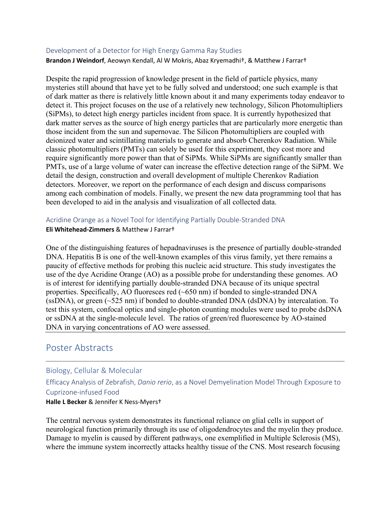#### Development of a Detector for High Energy Gamma Ray Studies

**Brandon J Weindorf**, Aeowyn Kendall, Al W Mokris, Abaz Kryemadhi†, & Matthew J Farrar†

Despite the rapid progression of knowledge present in the field of particle physics, many mysteries still abound that have yet to be fully solved and understood; one such example is that of dark matter as there is relatively little known about it and many experiments today endeavor to detect it. This project focuses on the use of a relatively new technology, Silicon Photomultipliers (SiPMs), to detect high energy particles incident from space. It is currently hypothesized that dark matter serves as the source of high energy particles that are particularly more energetic than those incident from the sun and supernovae. The Silicon Photomultipliers are coupled with deionized water and scintillating materials to generate and absorb Cherenkov Radiation. While classic photomultipliers (PMTs) can solely be used for this experiment, they cost more and require significantly more power than that of SiPMs. While SiPMs are significantly smaller than PMTs, use of a large volume of water can increase the effective detection range of the SiPM. We detail the design, construction and overall development of multiple Cherenkov Radiation detectors. Moreover, we report on the performance of each design and discuss comparisons among each combination of models. Finally, we present the new data programming tool that has been developed to aid in the analysis and visualization of all collected data.

Acridine Orange as a Novel Tool for Identifying Partially Double-Stranded DNA **Eli Whitehead-Zimmers** & Matthew J Farrar†

One of the distinguishing features of hepadnaviruses is the presence of partially double-stranded DNA. Hepatitis B is one of the well-known examples of this virus family, yet there remains a paucity of effective methods for probing this nucleic acid structure. This study investigates the use of the dye Acridine Orange (AO) as a possible probe for understanding these genomes. AO is of interest for identifying partially double-stranded DNA because of its unique spectral properties. Specifically, AO fluoresces red (~650 nm) if bonded to single-stranded DNA (ssDNA), or green (~525 nm) if bonded to double-stranded DNA (dsDNA) by intercalation. To test this system, confocal optics and single-photon counting modules were used to probe dsDNA or ssDNA at the single-molecule level. The ratios of green/red fluorescence by AO-stained DNA in varying concentrations of AO were assessed.

# Poster Abstracts

# Biology, Cellular & Molecular

Efficacy Analysis of Zebrafish, *Danio rerio*, as a Novel Demyelination Model Through Exposure to Cuprizone-infused Food **Halle L Becker** & Jennifer K Ness-Myers†

The central nervous system demonstrates its functional reliance on glial cells in support of neurological function primarily through its use of oligodendrocytes and the myelin they produce. Damage to myelin is caused by different pathways, one exemplified in Multiple Sclerosis (MS), where the immune system incorrectly attacks healthy tissue of the CNS. Most research focusing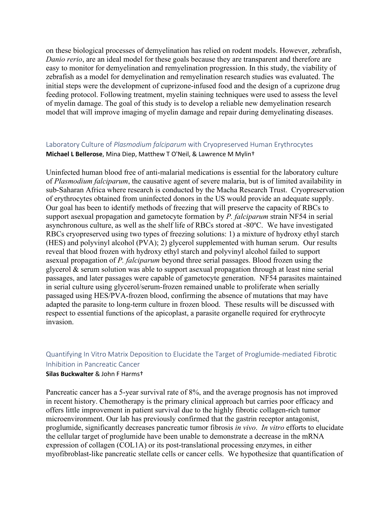on these biological processes of demyelination has relied on rodent models. However, zebrafish, *Danio rerio*, are an ideal model for these goals because they are transparent and therefore are easy to monitor for demyelination and remyelination progression. In this study, the viability of zebrafish as a model for demyelination and remyelination research studies was evaluated. The initial steps were the development of cuprizone-infused food and the design of a cuprizone drug feeding protocol. Following treatment, myelin staining techniques were used to assess the level of myelin damage. The goal of this study is to develop a reliable new demyelination research model that will improve imaging of myelin damage and repair during demyelinating diseases.

# Laboratory Culture of *Plasmodium falciparum* with Cryopreserved Human Erythrocytes **Michael L Bellerose**, Mina Diep, Matthew T O'Neil, & Lawrence M Mylin†

Uninfected human blood free of anti-malarial medications is essential for the laboratory culture of *Plasmodium falciparum*, the causative agent of severe malaria, but is of limited availability in sub-Saharan Africa where research is conducted by the Macha Research Trust. Cryopreservation of erythrocytes obtained from uninfected donors in the US would provide an adequate supply. Our goal has been to identify methods of freezing that will preserve the capacity of RBCs to support asexual propagation and gametocyte formation by *P. falciparum* strain NF54 in serial asynchronous culture, as well as the shelf life of RBCs stored at -80ºC. We have investigated RBCs cryopreserved using two types of freezing solutions: 1) a mixture of hydroxy ethyl starch (HES) and polyvinyl alcohol (PVA); 2) glycerol supplemented with human serum. Our results reveal that blood frozen with hydroxy ethyl starch and polyvinyl alcohol failed to support asexual propagation of *P. falciparum* beyond three serial passages. Blood frozen using the glycerol & serum solution was able to support asexual propagation through at least nine serial passages, and later passages were capable of gametocyte generation. NF54 parasites maintained in serial culture using glycerol/serum-frozen remained unable to proliferate when serially passaged using HES/PVA-frozen blood, confirming the absence of mutations that may have adapted the parasite to long-term culture in frozen blood. These results will be discussed with respect to essential functions of the apicoplast, a parasite organelle required for erythrocyte invasion.

# Quantifying In Vitro Matrix Deposition to Elucidate the Target of Proglumide-mediated Fibrotic Inhibition in Pancreatic Cancer

#### **Silas Buckwalter** & John F Harms†

Pancreatic cancer has a 5-year survival rate of 8%, and the average prognosis has not improved in recent history. Chemotherapy is the primary clinical approach but carries poor efficacy and offers little improvement in patient survival due to the highly fibrotic collagen-rich tumor microenvironment. Our lab has previously confirmed that the gastrin receptor antagonist, proglumide, significantly decreases pancreatic tumor fibrosis *in vivo*. *In vitro* efforts to elucidate the cellular target of proglumide have been unable to demonstrate a decrease in the mRNA expression of collagen (COL1A) or its post-translational processing enzymes, in either myofibroblast-like pancreatic stellate cells or cancer cells. We hypothesize that quantification of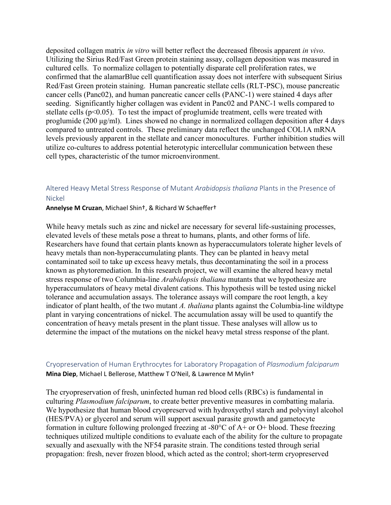deposited collagen matrix *in vitro* will better reflect the decreased fibrosis apparent *in vivo*. Utilizing the Sirius Red/Fast Green protein staining assay, collagen deposition was measured in cultured cells. To normalize collagen to potentially disparate cell proliferation rates, we confirmed that the alamarBlue cell quantification assay does not interfere with subsequent Sirius Red/Fast Green protein staining. Human pancreatic stellate cells (RLT-PSC), mouse pancreatic cancer cells (Panc02), and human pancreatic cancer cells (PANC-1) were stained 4 days after seeding. Significantly higher collagen was evident in Panc02 and PANC-1 wells compared to stellate cells ( $p<0.05$ ). To test the impact of proglumide treatment, cells were treated with proglumide (200 μg/ml). Lines showed no change in normalized collagen deposition after 4 days compared to untreated controls. These preliminary data reflect the unchanged COL1A mRNA levels previously apparent in the stellate and cancer monocultures. Further inhibition studies will utilize co-cultures to address potential heterotypic intercellular communication between these cell types, characteristic of the tumor microenvironment.

## Altered Heavy Metal Stress Response of Mutant *Arabidopsis thaliana* Plants in the Presence of Nickel

**Annelyse M Cruzan**, Michael Shin†, & Richard W Schaeffer†

While heavy metals such as zinc and nickel are necessary for several life-sustaining processes, elevated levels of these metals pose a threat to humans, plants, and other forms of life. Researchers have found that certain plants known as hyperaccumulators tolerate higher levels of heavy metals than non-hyperaccumulating plants. They can be planted in heavy metal contaminated soil to take up excess heavy metals, thus decontaminating the soil in a process known as phytoremediation. In this research project, we will examine the altered heavy metal stress response of two Columbia-line *Arabidopsis thaliana* mutants that we hypothesize are hyperaccumulators of heavy metal divalent cations. This hypothesis will be tested using nickel tolerance and accumulation assays. The tolerance assays will compare the root length, a key indicator of plant health, of the two mutant *A. thaliana* plants against the Columbia-line wildtype plant in varying concentrations of nickel. The accumulation assay will be used to quantify the concentration of heavy metals present in the plant tissue. These analyses will allow us to determine the impact of the mutations on the nickel heavy metal stress response of the plant.

# Cryopreservation of Human Erythrocytes for Laboratory Propagation of *Plasmodium falciparum* **Mina Diep**, Michael L Bellerose, Matthew T O'Neil, & Lawrence M Mylin†

The cryopreservation of fresh, uninfected human red blood cells (RBCs) is fundamental in culturing *Plasmodium falciparum*, to create better preventive measures in combatting malaria. We hypothesize that human blood cryopreserved with hydroxyethyl starch and polyvinyl alcohol (HES/PVA) or glycerol and serum will support asexual parasite growth and gametocyte formation in culture following prolonged freezing at -80°C of A+ or O+ blood. These freezing techniques utilized multiple conditions to evaluate each of the ability for the culture to propagate sexually and asexually with the NF54 parasite strain. The conditions tested through serial propagation: fresh, never frozen blood, which acted as the control; short-term cryopreserved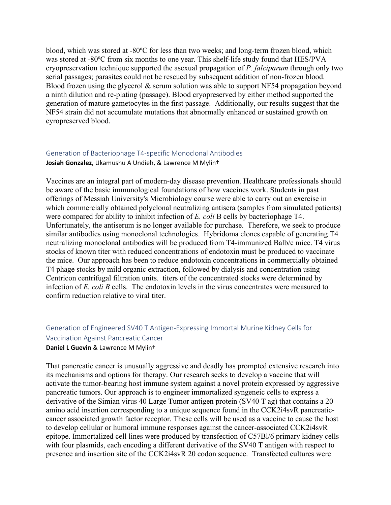blood, which was stored at -80ºC for less than two weeks; and long-term frozen blood, which was stored at -80ºC from six months to one year. This shelf-life study found that HES/PVA cryopreservation technique supported the asexual propagation of *P. falciparum* through only two serial passages; parasites could not be rescued by subsequent addition of non-frozen blood. Blood frozen using the glycerol & serum solution was able to support NF54 propagation beyond a ninth dilution and re-plating (passage). Blood cryopreserved by either method supported the generation of mature gametocytes in the first passage. Additionally, our results suggest that the NF54 strain did not accumulate mutations that abnormally enhanced or sustained growth on cyropreserved blood.

#### Generation of Bacteriophage T4-specific Monoclonal Antibodies

**Josiah Gonzalez**, Ukamushu A Undieh, & Lawrence M Mylin†

Vaccines are an integral part of modern-day disease prevention. Healthcare professionals should be aware of the basic immunological foundations of how vaccines work. Students in past offerings of Messiah University's Microbiology course were able to carry out an exercise in which commercially obtained polyclonal neutralizing antisera (samples from simulated patients) were compared for ability to inhibit infection of *E. coli* B cells by bacteriophage T4. Unfortunately, the antiserum is no longer available for purchase. Therefore, we seek to produce similar antibodies using monoclonal technologies. Hybridoma clones capable of generating T4 neutralizing monoclonal antibodies will be produced from T4-immunized Balb/c mice. T4 virus stocks of known titer with reduced concentrations of endotoxin must be produced to vaccinate the mice. Our approach has been to reduce endotoxin concentrations in commercially obtained T4 phage stocks by mild organic extraction, followed by dialysis and concentration using Centricon centrifugal filtration units. titers of the concentrated stocks were determined by infection of *E. coli B* cells. The endotoxin levels in the virus concentrates were measured to confirm reduction relative to viral titer.

# Generation of Engineered SV40 T Antigen-Expressing Immortal Murine Kidney Cells for Vaccination Against Pancreatic Cancer

#### **Daniel L Guevin** & Lawrence M Mylin†

That pancreatic cancer is unusually aggressive and deadly has prompted extensive research into its mechanisms and options for therapy. Our research seeks to develop a vaccine that will activate the tumor-bearing host immune system against a novel protein expressed by aggressive pancreatic tumors. Our approach is to engineer immortalized syngeneic cells to express a derivative of the Simian virus 40 Large Tumor antigen protein (SV40 T ag) that contains a 20 amino acid insertion corresponding to a unique sequence found in the CCK2i4svR pancreaticcancer associated growth factor receptor. These cells will be used as a vaccine to cause the host to develop cellular or humoral immune responses against the cancer-associated CCK2i4svR epitope. Immortalized cell lines were produced by transfection of C57Bl/6 primary kidney cells with four plasmids, each encoding a different derivative of the SV40 T antigen with respect to presence and insertion site of the CCK2i4svR 20 codon sequence. Transfected cultures were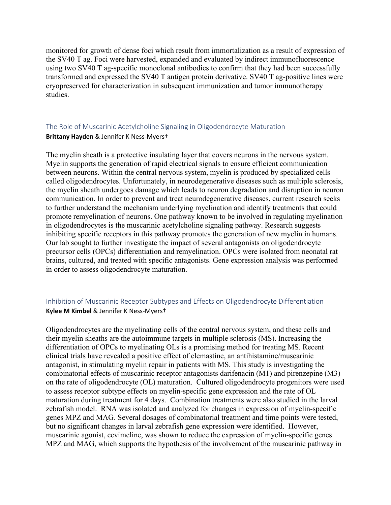monitored for growth of dense foci which result from immortalization as a result of expression of the SV40 T ag. Foci were harvested, expanded and evaluated by indirect immunofluorescence using two SV40 T ag-specific monoclonal antibodies to confirm that they had been successfully transformed and expressed the SV40 T antigen protein derivative. SV40 T ag-positive lines were cryopreserved for characterization in subsequent immunization and tumor immunotherapy studies.

# The Role of Muscarinic Acetylcholine Signaling in Oligodendrocyte Maturation **Brittany Hayden** & Jennifer K Ness-Myers†

The myelin sheath is a protective insulating layer that covers neurons in the nervous system. Myelin supports the generation of rapid electrical signals to ensure efficient communication between neurons. Within the central nervous system, myelin is produced by specialized cells called oligodendrocytes. Unfortunately, in neurodegenerative diseases such as multiple sclerosis, the myelin sheath undergoes damage which leads to neuron degradation and disruption in neuron communication. In order to prevent and treat neurodegenerative diseases, current research seeks to further understand the mechanism underlying myelination and identify treatments that could promote remyelination of neurons. One pathway known to be involved in regulating myelination in oligodendrocytes is the muscarinic acetylcholine signaling pathway. Research suggests inhibiting specific receptors in this pathway promotes the generation of new myelin in humans. Our lab sought to further investigate the impact of several antagonists on oligodendrocyte precursor cells (OPCs) differentiation and remyelination. OPCs were isolated from neonatal rat brains, cultured, and treated with specific antagonists. Gene expression analysis was performed in order to assess oligodendrocyte maturation.

# Inhibition of Muscarinic Receptor Subtypes and Effects on Oligodendrocyte Differentiation **Kylee M Kimbel** & Jennifer K Ness-Myers†

Oligodendrocytes are the myelinating cells of the central nervous system, and these cells and their myelin sheaths are the autoimmune targets in multiple sclerosis (MS). Increasing the differentiation of OPCs to myelinating OLs is a promising method for treating MS. Recent clinical trials have revealed a positive effect of clemastine, an antihistamine/muscarinic antagonist, in stimulating myelin repair in patients with MS. This study is investigating the combinatorial effects of muscarinic receptor antagonists darifenacin (M1) and pirenzepine (M3) on the rate of oligodendrocyte (OL) maturation. Cultured oligodendrocyte progenitors were used to assess receptor subtype effects on myelin-specific gene expression and the rate of OL maturation during treatment for 4 days. Combination treatments were also studied in the larval zebrafish model. RNA was isolated and analyzed for changes in expression of myelin-specific genes MPZ and MAG. Several dosages of combinatorial treatment and time points were tested, but no significant changes in larval zebrafish gene expression were identified. However, muscarinic agonist, cevimeline, was shown to reduce the expression of myelin-specific genes MPZ and MAG, which supports the hypothesis of the involvement of the muscarinic pathway in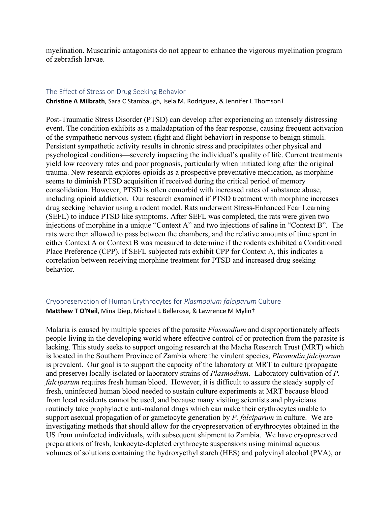myelination. Muscarinic antagonists do not appear to enhance the vigorous myelination program of zebrafish larvae.

#### The Effect of Stress on Drug Seeking Behavior

**Christine A Milbrath**, Sara C Stambaugh, Isela M. Rodriguez, & Jennifer L Thomson†

Post-Traumatic Stress Disorder (PTSD) can develop after experiencing an intensely distressing event. The condition exhibits as a maladaptation of the fear response, causing frequent activation of the sympathetic nervous system (fight and flight behavior) in response to benign stimuli. Persistent sympathetic activity results in chronic stress and precipitates other physical and psychological conditions—severely impacting the individual's quality of life. Current treatments yield low recovery rates and poor prognosis, particularly when initiated long after the original trauma. New research explores opioids as a prospective preventative medication, as morphine seems to diminish PTSD acquisition if received during the critical period of memory consolidation. However, PTSD is often comorbid with increased rates of substance abuse, including opioid addiction. Our research examined if PTSD treatment with morphine increases drug seeking behavior using a rodent model. Rats underwent Stress-Enhanced Fear Learning (SEFL) to induce PTSD like symptoms. After SEFL was completed, the rats were given two injections of morphine in a unique "Context A" and two injections of saline in "Context B". The rats were then allowed to pass between the chambers, and the relative amounts of time spent in either Context A or Context B was measured to determine if the rodents exhibited a Conditioned Place Preference (CPP). If SEFL subjected rats exhibit CPP for Context A, this indicates a correlation between receiving morphine treatment for PTSD and increased drug seeking behavior.

# Cryopreservation of Human Erythrocytes for *Plasmodium falciparum* Culture **Matthew T O'Neil**, Mina Diep, Michael L Bellerose, & Lawrence M Mylin†

Malaria is caused by multiple species of the parasite *Plasmodium* and disproportionately affects people living in the developing world where effective control of or protection from the parasite is lacking. This study seeks to support ongoing research at the Macha Research Trust (MRT) which is located in the Southern Province of Zambia where the virulent species, *Plasmodia falciparum*  is prevalent. Our goal is to support the capacity of the laboratory at MRT to culture (propagate and preserve) locally-isolated or laboratory strains of *Plasmodium*. Laboratory cultivation of *P. falciparum* requires fresh human blood. However, it is difficult to assure the steady supply of fresh, uninfected human blood needed to sustain culture experiments at MRT because blood from local residents cannot be used, and because many visiting scientists and physicians routinely take prophylactic anti-malarial drugs which can make their erythrocytes unable to support asexual propagation of or gametocyte generation by *P. falciparum* in culture. We are investigating methods that should allow for the cryopreservation of erythrocytes obtained in the US from uninfected individuals, with subsequent shipment to Zambia. We have cryopreserved preparations of fresh, leukocyte-depleted erythrocyte suspensions using minimal aqueous volumes of solutions containing the hydroxyethyl starch (HES) and polyvinyl alcohol (PVA), or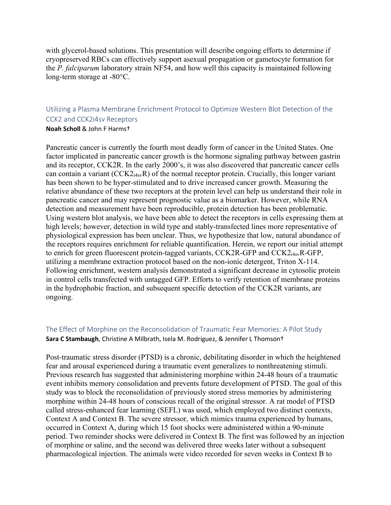with glycerol-based solutions. This presentation will describe ongoing efforts to determine if cryopreserved RBCs can effectively support asexual propagation or gametocyte formation for the *P. falciparum* laboratory strain NF54, and how well this capacity is maintained following long-term storage at -80°C.

# Utilizing a Plasma Membrane Enrichment Protocol to Optimize Western Blot Detection of the CCK2 and CCK2i4sv Receptors **Noah Scholl** & John F Harms†

Pancreatic cancer is currently the fourth most deadly form of cancer in the United States. One factor implicated in pancreatic cancer growth is the hormone signaling pathway between gastrin and its receptor, CCK2R. In the early 2000's, it was also discovered that pancreatic cancer cells can contain a variant  $(CCK2<sub>14sv</sub>R)$  of the normal receptor protein. Crucially, this longer variant has been shown to be hyper-stimulated and to drive increased cancer growth. Measuring the relative abundance of these two receptors at the protein level can help us understand their role in pancreatic cancer and may represent prognostic value as a biomarker. However, while RNA detection and measurement have been reproducible, protein detection has been problematic. Using western blot analysis, we have been able to detect the receptors in cells expressing them at high levels; however, detection in wild type and stably-transfected lines more representative of physiological expression has been unclear. Thus, we hypothesize that low, natural abundance of the receptors requires enrichment for reliable quantification. Herein, we report our initial attempt to enrich for green fluorescent protein-tagged variants, CCK2R-GFP and CCK2 $_{i4sv}$ R-GFP, utilizing a membrane extraction protocol based on the non-ionic detergent, Triton X-114. Following enrichment, western analysis demonstrated a significant decrease in cytosolic protein in control cells transfected with untagged GFP. Efforts to verify retention of membrane proteins in the hydrophobic fraction, and subsequent specific detection of the CCK2R variants, are ongoing.

# The Effect of Morphine on the Reconsolidation of Traumatic Fear Memories: A Pilot Study **Sara C Stambaugh**, Christine A Milbrath, Isela M. Rodriguez, & Jennifer L Thomson†

Post-traumatic stress disorder (PTSD) is a chronic, debilitating disorder in which the heightened fear and arousal experienced during a traumatic event generalizes to nonthreatening stimuli. Previous research has suggested that administering morphine within 24-48 hours of a traumatic event inhibits memory consolidation and prevents future development of PTSD. The goal of this study was to block the reconsolidation of previously stored stress memories by administering morphine within 24-48 hours of conscious recall of the original stressor. A rat model of PTSD called stress-enhanced fear learning (SEFL) was used, which employed two distinct contexts, Context A and Context B. The severe stressor, which mimics trauma experienced by humans, occurred in Context A, during which 15 foot shocks were administered within a 90-minute period. Two reminder shocks were delivered in Context B. The first was followed by an injection of morphine or saline, and the second was delivered three weeks later without a subsequent pharmacological injection. The animals were video recorded for seven weeks in Context B to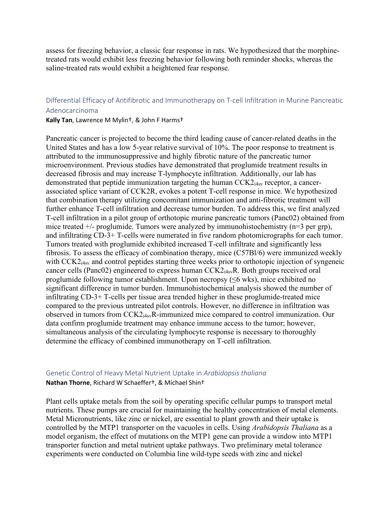assess for freezing behavior, a classic fear response in rats. We hypothesized that the morphinetreated rats would exhibit less freezing behavior following both reminder shocks, whereas the saline-treated rats would exhibit a heightened fear response.

# Differential Efficacy of Antifibrotic and Immunotherapy on T-cell Infiltration in Murine Pancreatic Adenocarcinoma

#### **Kally Tan**, Lawrence M Mylin†, & John F Harms†

Pancreatic cancer is projected to become the third leading cause of cancer-related deaths in the United States and has a low 5-year relative survival of 10%. The poor response to treatment is attributed to the immunosuppressive and highly fibrotic nature of the pancreatic tumor microenvironment. Previous studies have demonstrated that proglumide treatment results in decreased fibrosis and may increase T-lymphocyte infiltration. Additionally, our lab has demonstrated that peptide immunization targeting the human  $CCK2<sub>14</sub>$ <sub>sv</sub> receptor, a cancerassociated splice variant of CCK2R, evokes a potent T-cell response in mice. We hypothesized that combination therapy utilizing concomitant immunization and anti-fibrotic treatment will further enhance T-cell infiltration and decrease tumor burden. To address this, we first analyzed T-cell infiltration in a pilot group of orthotopic murine pancreatic tumors (Panc02) obtained from mice treated  $+/-$  proglumide. Tumors were analyzed by immunohistochemistry (n=3 per grp), and infiltrating CD-3+ T-cells were numerated in five random photomicrographs for each tumor. Tumors treated with proglumide exhibited increased T-cell infiltrate and significantly less fibrosis. To assess the efficacy of combination therapy, mice (C57Bl/6) were immunized weekly with CCK2<sub>i4sv</sub> and control peptides starting three weeks prior to orthotopic injection of syngeneic cancer cells (Panc02) engineered to express human  $CCK2_{i4sv}R$ . Both groups received oral proglumide following tumor establishment. Upon necropsy (≤6 wks), mice exhibited no significant difference in tumor burden. Immunohistochemical analysis showed the number of infiltrating CD-3+ T-cells per tissue area trended higher in these proglumide-treated mice compared to the previous untreated pilot controls. However, no difference in infiltration was observed in tumors from CCK2i4svR-immunized mice compared to control immunization. Our data confirm proglumide treatment may enhance immune access to the tumor; however, simultaneous analysis of the circulating lymphocyte response is necessary to thoroughly determine the efficacy of combined immunotherapy on T-cell infiltration.

# Genetic Control of Heavy Metal Nutrient Uptake in *Arabidopsis thaliana* **Nathan Thorne**, Richard W Schaeffer†, & Michael Shin†

Plant cells uptake metals from the soil by operating specific cellular pumps to transport metal nutrients. These pumps are crucial for maintaining the healthy concentration of metal elements. Metal Micronutrients, like zinc or nickel, are essential to plant growth and their uptake is controlled by the MTP1 transporter on the vacuoles in cells. Using *Arabidopsis Thaliana* as a model organism, the effect of mutations on the MTP1 gene can provide a window into MTP1 transporter function and metal nutrient uptake pathways. Two preliminary metal tolerance experiments were conducted on Columbia line wild-type seeds with zinc and nickel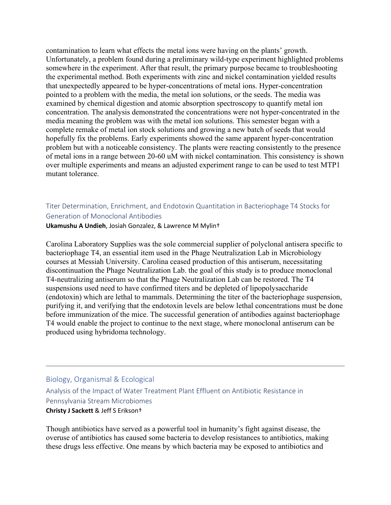contamination to learn what effects the metal ions were having on the plants' growth. Unfortunately, a problem found during a preliminary wild-type experiment highlighted problems somewhere in the experiment. After that result, the primary purpose became to troubleshooting the experimental method. Both experiments with zinc and nickel contamination yielded results that unexpectedly appeared to be hyper-concentrations of metal ions. Hyper-concentration pointed to a problem with the media, the metal ion solutions, or the seeds. The media was examined by chemical digestion and atomic absorption spectroscopy to quantify metal ion concentration. The analysis demonstrated the concentrations were not hyper-concentrated in the media meaning the problem was with the metal ion solutions. This semester began with a complete remake of metal ion stock solutions and growing a new batch of seeds that would hopefully fix the problems. Early experiments showed the same apparent hyper-concentration problem but with a noticeable consistency. The plants were reacting consistently to the presence of metal ions in a range between 20-60 uM with nickel contamination. This consistency is shown over multiple experiments and means an adjusted experiment range to can be used to test MTP1 mutant tolerance.

# Titer Determination, Enrichment, and Endotoxin Quantitation in Bacteriophage T4 Stocks for Generation of Monoclonal Antibodies

#### **Ukamushu A Undieh**, Josiah Gonzalez, & Lawrence M Mylin†

Carolina Laboratory Supplies was the sole commercial supplier of polyclonal antisera specific to bacteriophage T4, an essential item used in the Phage Neutralization Lab in Microbiology courses at Messiah University. Carolina ceased production of this antiserum, necessitating discontinuation the Phage Neutralization Lab. the goal of this study is to produce monoclonal T4-neutralizing antiserum so that the Phage Neutralization Lab can be restored. The T4 suspensions used need to have confirmed titers and be depleted of lipopolysaccharide (endotoxin) which are lethal to mammals. Determining the titer of the bacteriophage suspension, purifying it, and verifying that the endotoxin levels are below lethal concentrations must be done before immunization of the mice. The successful generation of antibodies against bacteriophage T4 would enable the project to continue to the next stage, where monoclonal antiserum can be produced using hybridoma technology.

# Biology, Organismal & Ecological Analysis of the Impact of Water Treatment Plant Effluent on Antibiotic Resistance in Pennsylvania Stream Microbiomes **Christy J Sackett** & Jeff S Erikson†

Though antibiotics have served as a powerful tool in humanity's fight against disease, the overuse of antibiotics has caused some bacteria to develop resistances to antibiotics, making these drugs less effective. One means by which bacteria may be exposed to antibiotics and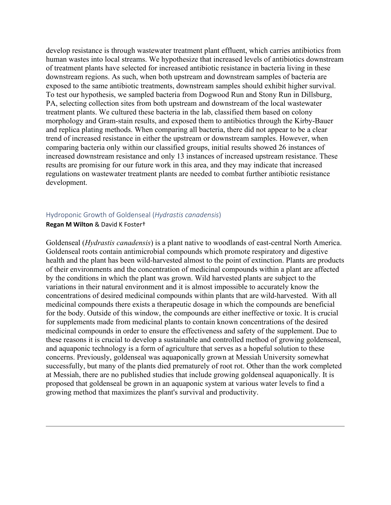develop resistance is through wastewater treatment plant effluent, which carries antibiotics from human wastes into local streams. We hypothesize that increased levels of antibiotics downstream of treatment plants have selected for increased antibiotic resistance in bacteria living in these downstream regions. As such, when both upstream and downstream samples of bacteria are exposed to the same antibiotic treatments, downstream samples should exhibit higher survival. To test our hypothesis, we sampled bacteria from Dogwood Run and Stony Run in Dillsburg, PA, selecting collection sites from both upstream and downstream of the local wastewater treatment plants. We cultured these bacteria in the lab, classified them based on colony morphology and Gram-stain results, and exposed them to antibiotics through the Kirby-Bauer and replica plating methods. When comparing all bacteria, there did not appear to be a clear trend of increased resistance in either the upstream or downstream samples. However, when comparing bacteria only within our classified groups, initial results showed 26 instances of increased downstream resistance and only 13 instances of increased upstream resistance. These results are promising for our future work in this area, and they may indicate that increased regulations on wastewater treatment plants are needed to combat further antibiotic resistance development.

#### Hydroponic Growth of Goldenseal (*Hydrastis canadensis*)

#### **Regan M Wilton** & David K Foster†

Goldenseal (*Hydrastis canadensis*) is a plant native to woodlands of east-central North America. Goldenseal roots contain antimicrobial compounds which promote respiratory and digestive health and the plant has been wild-harvested almost to the point of extinction. Plants are products of their environments and the concentration of medicinal compounds within a plant are affected by the conditions in which the plant was grown. Wild harvested plants are subject to the variations in their natural environment and it is almost impossible to accurately know the concentrations of desired medicinal compounds within plants that are wild-harvested. With all medicinal compounds there exists a therapeutic dosage in which the compounds are beneficial for the body. Outside of this window, the compounds are either ineffective or toxic. It is crucial for supplements made from medicinal plants to contain known concentrations of the desired medicinal compounds in order to ensure the effectiveness and safety of the supplement. Due to these reasons it is crucial to develop a sustainable and controlled method of growing goldenseal, and aquaponic technology is a form of agriculture that serves as a hopeful solution to these concerns. Previously, goldenseal was aquaponically grown at Messiah University somewhat successfully, but many of the plants died prematurely of root rot. Other than the work completed at Messiah, there are no published studies that include growing goldenseal aquaponically. It is proposed that goldenseal be grown in an aquaponic system at various water levels to find a growing method that maximizes the plant's survival and productivity.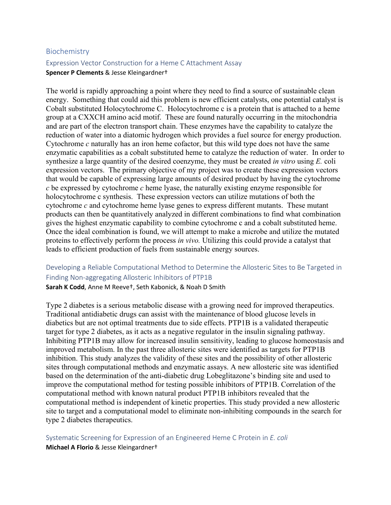#### Biochemistry

## Expression Vector Construction for a Heme C Attachment Assay **Spencer P Clements** & Jesse Kleingardner†

The world is rapidly approaching a point where they need to find a source of sustainable clean energy. Something that could aid this problem is new efficient catalysts, one potential catalyst is Cobalt substituted Holocytochrome C. Holocytochrome c is a protein that is attached to a heme group at a CXXCH amino acid motif. These are found naturally occurring in the mitochondria and are part of the electron transport chain. These enzymes have the capability to catalyze the reduction of water into a diatomic hydrogen which provides a fuel source for energy production. Cytochrome *c* naturally has an iron heme cofactor, but this wild type does not have the same enzymatic capabilities as a cobalt substituted heme to catalyze the reduction of water. In order to synthesize a large quantity of the desired coenzyme, they must be created *in vitro* using *E.* coli expression vectors. The primary objective of my project was to create these expression vectors that would be capable of expressing large amounts of desired product by having the cytochrome *c* be expressed by cytochrome *c* heme lyase, the naturally existing enzyme responsible for holocytochrome c synthesis. These expression vectors can utilize mutations of both the cytochrome *c* and cytochrome heme lyase genes to express different mutants. These mutant products can then be quantitatively analyzed in different combinations to find what combination gives the highest enzymatic capability to combine cytochrome c and a cobalt substituted heme. Once the ideal combination is found, we will attempt to make a microbe and utilize the mutated proteins to effectively perform the process *in vivo.* Utilizing this could provide a catalyst that leads to efficient production of fuels from sustainable energy sources.

# Developing a Reliable Computational Method to Determine the Allosteric Sites to Be Targeted in Finding Non-aggregating Allosteric Inhibitors of PTP1B

**Sarah K Codd**, Anne M Reeve†, Seth Kabonick, & Noah D Smith

Type 2 diabetes is a serious metabolic disease with a growing need for improved therapeutics. Traditional antidiabetic drugs can assist with the maintenance of blood glucose levels in diabetics but are not optimal treatments due to side effects. PTP1B is a validated therapeutic target for type 2 diabetes, as it acts as a negative regulator in the insulin signaling pathway. Inhibiting PTP1B may allow for increased insulin sensitivity, leading to glucose homeostasis and improved metabolism. In the past three allosteric sites were identified as targets for PTP1B inhibition. This study analyzes the validity of these sites and the possibility of other allosteric sites through computational methods and enzymatic assays. A new allosteric site was identified based on the determination of the anti-diabetic drug Lobeglitazone's binding site and used to improve the computational method for testing possible inhibitors of PTP1B. Correlation of the computational method with known natural product PTP1B inhibitors revealed that the computational method is independent of kinetic properties. This study provided a new allosteric site to target and a computational model to eliminate non-inhibiting compounds in the search for type 2 diabetes therapeutics.

Systematic Screening for Expression of an Engineered Heme C Protein in *E. coli* **Michael A Florio** & Jesse Kleingardner†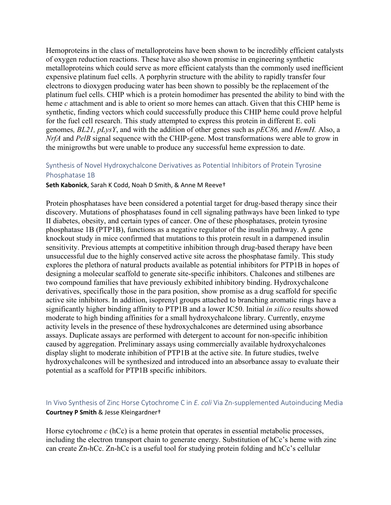Hemoproteins in the class of metalloproteins have been shown to be incredibly efficient catalysts of oxygen reduction reactions. These have also shown promise in engineering synthetic metalloproteins which could serve as more efficient catalysts than the commonly used inefficient expensive platinum fuel cells. A porphyrin structure with the ability to rapidly transfer four electrons to dioxygen producing water has been shown to possibly be the replacement of the platinum fuel cells. CHIP which is a protein homodimer has presented the ability to bind with the heme *c* attachment and is able to orient so more hemes can attach. Given that this CHIP heme is synthetic, finding vectors which could successfully produce this CHIP heme could prove helpful for the fuel cell research. This study attempted to express this protein in different E. coli genomes*, BL21, pLysY*, and with the addition of other genes such as *pEC86,* and *HemH.* Also, a *NrfA* and *PelB* signal sequence with the CHIP-gene. Most transformations were able to grow in the minigrowths but were unable to produce any successful heme expression to date.

# Synthesis of Novel Hydroxychalcone Derivatives as Potential Inhibitors of Protein Tyrosine Phosphatase 1B

#### **Seth Kabonick**, Sarah K Codd, Noah D Smith, & Anne M Reeve†

Protein phosphatases have been considered a potential target for drug-based therapy since their discovery. Mutations of phosphatases found in cell signaling pathways have been linked to type II diabetes, obesity, and certain types of cancer. One of these phosphatases, protein tyrosine phosphatase 1B (PTP1B), functions as a negative regulator of the insulin pathway. A gene knockout study in mice confirmed that mutations to this protein result in a dampened insulin sensitivity. Previous attempts at competitive inhibition through drug-based therapy have been unsuccessful due to the highly conserved active site across the phosphatase family. This study explores the plethora of natural products available as potential inhibitors for PTP1B in hopes of designing a molecular scaffold to generate site-specific inhibitors. Chalcones and stilbenes are two compound families that have previously exhibited inhibitory binding. Hydroxychalcone derivatives, specifically those in the para position, show promise as a drug scaffold for specific active site inhibitors. In addition, isoprenyl groups attached to branching aromatic rings have a significantly higher binding affinity to PTP1B and a lower IC50. Initial *in silico* results showed moderate to high binding affinities for a small hydroxychalcone library. Currently, enzyme activity levels in the presence of these hydroxychalcones are determined using absorbance assays. Duplicate assays are performed with detergent to account for non-specific inhibition caused by aggregation. Preliminary assays using commercially available hydroxychalcones display slight to moderate inhibition of PTP1B at the active site. In future studies, twelve hydroxychalcones will be synthesized and introduced into an absorbance assay to evaluate their potential as a scaffold for PTP1B specific inhibitors.

# In Vivo Synthesis of Zinc Horse Cytochrome C in *E. coli* Via Zn-supplemented Autoinducing Media **Courtney P Smith** & Jesse Kleingardner†

Horse cytochrome *c* (hCc) is a heme protein that operates in essential metabolic processes, including the electron transport chain to generate energy. Substitution of hCc's heme with zinc can create Zn-hCc. Zn-hCc is a useful tool for studying protein folding and hCc's cellular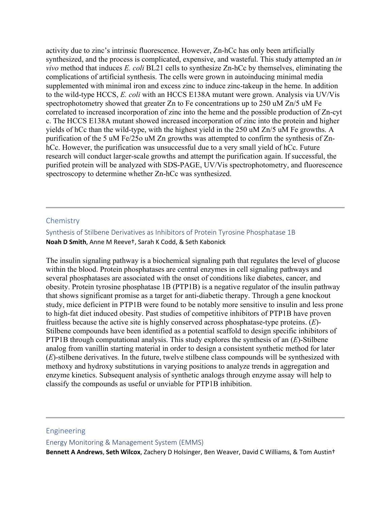activity due to zinc's intrinsic fluorescence. However, Zn-hCc has only been artificially synthesized, and the process is complicated, expensive, and wasteful. This study attempted an *in vivo* method that induces *E. coli* BL21 cells to synthesize Zn-hCc by themselves, eliminating the complications of artificial synthesis. The cells were grown in autoinducing minimal media supplemented with minimal iron and excess zinc to induce zinc-takeup in the heme. In addition to the wild-type HCCS, *E. coli* with an HCCS E138A mutant were grown. Analysis via UV/Vis spectrophotometry showed that greater Zn to Fe concentrations up to 250 uM Zn/5 uM Fe correlated to increased incorporation of zinc into the heme and the possible production of Zn-cyt c. The HCCS E138A mutant showed increased incorporation of zinc into the protein and higher yields of hCc than the wild-type, with the highest yield in the 250 uM Zn/5 uM Fe growths. A purification of the 5 uM Fe/25o uM Zn growths was attempted to confirm the synthesis of ZnhCc. However, the purification was unsuccessful due to a very small yield of hCc. Future research will conduct larger-scale growths and attempt the purification again. If successful, the purified protein will be analyzed with SDS-PAGE, UV/Vis spectrophotometry, and fluorescence spectroscopy to determine whether Zn-hCc was synthesized.

#### **Chemistry**

Synthesis of Stilbene Derivatives as Inhibitors of Protein Tyrosine Phosphatase 1B **Noah D Smith**, Anne M Reeve†, Sarah K Codd, & Seth Kabonick

The insulin signaling pathway is a biochemical signaling path that regulates the level of glucose within the blood. Protein phosphatases are central enzymes in cell signaling pathways and several phosphatases are associated with the onset of conditions like diabetes, cancer, and obesity. Protein tyrosine phosphatase 1B (PTP1B) is a negative regulator of the insulin pathway that shows significant promise as a target for anti-diabetic therapy. Through a gene knockout study, mice deficient in PTP1B were found to be notably more sensitive to insulin and less prone to high-fat diet induced obesity. Past studies of competitive inhibitors of PTP1B have proven fruitless because the active site is highly conserved across phosphatase-type proteins. (*E*)- Stilbene compounds have been identified as a potential scaffold to design specific inhibitors of PTP1B through computational analysis. This study explores the synthesis of an (*E*)-Stilbene analog from vanillin starting material in order to design a consistent synthetic method for later (*E*)-stilbene derivatives. In the future, twelve stilbene class compounds will be synthesized with methoxy and hydroxy substitutions in varying positions to analyze trends in aggregation and enzyme kinetics. Subsequent analysis of synthetic analogs through enzyme assay will help to classify the compounds as useful or unviable for PTP1B inhibition.

#### Engineering

Energy Monitoring & Management System (EMMS)

**Bennett A Andrews**, **Seth Wilcox**, Zachery D Holsinger, Ben Weaver, David C Williams, & Tom Austin†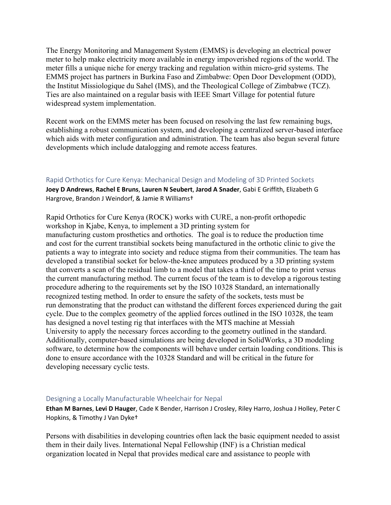The Energy Monitoring and Management System (EMMS) is developing an electrical power meter to help make electricity more available in energy impoverished regions of the world. The meter fills a unique niche for energy tracking and regulation within micro-grid systems. The EMMS project has partners in Burkina Faso and Zimbabwe: Open Door Development (ODD), the Institut Missiologique du Sahel (IMS), and the Theological College of Zimbabwe (TCZ). Ties are also maintained on a regular basis with IEEE Smart Village for potential future widespread system implementation.

Recent work on the EMMS meter has been focused on resolving the last few remaining bugs, establishing a robust communication system, and developing a centralized server-based interface which aids with meter configuration and administration. The team has also begun several future developments which include datalogging and remote access features.

#### Rapid Orthotics for Cure Kenya: Mechanical Design and Modeling of 3D Printed Sockets

**Joey D Andrews**, **Rachel E Bruns**, **Lauren N Seubert**, **Jarod A Snader**, Gabi E Griffith, Elizabeth G Hargrove, Brandon J Weindorf, & Jamie R Williams†

Rapid Orthotics for Cure Kenya (ROCK) works with CURE, a non-profit orthopedic workshop in Kjabe, Kenya, to implement a 3D printing system for manufacturing custom prosthetics and orthotics. The goal is to reduce the production time and cost for the current transtibial sockets being manufactured in the orthotic clinic to give the patients a way to integrate into society and reduce stigma from their communities. The team has developed a transtibial socket for below-the-knee amputees produced by a 3D printing system that converts a scan of the residual limb to a model that takes a third of the time to print versus the current manufacturing method. The current focus of the team is to develop a rigorous testing procedure adhering to the requirements set by the ISO 10328 Standard, an internationally recognized testing method. In order to ensure the safety of the sockets, tests must be run demonstrating that the product can withstand the different forces experienced during the gait cycle. Due to the complex geometry of the applied forces outlined in the ISO 10328, the team has designed a novel testing rig that interfaces with the MTS machine at Messiah University to apply the necessary forces according to the geometry outlined in the standard. Additionally, computer-based simulations are being developed in SolidWorks, a 3D modeling software, to determine how the components will behave under certain loading conditions. This is done to ensure accordance with the 10328 Standard and will be critical in the future for developing necessary cyclic tests.

#### Designing a Locally Manufacturable Wheelchair for Nepal

**Ethan M Barnes**, **Levi D Hauger**, Cade K Bender, Harrison J Crosley, Riley Harro, Joshua J Holley, Peter C Hopkins, & Timothy J Van Dyke†

Persons with disabilities in developing countries often lack the basic equipment needed to assist them in their daily lives. International Nepal Fellowship (INF) is a Christian medical organization located in Nepal that provides medical care and assistance to people with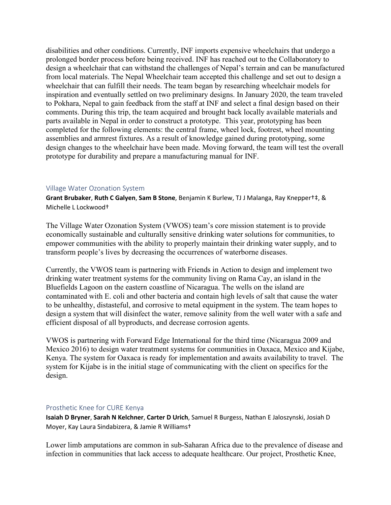disabilities and other conditions. Currently, INF imports expensive wheelchairs that undergo a prolonged border process before being received. INF has reached out to the Collaboratory to design a wheelchair that can withstand the challenges of Nepal's terrain and can be manufactured from local materials. The Nepal Wheelchair team accepted this challenge and set out to design a wheelchair that can fulfill their needs. The team began by researching wheelchair models for inspiration and eventually settled on two preliminary designs. In January 2020, the team traveled to Pokhara, Nepal to gain feedback from the staff at INF and select a final design based on their comments. During this trip, the team acquired and brought back locally available materials and parts available in Nepal in order to construct a prototype. This year, prototyping has been completed for the following elements: the central frame, wheel lock, footrest, wheel mounting assemblies and armrest fixtures. As a result of knowledge gained during prototyping, some design changes to the wheelchair have been made. Moving forward, the team will test the overall prototype for durability and prepare a manufacturing manual for INF.

#### Village Water Ozonation System

**Grant Brubaker**, **Ruth C Galyen**, **Sam B Stone**, Benjamin K Burlew, TJ J Malanga, Ray Knepper†‡, & Michelle L Lockwood†

The Village Water Ozonation System (VWOS) team's core mission statement is to provide economically sustainable and culturally sensitive drinking water solutions for communities, to empower communities with the ability to properly maintain their drinking water supply, and to transform people's lives by decreasing the occurrences of waterborne diseases.

Currently, the VWOS team is partnering with Friends in Action to design and implement two drinking water treatment systems for the community living on Rama Cay, an island in the Bluefields Lagoon on the eastern coastline of Nicaragua. The wells on the island are contaminated with E. coli and other bacteria and contain high levels of salt that cause the water to be unhealthy, distasteful, and corrosive to metal equipment in the system. The team hopes to design a system that will disinfect the water, remove salinity from the well water with a safe and efficient disposal of all byproducts, and decrease corrosion agents.

VWOS is partnering with Forward Edge International for the third time (Nicaragua 2009 and Mexico 2016) to design water treatment systems for communities in Oaxaca, Mexico and Kijabe, Kenya. The system for Oaxaca is ready for implementation and awaits availability to travel. The system for Kijabe is in the initial stage of communicating with the client on specifics for the design.

# Prosthetic Knee for CURE Kenya

**Isaiah D Bryner**, **Sarah N Kelchner**, **Carter D Urich**, Samuel R Burgess, Nathan E Jaloszynski, Josiah D Moyer, Kay Laura Sindabizera, & Jamie R Williams†

Lower limb amputations are common in sub-Saharan Africa due to the prevalence of disease and infection in communities that lack access to adequate healthcare. Our project, Prosthetic Knee,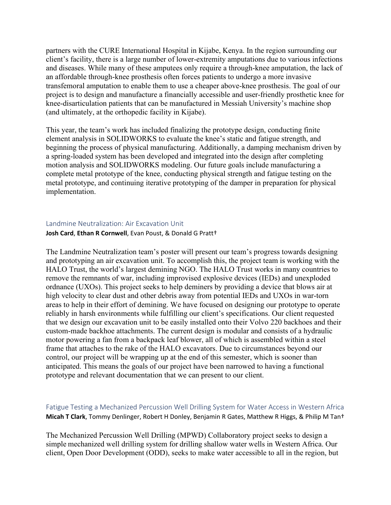partners with the CURE International Hospital in Kijabe, Kenya. In the region surrounding our client's facility, there is a large number of lower-extremity amputations due to various infections and diseases. While many of these amputees only require a through-knee amputation, the lack of an affordable through-knee prosthesis often forces patients to undergo a more invasive transfemoral amputation to enable them to use a cheaper above-knee prosthesis. The goal of our project is to design and manufacture a financially accessible and user-friendly prosthetic knee for knee-disarticulation patients that can be manufactured in Messiah University's machine shop (and ultimately, at the orthopedic facility in Kijabe).

This year, the team's work has included finalizing the prototype design, conducting finite element analysis in SOLIDWORKS to evaluate the knee's static and fatigue strength, and beginning the process of physical manufacturing. Additionally, a damping mechanism driven by a spring-loaded system has been developed and integrated into the design after completing motion analysis and SOLIDWORKS modeling. Our future goals include manufacturing a complete metal prototype of the knee, conducting physical strength and fatigue testing on the metal prototype, and continuing iterative prototyping of the damper in preparation for physical implementation.

#### Landmine Neutralization: Air Excavation Unit

#### **Josh Card**, **Ethan R Cornwell**, Evan Poust, & Donald G Pratt†

The Landmine Neutralization team's poster will present our team's progress towards designing and prototyping an air excavation unit. To accomplish this, the project team is working with the HALO Trust, the world's largest demining NGO. The HALO Trust works in many countries to remove the remnants of war, including improvised explosive devices (IEDs) and unexploded ordnance (UXOs). This project seeks to help deminers by providing a device that blows air at high velocity to clear dust and other debris away from potential IEDs and UXOs in war-torn areas to help in their effort of demining. We have focused on designing our prototype to operate reliably in harsh environments while fulfilling our client's specifications. Our client requested that we design our excavation unit to be easily installed onto their Volvo 220 backhoes and their custom-made backhoe attachments. The current design is modular and consists of a hydraulic motor powering a fan from a backpack leaf blower, all of which is assembled within a steel frame that attaches to the rake of the HALO excavators. Due to circumstances beyond our control, our project will be wrapping up at the end of this semester, which is sooner than anticipated. This means the goals of our project have been narrowed to having a functional prototype and relevant documentation that we can present to our client.

# Fatigue Testing a Mechanized Percussion Well Drilling System for Water Access in Western Africa **Micah T Clark**, Tommy Denlinger, Robert H Donley, Benjamin R Gates, Matthew R Higgs, & Philip M Tan†

The Mechanized Percussion Well Drilling (MPWD) Collaboratory project seeks to design a simple mechanized well drilling system for drilling shallow water wells in Western Africa. Our client, Open Door Development (ODD), seeks to make water accessible to all in the region, but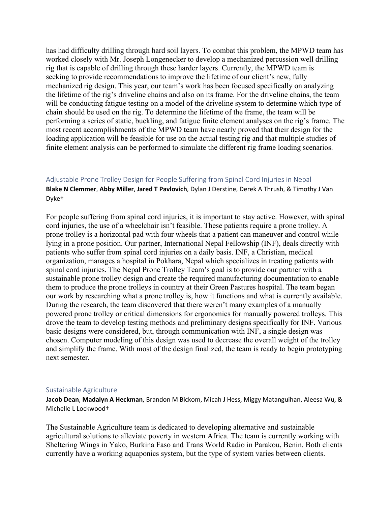has had difficulty drilling through hard soil layers. To combat this problem, the MPWD team has worked closely with Mr. Joseph Longenecker to develop a mechanized percussion well drilling rig that is capable of drilling through these harder layers. Currently, the MPWD team is seeking to provide recommendations to improve the lifetime of our client's new, fully mechanized rig design. This year, our team's work has been focused specifically on analyzing the lifetime of the rig's driveline chains and also on its frame. For the driveline chains, the team will be conducting fatigue testing on a model of the driveline system to determine which type of chain should be used on the rig. To determine the lifetime of the frame, the team will be performing a series of static, buckling, and fatigue finite element analyses on the rig's frame. The most recent accomplishments of the MPWD team have nearly proved that their design for the loading application will be feasible for use on the actual testing rig and that multiple studies of finite element analysis can be performed to simulate the different rig frame loading scenarios.

# Adjustable Prone Trolley Design for People Suffering from Spinal Cord Injuries in Nepal **Blake N Clemmer**, **Abby Miller**, **Jared T Pavlovich**, Dylan J Derstine, Derek A Thrush, & Timothy J Van Dyke†

For people suffering from spinal cord injuries, it is important to stay active. However, with spinal cord injuries, the use of a wheelchair isn't feasible. These patients require a prone trolley. A prone trolley is a horizontal pad with four wheels that a patient can maneuver and control while lying in a prone position. Our partner, International Nepal Fellowship (INF), deals directly with patients who suffer from spinal cord injuries on a daily basis. INF, a Christian, medical organization, manages a hospital in Pokhara, Nepal which specializes in treating patients with spinal cord injuries. The Nepal Prone Trolley Team's goal is to provide our partner with a sustainable prone trolley design and create the required manufacturing documentation to enable them to produce the prone trolleys in country at their Green Pastures hospital. The team began our work by researching what a prone trolley is, how it functions and what is currently available. During the research, the team discovered that there weren't many examples of a manually powered prone trolley or critical dimensions for ergonomics for manually powered trolleys. This drove the team to develop testing methods and preliminary designs specifically for INF. Various basic designs were considered, but, through communication with INF, a single design was chosen. Computer modeling of this design was used to decrease the overall weight of the trolley and simplify the frame. With most of the design finalized, the team is ready to begin prototyping next semester.

#### Sustainable Agriculture

**Jacob Dean**, **Madalyn A Heckman**, Brandon M Bickom, Micah J Hess, Miggy Matanguihan, Aleesa Wu, & Michelle L Lockwood†

The Sustainable Agriculture team is dedicated to developing alternative and sustainable agricultural solutions to alleviate poverty in western Africa. The team is currently working with Sheltering Wings in Yako, Burkina Faso and Trans World Radio in Parakou, Benin. Both clients currently have a working aquaponics system, but the type of system varies between clients.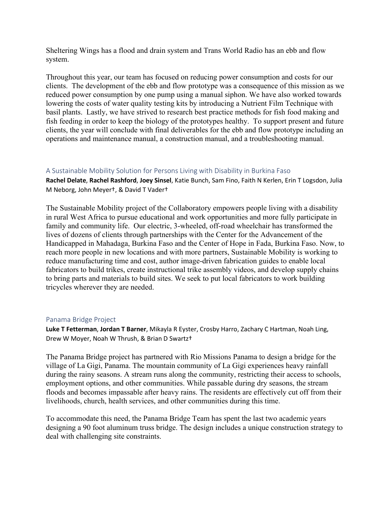Sheltering Wings has a flood and drain system and Trans World Radio has an ebb and flow system.

Throughout this year, our team has focused on reducing power consumption and costs for our clients. The development of the ebb and flow prototype was a consequence of this mission as we reduced power consumption by one pump using a manual siphon. We have also worked towards lowering the costs of water quality testing kits by introducing a Nutrient Film Technique with basil plants. Lastly, we have strived to research best practice methods for fish food making and fish feeding in order to keep the biology of the prototypes healthy. To support present and future clients, the year will conclude with final deliverables for the ebb and flow prototype including an operations and maintenance manual, a construction manual, and a troubleshooting manual.

#### A Sustainable Mobility Solution for Persons Living with Disability in Burkina Faso

**Rachel Delate**, **Rachel Rashford**, **Joey Sinsel**, Katie Bunch, Sam Fino, Faith N Kerlen, Erin T Logsdon, Julia M Neborg, John Meyer†, & David T Vader†

The Sustainable Mobility project of the Collaboratory empowers people living with a disability in rural West Africa to pursue educational and work opportunities and more fully participate in family and community life. Our electric, 3-wheeled, off-road wheelchair has transformed the lives of dozens of clients through partnerships with the Center for the Advancement of the Handicapped in Mahadaga, Burkina Faso and the Center of Hope in Fada, Burkina Faso. Now, to reach more people in new locations and with more partners, Sustainable Mobility is working to reduce manufacturing time and cost, author image-driven fabrication guides to enable local fabricators to build trikes, create instructional trike assembly videos, and develop supply chains to bring parts and materials to build sites. We seek to put local fabricators to work building tricycles wherever they are needed.

#### Panama Bridge Project

**Luke T Fetterman**, **Jordan T Barner**, Mikayla R Eyster, Crosby Harro, Zachary C Hartman, Noah Ling, Drew W Moyer, Noah W Thrush, & Brian D Swartz†

The Panama Bridge project has partnered with Rio Missions Panama to design a bridge for the village of La Gigi, Panama. The mountain community of La Gigi experiences heavy rainfall during the rainy seasons. A stream runs along the community, restricting their access to schools, employment options, and other communities. While passable during dry seasons, the stream floods and becomes impassable after heavy rains. The residents are effectively cut off from their livelihoods, church, health services, and other communities during this time.

To accommodate this need, the Panama Bridge Team has spent the last two academic years designing a 90 foot aluminum truss bridge. The design includes a unique construction strategy to deal with challenging site constraints.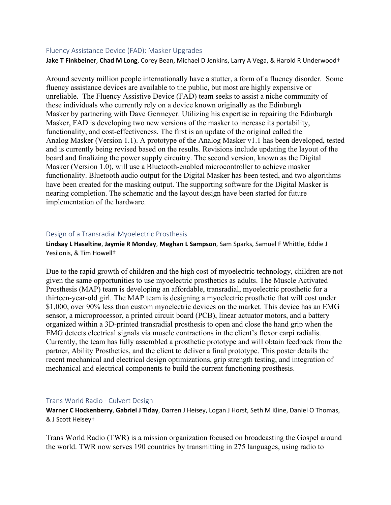#### Fluency Assistance Device (FAD): Masker Upgrades

**Jake T Finkbeiner**, **Chad M Long**, Corey Bean, Michael D Jenkins, Larry A Vega, & Harold R Underwood†

Around seventy million people internationally have a stutter, a form of a fluency disorder. Some fluency assistance devices are available to the public, but most are highly expensive or unreliable. The Fluency Assistive Device (FAD) team seeks to assist a niche community of these individuals who currently rely on a device known originally as the Edinburgh Masker by partnering with Dave Germeyer. Utilizing his expertise in repairing the Edinburgh Masker, FAD is developing two new versions of the masker to increase its portability, functionality, and cost-effectiveness. The first is an update of the original called the Analog Masker (Version 1.1). A prototype of the Analog Masker v1.1 has been developed, tested and is currently being revised based on the results. Revisions include updating the layout of the board and finalizing the power supply circuitry. The second version, known as the Digital Masker (Version 1.0), will use a Bluetooth-enabled microcontroller to achieve masker functionality. Bluetooth audio output for the Digital Masker has been tested, and two algorithms have been created for the masking output. The supporting software for the Digital Masker is nearing completion. The schematic and the layout design have been started for future implementation of the hardware.

#### Design of a Transradial Myoelectric Prosthesis

**Lindsay L Haseltine**, **Jaymie R Monday**, **Meghan L Sampson**, Sam Sparks, Samuel F Whittle, Eddie J Yesilonis, & Tim Howell†

Due to the rapid growth of children and the high cost of myoelectric technology, children are not given the same opportunities to use myoelectric prosthetics as adults. The Muscle Activated Prosthesis (MAP) team is developing an affordable, transradial, myoelectric prosthetic for a thirteen-year-old girl. The MAP team is designing a myoelectric prosthetic that will cost under \$1,000, over 90% less than custom myoelectric devices on the market. This device has an EMG sensor, a microprocessor, a printed circuit board (PCB), linear actuator motors, and a battery organized within a 3D-printed transradial prosthesis to open and close the hand grip when the EMG detects electrical signals via muscle contractions in the client's flexor carpi radialis. Currently, the team has fully assembled a prosthetic prototype and will obtain feedback from the partner, Ability Prosthetics, and the client to deliver a final prototype. This poster details the recent mechanical and electrical design optimizations, grip strength testing, and integration of mechanical and electrical components to build the current functioning prosthesis.

#### Trans World Radio - Culvert Design

**Warner C Hockenberry**, **Gabriel J Tiday**, Darren J Heisey, Logan J Horst, Seth M Kline, Daniel O Thomas, & J Scott Heisey†

Trans World Radio (TWR) is a mission organization focused on broadcasting the Gospel around the world. TWR now serves 190 countries by transmitting in 275 languages, using radio to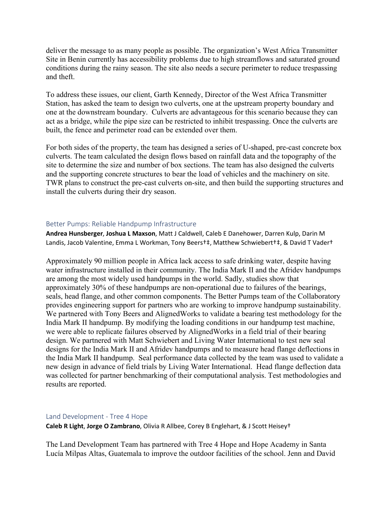deliver the message to as many people as possible. The organization's West Africa Transmitter Site in Benin currently has accessibility problems due to high streamflows and saturated ground conditions during the rainy season. The site also needs a secure perimeter to reduce trespassing and theft.

To address these issues, our client, Garth Kennedy, Director of the West Africa Transmitter Station, has asked the team to design two culverts, one at the upstream property boundary and one at the downstream boundary. Culverts are advantageous for this scenario because they can act as a bridge, while the pipe size can be restricted to inhibit trespassing. Once the culverts are built, the fence and perimeter road can be extended over them.

For both sides of the property, the team has designed a series of U-shaped, pre-cast concrete box culverts. The team calculated the design flows based on rainfall data and the topography of the site to determine the size and number of box sections. The team has also designed the culverts and the supporting concrete structures to bear the load of vehicles and the machinery on site. TWR plans to construct the pre-cast culverts on-site, and then build the supporting structures and install the culverts during their dry season.

#### Better Pumps: Reliable Handpump Infrastructure

**Andrea Hunsberger**, **Joshua L Maxson**, Matt J Caldwell, Caleb E Danehower, Darren Kulp, Darin M Landis, Jacob Valentine, Emma L Workman, Tony Beers†‡, Matthew Schwiebert†‡, & David T Vader†

Approximately 90 million people in Africa lack access to safe drinking water, despite having water infrastructure installed in their community. The India Mark II and the Afridev handpumps are among the most widely used handpumps in the world. Sadly, studies show that approximately 30% of these handpumps are non-operational due to failures of the bearings, seals, head flange, and other common components. The Better Pumps team of the Collaboratory provides engineering support for partners who are working to improve handpump sustainability. We partnered with Tony Beers and AlignedWorks to validate a bearing test methodology for the India Mark II handpump. By modifying the loading conditions in our handpump test machine, we were able to replicate failures observed by AlignedWorks in a field trial of their bearing design. We partnered with Matt Schwiebert and Living Water International to test new seal designs for the India Mark II and Afridev handpumps and to measure head flange deflections in the India Mark II handpump. Seal performance data collected by the team was used to validate a new design in advance of field trials by Living Water International. Head flange deflection data was collected for partner benchmarking of their computational analysis. Test methodologies and results are reported.

#### Land Development - Tree 4 Hope

**Caleb R Light**, **Jorge O Zambrano**, Olivia R Allbee, Corey B Englehart, & J Scott Heisey†

The Land Development Team has partnered with Tree 4 Hope and Hope Academy in Santa Lucía Milpas Altas, Guatemala to improve the outdoor facilities of the school. Jenn and David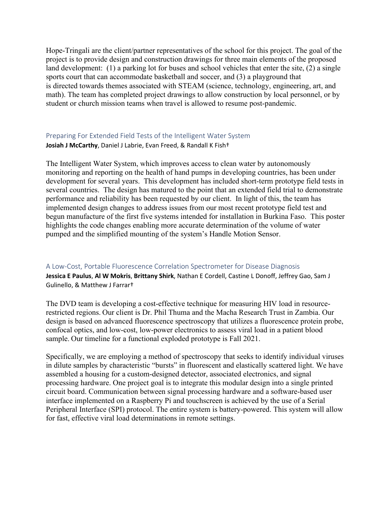Hope-Tringali are the client/partner representatives of the school for this project. The goal of the project is to provide design and construction drawings for three main elements of the proposed land development: (1) a parking lot for buses and school vehicles that enter the site, (2) a single sports court that can accommodate basketball and soccer, and (3) a playground that is directed towards themes associated with STEAM (science, technology, engineering, art, and math). The team has completed project drawings to allow construction by local personnel, or by student or church mission teams when travel is allowed to resume post-pandemic.

# Preparing For Extended Field Tests of the Intelligent Water System **Josiah J McCarthy**, Daniel J Labrie, Evan Freed, & Randall K Fish†

The Intelligent Water System, which improves access to clean water by autonomously monitoring and reporting on the health of hand pumps in developing countries, has been under development for several years. This development has included short-term prototype field tests in several countries. The design has matured to the point that an extended field trial to demonstrate performance and reliability has been requested by our client. In light of this, the team has implemented design changes to address issues from our most recent prototype field test and begun manufacture of the first five systems intended for installation in Burkina Faso. This poster highlights the code changes enabling more accurate determination of the volume of water pumped and the simplified mounting of the system's Handle Motion Sensor.

#### A Low-Cost, Portable Fluorescence Correlation Spectrometer for Disease Diagnosis

**Jessica E Paulus**, **Al W Mokris**, **Brittany Shirk**, Nathan E Cordell, Castine L Donoff, Jeffrey Gao, Sam J Gulinello, & Matthew J Farrar†

The DVD team is developing a cost-effective technique for measuring HIV load in resourcerestricted regions. Our client is Dr. Phil Thuma and the Macha Research Trust in Zambia. Our design is based on advanced fluorescence spectroscopy that utilizes a fluorescence protein probe, confocal optics, and low-cost, low-power electronics to assess viral load in a patient blood sample. Our timeline for a functional exploded prototype is Fall 2021.

Specifically, we are employing a method of spectroscopy that seeks to identify individual viruses in dilute samples by characteristic "bursts" in fluorescent and elastically scattered light. We have assembled a housing for a custom-designed detector, associated electronics, and signal processing hardware. One project goal is to integrate this modular design into a single printed circuit board. Communication between signal processing hardware and a software-based user interface implemented on a Raspberry Pi and touchscreen is achieved by the use of a Serial Peripheral Interface (SPI) protocol. The entire system is battery-powered. This system will allow for fast, effective viral load determinations in remote settings.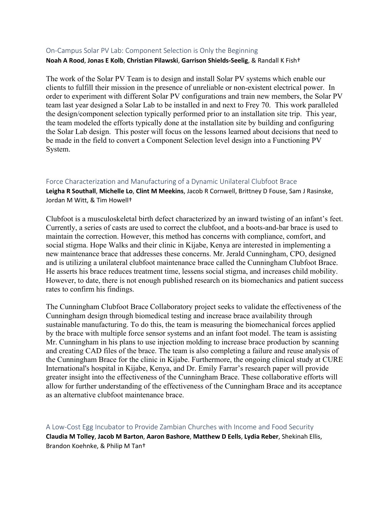#### On-Campus Solar PV Lab: Component Selection is Only the Beginning

#### **Noah A Rood**, **Jonas E Kolb**, **Christian Pilawski**, **Garrison Shields-Seelig**, & Randall K Fish†

The work of the Solar PV Team is to design and install Solar PV systems which enable our clients to fulfill their mission in the presence of unreliable or non-existent electrical power. In order to experiment with different Solar PV configurations and train new members, the Solar PV team last year designed a Solar Lab to be installed in and next to Frey 70. This work paralleled the design/component selection typically performed prior to an installation site trip. This year, the team modeled the efforts typically done at the installation site by building and configuring the Solar Lab design. This poster will focus on the lessons learned about decisions that need to be made in the field to convert a Component Selection level design into a Functioning PV System.

#### Force Characterization and Manufacturing of a Dynamic Unilateral Clubfoot Brace

**Leigha R Southall**, **Michelle Lo**, **Clint M Meekins**, Jacob R Cornwell, Brittney D Fouse, Sam J Rasinske, Jordan M Witt, & Tim Howell†

Clubfoot is a musculoskeletal birth defect characterized by an inward twisting of an infant's feet. Currently, a series of casts are used to correct the clubfoot, and a boots-and-bar brace is used to maintain the correction. However, this method has concerns with compliance, comfort, and social stigma. Hope Walks and their clinic in Kijabe, Kenya are interested in implementing a new maintenance brace that addresses these concerns. Mr. Jerald Cunningham, CPO, designed and is utilizing a unilateral clubfoot maintenance brace called the Cunningham Clubfoot Brace. He asserts his brace reduces treatment time, lessens social stigma, and increases child mobility. However, to date, there is not enough published research on its biomechanics and patient success rates to confirm his findings.

The Cunningham Clubfoot Brace Collaboratory project seeks to validate the effectiveness of the Cunningham design through biomedical testing and increase brace availability through sustainable manufacturing. To do this, the team is measuring the biomechanical forces applied by the brace with multiple force sensor systems and an infant foot model. The team is assisting Mr. Cunningham in his plans to use injection molding to increase brace production by scanning and creating CAD files of the brace. The team is also completing a failure and reuse analysis of the Cunningham Brace for the clinic in Kijabe. Furthermore, the ongoing clinical study at CURE International's hospital in Kijabe, Kenya, and Dr. Emily Farrar's research paper will provide greater insight into the effectiveness of the Cunningham Brace. These collaborative efforts will allow for further understanding of the effectiveness of the Cunningham Brace and its acceptance as an alternative clubfoot maintenance brace.

A Low-Cost Egg Incubator to Provide Zambian Churches with Income and Food Security **Claudia M Tolley**, **Jacob M Barton**, **Aaron Bashore**, **Matthew D Eells**, **Lydia Reber**, Shekinah Ellis, Brandon Koehnke, & Philip M Tan†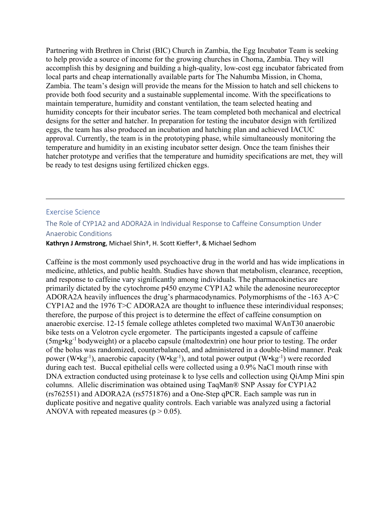Partnering with Brethren in Christ (BIC) Church in Zambia, the Egg Incubator Team is seeking to help provide a source of income for the growing churches in Choma, Zambia. They will accomplish this by designing and building a high-quality, low-cost egg incubator fabricated from local parts and cheap internationally available parts for The Nahumba Mission, in Choma, Zambia. The team's design will provide the means for the Mission to hatch and sell chickens to provide both food security and a sustainable supplemental income. With the specifications to maintain temperature, humidity and constant ventilation, the team selected heating and humidity concepts for their incubator series. The team completed both mechanical and electrical designs for the setter and hatcher. In preparation for testing the incubator design with fertilized eggs, the team has also produced an incubation and hatching plan and achieved IACUC approval. Currently, the team is in the prototyping phase, while simultaneously monitoring the temperature and humidity in an existing incubator setter design. Once the team finishes their hatcher prototype and verifies that the temperature and humidity specifications are met, they will be ready to test designs using fertilized chicken eggs.

#### Exercise Science

# The Role of CYP1A2 and ADORA2A in Individual Response to Caffeine Consumption Under Anaerobic Conditions

#### **Kathryn J Armstrong**, Michael Shin†, H. Scott Kieffer†, & Michael Sedhom

Caffeine is the most commonly used psychoactive drug in the world and has wide implications in medicine, athletics, and public health. Studies have shown that metabolism, clearance, reception, and response to caffeine vary significantly among individuals. The pharmacokinetics are primarily dictated by the cytochrome p450 enzyme CYP1A2 while the adenosine neuroreceptor ADORA2A heavily influences the drug's pharmacodynamics. Polymorphisms of the -163 A>C CYP1A2 and the 1976 T>C ADORA2A are thought to influence these interindividual responses; therefore, the purpose of this project is to determine the effect of caffeine consumption on anaerobic exercise. 12-15 female college athletes completed two maximal WAnT30 anaerobic bike tests on a Velotron cycle ergometer. The participants ingested a capsule of caffeine  $(5mg \cdot kg^{-1})$  bodyweight) or a placebo capsule (maltodextrin) one hour prior to testing. The order of the bolus was randomized, counterbalanced, and administered in a double-blind manner. Peak power (W•kg<sup>-1</sup>), anaerobic capacity (W•kg<sup>-1</sup>), and total power output (W•kg<sup>-1</sup>) were recorded during each test. Buccal epithelial cells were collected using a 0.9% NaCl mouth rinse with DNA extraction conducted using proteinase k to lyse cells and collection using QiAmp Mini spin columns. Allelic discrimination was obtained using TaqMan® SNP Assay for CYP1A2 (rs762551) and ADORA2A (rs5751876) and a One-Step qPCR. Each sample was run in duplicate positive and negative quality controls. Each variable was analyzed using a factorial ANOVA with repeated measures ( $p > 0.05$ ).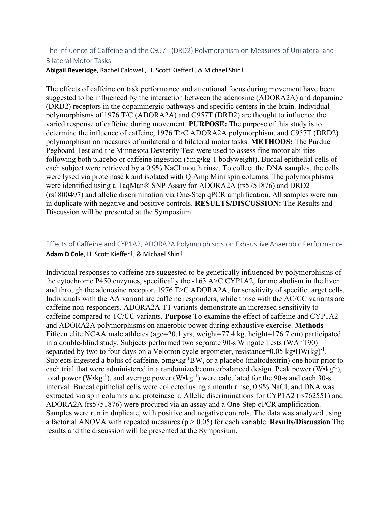# The Influence of Caffeine and the C957T (DRD2) Polymorphism on Measures of Unilateral and Bilateral Motor Tasks

**Abigail Beveridge**, Rachel Caldwell, H. Scott Kieffer†, & Michael Shin†

The effects of caffeine on task performance and attentional focus during movement have been suggested to be influenced by the interaction between the adenosine (ADORA2A) and dopamine (DRD2) receptors in the dopaminergic pathways and specific centers in the brain. Individual polymorphisms of 1976 T/C (ADORA2A) and C957T (DRD2) are thought to influence the varied response of caffeine during movement. **PURPOSE:** The purpose of this study is to determine the influence of caffeine, 1976 T>C ADORA2A polymorphism, and C957T (DRD2) polymorphism on measures of unilateral and bilateral motor tasks. **METHODS:** The Purdue Pegboard Test and the Minnesota Dexterity Test were used to assess fine motor abilities following both placebo or caffeine ingestion (5mg•kg-1 bodyweight). Buccal epithelial cells of each subject were retrieved by a 0.9% NaCl mouth rinse. To collect the DNA samples, the cells were lysed via proteinase k and isolated with QiAmp Mini spin columns. The polymorphisms were identified using a TaqMan® SNP Assay for ADORA2A (rs5751876) and DRD2 (rs1800497) and allelic discrimination via One-Step qPCR amplification. All samples were run in duplicate with negative and positive controls. **RESULTS/DISCUSSION:** The Results and Discussion will be presented at the Symposium.

# Effects of Caffeine and CYP1A2, ADORA2A Polymorphisms on Exhaustive Anaerobic Performance **Adam D Cole**, H. Scott Kieffer†, & Michael Shin†

Individual responses to caffeine are suggested to be genetically influenced by polymorphisms of the cytochrome P450 enzymes, specifically the -163 A>C CYP1A2, for metabolism in the liver and through the adenosine receptor, 1976 T>C ADORA2A, for sensitivity of specific target cells. Individuals with the AA variant are caffeine responders, while those with the AC/CC variants are caffeine non-responders. ADORA2A TT variants demonstrate an increased sensitivity to caffeine compared to TC/CC variants. **Purpose** To examine the effect of caffeine and CYP1A2 and ADORA2A polymorphisms on anaerobic power during exhaustive exercise. **Methods**  Fifteen elite NCAA male athletes (age=20.1 yrs, weight=77.4 kg, height=176.7 cm) participated in a double-blind study. Subjects performed two separate 90-s Wingate Tests (WAnT90) separated by two to four days on a Velotron cycle ergometer, resistance= $0.05 \text{ kg} \cdot \text{BW}(\text{kg})^{-1}$ . Subjects ingested a bolus of caffeine,  $5mg*kg^{-1}BW$ , or a placebo (maltodextrin) one hour prior to each trial that were administered in a randomized/counterbalanced design. Peak power (W•kg<sup>-1</sup>), total power (W•kg<sup>-1</sup>), and average power (W•kg<sup>-1</sup>) were calculated for the 90-s and each 30-s interval. Buccal epithelial cells were collected using a mouth rinse, 0.9% NaCl, and DNA was extracted via spin columns and proteinase k. Allelic discriminations for CYP1A2 (rs762551) and ADORA2A (rs5751876) were procured via an assay and a One-Step qPCR amplification. Samples were run in duplicate, with positive and negative controls. The data was analyzed using a factorial ANOVA with repeated measures (p > 0.05) for each variable. **Results/Discussion** The results and the discussion will be presented at the Symposium.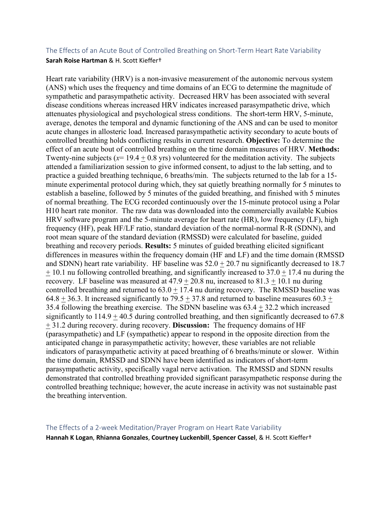# The Effects of an Acute Bout of Controlled Breathing on Short-Term Heart Rate Variability **Sarah Roise Hartman** & H. Scott Kieffer†

Heart rate variability (HRV) is a non-invasive measurement of the autonomic nervous system (ANS) which uses the frequency and time domains of an ECG to determine the magnitude of sympathetic and parasympathetic activity. Decreased HRV has been associated with several disease conditions whereas increased HRV indicates increased parasympathetic drive, which attenuates physiological and psychological stress conditions. The short-term HRV, 5-minute, average, denotes the temporal and dynamic functioning of the ANS and can be used to monitor acute changes in allosteric load. Increased parasympathetic activity secondary to acute bouts of controlled breathing holds conflicting results in current research. **Objective:** To determine the effect of an acute bout of controlled breathing on the time domain measures of HRV. **Methods:** Twenty-nine subjects ( $x= 19.4 + 0.8$  yrs) volunteered for the meditation activity. The subjects attended a familiarization session to give informed consent, to adjust to the lab setting, and to practice a guided breathing technique, 6 breaths/min. The subjects returned to the lab for a 15 minute experimental protocol during which, they sat quietly breathing normally for 5 minutes to establish a baseline, followed by 5 minutes of the guided breathing, and finished with 5 minutes of normal breathing. The ECG recorded continuously over the 15-minute protocol using a Polar H10 heart rate monitor. The raw data was downloaded into the commercially available Kubios HRV software program and the 5-minute average for heart rate (HR), low frequency (LF), high frequency (HF), peak HF/LF ratio, standard deviation of the normal-normal R-R (SDNN), and root mean square of the standard deviation (RMSSD) were calculated for baseline, guided breathing and recovery periods. **Results:** 5 minutes of guided breathing elicited significant differences in measures within the frequency domain (HF and LF) and the time domain (RMSSD and SDNN) heart rate variability. HF baseline was  $52.0 + 20.7$  nu significantly decreased to 18.7  $+ 10.1$  nu following controlled breathing, and significantly increased to  $37.0 + 17.4$  nu during the recovery. LF baseline was measured at  $47.9 + 20.8$  nu, increased to  $81.3 + 10.1$  nu during controlled breathing and returned to  $63.0 \pm 17.4$  nu during recovery. The RMSSD baseline was  $64.8 + 36.3$ . It increased significantly to  $79.5 + 37.8$  and returned to baseline measures  $60.3 +$ 35.4 following the breathing exercise. The SDNN baseline was 63.4 + 32.2 which increased significantly to  $114.9 + 40.5$  during controlled breathing, and then significantly decreased to 67.8 + 31.2 during recovery. during recovery. **Discussion:** The frequency domains of HF (parasympathetic) and LF (sympathetic) appear to respond in the opposite direction from the anticipated change in parasympathetic activity; however, these variables are not reliable indicators of parasympathetic activity at paced breathing of 6 breaths/minute or slower. Within the time domain, RMSSD and SDNN have been identified as indicators of short-term parasympathetic activity, specifically vagal nerve activation. The RMSSD and SDNN results demonstrated that controlled breathing provided significant parasympathetic response during the controlled breathing technique; however, the acute increase in activity was not sustainable past the breathing intervention.

# The Effects of a 2-week Meditation/Prayer Program on Heart Rate Variability

**Hannah K Logan**, **Rhianna Gonzales**, **Courtney Luckenbill**, **Spencer Cassel**, & H. Scott Kieffer†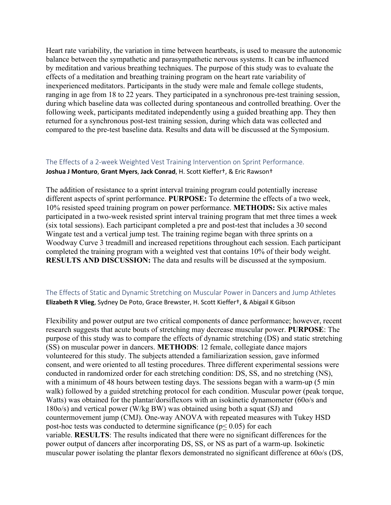Heart rate variability, the variation in time between heartbeats, is used to measure the autonomic balance between the sympathetic and parasympathetic nervous systems. It can be influenced by meditation and various breathing techniques. The purpose of this study was to evaluate the effects of a meditation and breathing training program on the heart rate variability of inexperienced meditators. Participants in the study were male and female college students, ranging in age from 18 to 22 years. They participated in a synchronous pre-test training session, during which baseline data was collected during spontaneous and controlled breathing. Over the following week, participants meditated independently using a guided breathing app. They then returned for a synchronous post-test training session, during which data was collected and compared to the pre-test baseline data. Results and data will be discussed at the Symposium.

# The Effects of a 2-week Weighted Vest Training Intervention on Sprint Performance. **Joshua J Monturo**, **Grant Myers**, **Jack Conrad**, H. Scott Kieffer†, & Eric Rawson†

The addition of resistance to a sprint interval training program could potentially increase different aspects of sprint performance. **PURPOSE:** To determine the effects of a two week, 10% resisted speed training program on power performance. **METHODS:** Six active males participated in a two-week resisted sprint interval training program that met three times a week (six total sessions). Each participant completed a pre and post-test that includes a 30 second Wingate test and a vertical jump test. The training regime began with three sprints on a Woodway Curve 3 treadmill and increased repetitions throughout each session. Each participant completed the training program with a weighted vest that contains 10% of their body weight. **RESULTS AND DISCUSSION:** The data and results will be discussed at the symposium.

# The Effects of Static and Dynamic Stretching on Muscular Power in Dancers and Jump Athletes **Elizabeth R Vlieg**, Sydney De Poto, Grace Brewster, H. Scott Kieffer†, & Abigail K Gibson

Flexibility and power output are two critical components of dance performance; however, recent research suggests that acute bouts of stretching may decrease muscular power. **PURPOSE**: The purpose of this study was to compare the effects of dynamic stretching (DS) and static stretching (SS) on muscular power in dancers. **METHODS**: 12 female, collegiate dance majors volunteered for this study. The subjects attended a familiarization session, gave informed consent, and were oriented to all testing procedures. Three different experimental sessions were conducted in randomized order for each stretching condition: DS, SS, and no stretching (NS), with a minimum of 48 hours between testing days. The sessions began with a warm-up (5 min walk) followed by a guided stretching protocol for each condition. Muscular power (peak torque, Watts) was obtained for the plantar/dorsiflexors with an isokinetic dynamometer (60o/s and 180o/s) and vertical power (W/kg BW) was obtained using both a squat (SJ) and countermovement jump (CMJ). One-way ANOVA with repeated measures with Tukey HSD post-hoc tests was conducted to determine significance ( $p$ < 0.05) for each variable. **RESULTS**: The results indicated that there were no significant differences for the power output of dancers after incorporating DS, SS, or NS as part of a warm-up. Isokinetic muscular power isolating the plantar flexors demonstrated no significant difference at 60o/s (DS,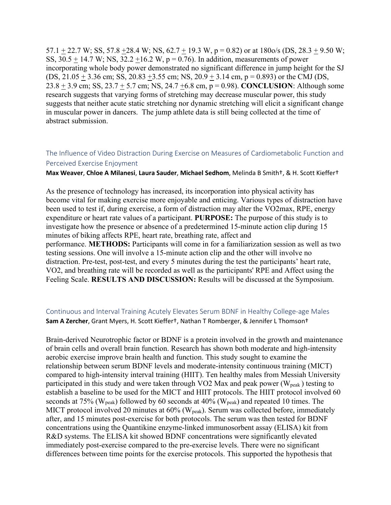57.1  $\pm$  22.7 W; SS, 57.8  $\pm$ 28.4 W; NS, 62.7  $\pm$  19.3 W, p = 0.82) or at 180o/s (DS, 28.3  $\pm$  9.50 W; SS,  $30.5 + 14.7$  W; NS,  $32.2 + 16.2$  W,  $p = 0.76$ ). In addition, measurements of power incorporating whole body power demonstrated no significant difference in jump height for the SJ (DS,  $21.05 \pm 3.36$  cm; SS,  $20.83 \pm 3.55$  cm; NS,  $20.9 \pm 3.14$  cm, p = 0.893) or the CMJ (DS, 23.8 + 3.9 cm; SS, 23.7 + 5.7 cm; NS, 24.7 +6.8 cm, p = 0.98). **CONCLUSION**: Although some research suggests that varying forms of stretching may decrease muscular power, this study suggests that neither acute static stretching nor dynamic stretching will elicit a significant change in muscular power in dancers. The jump athlete data is still being collected at the time of abstract submission.

# The Influence of Video Distraction During Exercise on Measures of Cardiometabolic Function and Perceived Exercise Enjoyment

#### **Max Weaver**, **Chloe A Milanesi**, **Laura Sauder**, **Michael Sedhom**, Melinda B Smith†, & H. Scott Kieffer†

As the presence of technology has increased, its incorporation into physical activity has become vital for making exercise more enjoyable and enticing. Various types of distraction have been used to test if, during exercise, a form of distraction may alter the VO2max, RPE, energy expenditure or heart rate values of a participant. **PURPOSE:** The purpose of this study is to investigate how the presence or absence of a predetermined 15-minute action clip during 15 minutes of biking affects RPE, heart rate, breathing rate, affect and performance. **METHODS:** Participants will come in for a familiarization session as well as two testing sessions. One will involve a 15-minute action clip and the other will involve no distraction. Pre-test, post-test, and every 5 minutes during the test the participants' heart rate, VO2, and breathing rate will be recorded as well as the participants' RPE and Affect using the Feeling Scale. **RESULTS AND DISCUSSION:** Results will be discussed at the Symposium.

# Continuous and Interval Training Acutely Elevates Serum BDNF in Healthy College-age Males **Sam A Zercher**, Grant Myers, H. Scott Kieffer†, Nathan T Romberger, & Jennifer L Thomson†

Brain-derived Neurotrophic factor or BDNF is a protein involved in the growth and maintenance of brain cells and overall brain function. Research has shown both moderate and high-intensity aerobic exercise improve brain health and function. This study sought to examine the relationship between serum BDNF levels and moderate-intensity continuous training (MICT) compared to high-intensity interval training (HIIT). Ten healthy males from Messiah University participated in this study and were taken through VO2 Max and peak power ( $W_{peak}$ ) testing to establish a baseline to be used for the MICT and HIIT protocols. The HIIT protocol involved 60 seconds at 75% ( $W_{peak}$ ) followed by 60 seconds at 40% ( $W_{peak}$ ) and repeated 10 times. The MICT protocol involved 20 minutes at  $60\%$  (W<sub>peak</sub>). Serum was collected before, immediately after, and 15 minutes post-exercise for both protocols. The serum was then tested for BDNF concentrations using the Quantikine enzyme-linked immunosorbent assay (ELISA) kit from R&D systems. The ELISA kit showed BDNF concentrations were significantly elevated immediately post-exercise compared to the pre-exercise levels. There were no significant differences between time points for the exercise protocols. This supported the hypothesis that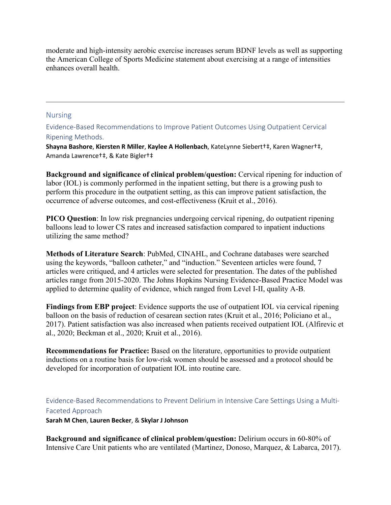moderate and high-intensity aerobic exercise increases serum BDNF levels as well as supporting the American College of Sports Medicine statement about exercising at a range of intensities enhances overall health.

# Nursing

Evidence-Based Recommendations to Improve Patient Outcomes Using Outpatient Cervical Ripening Methods.

**Shayna Bashore**, **Kiersten R Miller**, **Kaylee A Hollenbach**, KateLynne Siebert†‡, Karen Wagner†‡, Amanda Lawrence†‡, & Kate Bigler†‡

**Background and significance of clinical problem/question:** Cervical ripening for induction of labor (IOL) is commonly performed in the inpatient setting, but there is a growing push to perform this procedure in the outpatient setting, as this can improve patient satisfaction, the occurrence of adverse outcomes, and cost-effectiveness (Kruit et al., 2016).

**PICO Question**: In low risk pregnancies undergoing cervical ripening, do outpatient ripening balloons lead to lower CS rates and increased satisfaction compared to inpatient inductions utilizing the same method?

**Methods of Literature Search**: PubMed, CINAHL, and Cochrane databases were searched using the keywords, "balloon catheter," and "induction." Seventeen articles were found, 7 articles were critiqued, and 4 articles were selected for presentation. The dates of the published articles range from 2015-2020. The Johns Hopkins Nursing Evidence-Based Practice Model was applied to determine quality of evidence, which ranged from Level I-II, quality A-B.

**Findings from EBP project**: Evidence supports the use of outpatient IOL via cervical ripening balloon on the basis of reduction of cesarean section rates (Kruit et al., 2016; Policiano et al., 2017). Patient satisfaction was also increased when patients received outpatient IOL (Alfirevic et al., 2020; Beckman et al., 2020; Kruit et al., 2016).

**Recommendations for Practice:** Based on the literature, opportunities to provide outpatient inductions on a routine basis for low-risk women should be assessed and a protocol should be developed for incorporation of outpatient IOL into routine care.

Evidence-Based Recommendations to Prevent Delirium in Intensive Care Settings Using a Multi-Faceted Approach

**Sarah M Chen**, **Lauren Becker**, & **Skylar J Johnson**

**Background and significance of clinical problem/question:** Delirium occurs in 60-80% of Intensive Care Unit patients who are ventilated (Martinez, Donoso, Marquez, & Labarca, 2017).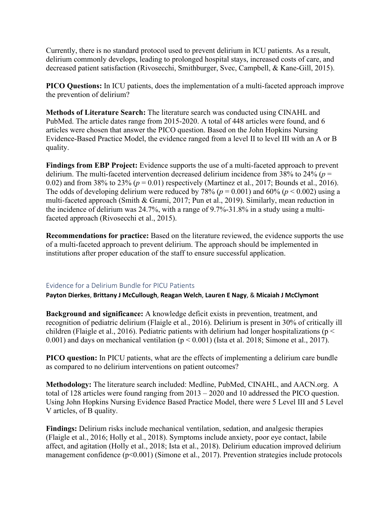Currently, there is no standard protocol used to prevent delirium in ICU patients. As a result, delirium commonly develops, leading to prolonged hospital stays, increased costs of care, and decreased patient satisfaction (Rivosecchi, Smithburger, Svec, Campbell, & Kane-Gill, 2015).

**PICO Questions:** In ICU patients, does the implementation of a multi-faceted approach improve the prevention of delirium?

**Methods of Literature Search:** The literature search was conducted using CINAHL and PubMed. The article dates range from 2015-2020. A total of 448 articles were found, and 6 articles were chosen that answer the PICO question. Based on the John Hopkins Nursing Evidence-Based Practice Model, the evidence ranged from a level II to level III with an A or B quality.

**Findings from EBP Project:** Evidence supports the use of a multi-faceted approach to prevent delirium. The multi-faceted intervention decreased delirium incidence from 38% to 24% (*p* = 0.02) and from 38% to 23% ( $p = 0.01$ ) respectively (Martinez et al., 2017; Bounds et al., 2016). The odds of developing delirium were reduced by 78% ( $p = 0.001$ ) and 60% ( $p < 0.002$ ) using a multi-faceted approach (Smith & Grami, 2017; Pun et al., 2019). Similarly, mean reduction in the incidence of delirium was 24.7%, with a range of 9.7%-31.8% in a study using a multifaceted approach (Rivosecchi et al., 2015).

**Recommendations for practice:** Based on the literature reviewed, the evidence supports the use of a multi-faceted approach to prevent delirium. The approach should be implemented in institutions after proper education of the staff to ensure successful application.

# Evidence for a Delirium Bundle for PICU Patients

**Payton Dierkes**, **Brittany J McCullough**, **Reagan Welch**, **Lauren E Nagy**, & **Micaiah J McClymont**

**Background and significance:** A knowledge deficit exists in prevention, treatment, and recognition of pediatric delirium (Flaigle et al., 2016). Delirium is present in 30% of critically ill children (Flaigle et al., 2016). Pediatric patients with delirium had longer hospitalizations ( $p <$ 0.001) and days on mechanical ventilation ( $p < 0.001$ ) (Ista et al. 2018; Simone et al., 2017).

**PICO question:** In PICU patients, what are the effects of implementing a delirium care bundle as compared to no delirium interventions on patient outcomes?

**Methodology:** The literature search included: Medline, PubMed, CINAHL, and AACN.org. A total of 128 articles were found ranging from 2013 – 2020 and 10 addressed the PICO question. Using John Hopkins Nursing Evidence Based Practice Model, there were 5 Level III and 5 Level V articles, of B quality.

**Findings:** Delirium risks include mechanical ventilation, sedation, and analgesic therapies (Flaigle et al., 2016; Holly et al., 2018). Symptoms include anxiety, poor eye contact, labile affect, and agitation (Holly et al., 2018; Ista et al., 2018). Delirium education improved delirium management confidence (p<0.001) (Simone et al., 2017). Prevention strategies include protocols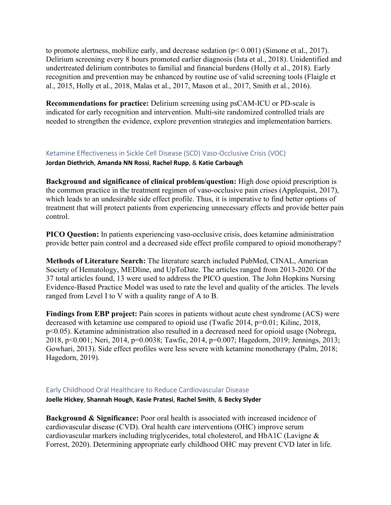to promote alertness, mobilize early, and decrease sedation (p< 0.001) (Simone et al., 2017). Delirium screening every 8 hours promoted earlier diagnosis (Ista et al., 2018). Unidentified and undertreated delirium contributes to familial and financial burdens (Holly et al., 2018). Early recognition and prevention may be enhanced by routine use of valid screening tools (Flaigle et al., 2015, Holly et al., 2018, Malas et al., 2017, Mason et al., 2017, Smith et al., 2016).

**Recommendations for practice:** Delirium screening using psCAM-ICU or PD-scale is indicated for early recognition and intervention. Multi-site randomized controlled trials are needed to strengthen the evidence, explore prevention strategies and implementation barriers.

Ketamine Effectiveness in Sickle Cell Disease (SCD) Vaso-Occlusive Crisis (VOC)

**Jordan Diethrich**, **Amanda NN Rossi**, **Rachel Rupp**, & **Katie Carbaugh**

**Background and significance of clinical problem/question:** High dose opioid prescription is the common practice in the treatment regimen of vaso-occlusive pain crises (Applequist, 2017), which leads to an undesirable side effect profile. Thus, it is imperative to find better options of treatment that will protect patients from experiencing unnecessary effects and provide better pain control.

**PICO Question:** In patients experiencing vaso-occlusive crisis, does ketamine administration provide better pain control and a decreased side effect profile compared to opioid monotherapy?

**Methods of Literature Search:** The literature search included PubMed, CINAL, American Society of Hematology, MEDline, and UpToDate. The articles ranged from 2013-2020. Of the 37 total articles found, 13 were used to address the PICO question. The John Hopkins Nursing Evidence-Based Practice Model was used to rate the level and quality of the articles. The levels ranged from Level I to V with a quality range of A to B.

**Findings from EBP project:** Pain scores in patients without acute chest syndrome (ACS) were decreased with ketamine use compared to opioid use (Twafic 2014, p=0.01; Kilinc, 2018, p<0.05). Ketamine administration also resulted in a decreased need for opioid usage (Nobrega, 2018, p<0.001; Neri, 2014, p=0.0038; Tawfic, 2014, p=0.007; Hagedorn, 2019; Jennings, 2013; Gowhari, 2013). Side effect profiles were less severe with ketamine monotherapy (Palm, 2018; Hagedorn, 2019).

# Early Childhood Oral Healthcare to Reduce Cardiovascular Disease **Joelle Hickey**, **Shannah Hough**, **Kasie Pratesi**, **Rachel Smith**, & **Becky Slyder**

**Background & Significance:** Poor oral health is associated with increased incidence of cardiovascular disease (CVD). Oral health care interventions (OHC) improve serum cardiovascular markers including triglycerides, total cholesterol, and HbA1C (Lavigne & Forrest, 2020). Determining appropriate early childhood OHC may prevent CVD later in life.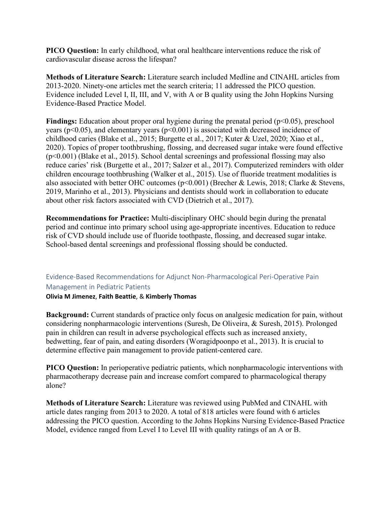**PICO Question:** In early childhood, what oral healthcare interventions reduce the risk of cardiovascular disease across the lifespan?

**Methods of Literature Search:** Literature search included Medline and CINAHL articles from 2013-2020. Ninety-one articles met the search criteria; 11 addressed the PICO question. Evidence included Level I, II, III, and V, with A or B quality using the John Hopkins Nursing Evidence-Based Practice Model.

**Findings:** Education about proper oral hygiene during the prenatal period ( $p<0.05$ ), preschool years ( $p<0.05$ ), and elementary years ( $p<0.001$ ) is associated with decreased incidence of childhood caries (Blake et al., 2015; Burgette et al., 2017; Kuter & Uzel, 2020; Xiao et al., 2020). Topics of proper toothbrushing, flossing, and decreased sugar intake were found effective (p<0.001) (Blake et al., 2015). School dental screenings and professional flossing may also reduce caries' risk (Burgette et al., 2017; Salzer et al., 2017). Computerized reminders with older children encourage toothbrushing (Walker et al., 2015). Use of fluoride treatment modalities is also associated with better OHC outcomes (p<0.001) (Brecher & Lewis, 2018; Clarke & Stevens, 2019, Marinho et al., 2013). Physicians and dentists should work in collaboration to educate about other risk factors associated with CVD (Dietrich et al., 2017).

**Recommendations for Practice:** Multi-disciplinary OHC should begin during the prenatal period and continue into primary school using age-appropriate incentives. Education to reduce risk of CVD should include use of fluoride toothpaste, flossing, and decreased sugar intake. School-based dental screenings and professional flossing should be conducted.

# Evidence-Based Recommendations for Adjunct Non-Pharmacological Peri-Operative Pain Management in Pediatric Patients

# **Olivia M Jimenez**, **Faith Beattie**, & **Kimberly Thomas**

**Background:** Current standards of practice only focus on analgesic medication for pain, without considering nonpharmacologic interventions (Suresh, De Oliveira, & Suresh, 2015). Prolonged pain in children can result in adverse psychological effects such as increased anxiety, bedwetting, fear of pain, and eating disorders (Woragidpoonpo et al., 2013). It is crucial to determine effective pain management to provide patient-centered care.

**PICO Question:** In perioperative pediatric patients, which nonpharmacologic interventions with pharmacotherapy decrease pain and increase comfort compared to pharmacological therapy alone?

**Methods of Literature Search:** Literature was reviewed using PubMed and CINAHL with article dates ranging from 2013 to 2020. A total of 818 articles were found with 6 articles addressing the PICO question. According to the Johns Hopkins Nursing Evidence-Based Practice Model, evidence ranged from Level I to Level III with quality ratings of an A or B.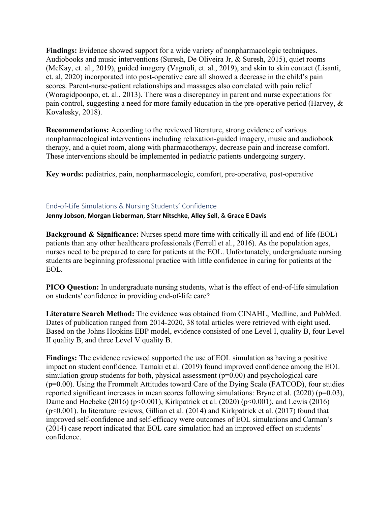**Findings:** Evidence showed support for a wide variety of nonpharmacologic techniques. Audiobooks and music interventions (Suresh, De Oliveira Jr, & Suresh, 2015), quiet rooms (McKay, et. al., 2019), guided imagery (Vagnoli, et. al., 2019), and skin to skin contact (Lisanti, et. al, 2020) incorporated into post-operative care all showed a decrease in the child's pain scores. Parent-nurse-patient relationships and massages also correlated with pain relief (Woragidpoonpo, et. al., 2013). There was a discrepancy in parent and nurse expectations for pain control, suggesting a need for more family education in the pre-operative period (Harvey, & Kovalesky, 2018).

**Recommendations:** According to the reviewed literature, strong evidence of various nonpharmacological interventions including relaxation-guided imagery, music and audiobook therapy, and a quiet room, along with pharmacotherapy, decrease pain and increase comfort. These interventions should be implemented in pediatric patients undergoing surgery.

**Key words:** pediatrics, pain, nonpharmacologic, comfort, pre-operative, post-operative

# End-of-Life Simulations & Nursing Students' Confidence

**Jenny Jobson**, **Morgan Lieberman**, **Starr Nitschke**, **Alley Sell**, & **Grace E Davis**

**Background & Significance:** Nurses spend more time with critically ill and end-of-life (EOL) patients than any other healthcare professionals (Ferrell et al., 2016). As the population ages, nurses need to be prepared to care for patients at the EOL. Unfortunately, undergraduate nursing students are beginning professional practice with little confidence in caring for patients at the EOL.

**PICO Question:** In undergraduate nursing students, what is the effect of end-of-life simulation on students' confidence in providing end-of-life care?

**Literature Search Method:** The evidence was obtained from CINAHL, Medline, and PubMed. Dates of publication ranged from 2014-2020, 38 total articles were retrieved with eight used. Based on the Johns Hopkins EBP model, evidence consisted of one Level I, quality B, four Level II quality B, and three Level V quality B.

**Findings:** The evidence reviewed supported the use of EOL simulation as having a positive impact on student confidence. Tamaki et al. (2019) found improved confidence among the EOL simulation group students for both, physical assessment  $(p=0.00)$  and psychological care (p=0.00). Using the Frommelt Attitudes toward Care of the Dying Scale (FATCOD), four studies reported significant increases in mean scores following simulations: Bryne et al. (2020) (p=0.03), Dame and Hoebeke (2016) ( $p<0.001$ ), Kirkpatrick et al. (2020) ( $p<0.001$ ), and Lewis (2016) (p<0.001). In literature reviews, Gillian et al. (2014) and Kirkpatrick et al. (2017) found that improved self-confidence and self-efficacy were outcomes of EOL simulations and Carman's (2014) case report indicated that EOL care simulation had an improved effect on students' confidence.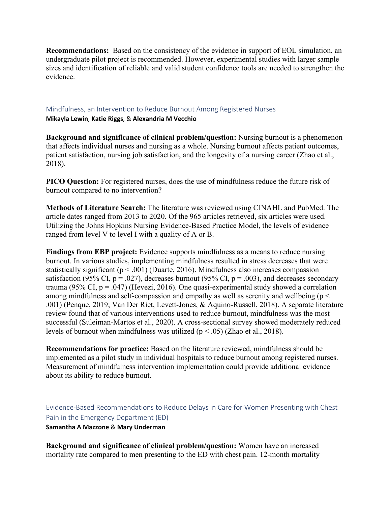**Recommendations:** Based on the consistency of the evidence in support of EOL simulation, an undergraduate pilot project is recommended. However, experimental studies with larger sample sizes and identification of reliable and valid student confidence tools are needed to strengthen the evidence.

#### Mindfulness, an Intervention to Reduce Burnout Among Registered Nurses

**Mikayla Lewin**, **Katie Riggs**, & **Alexandria M Vecchio**

**Background and significance of clinical problem/question:** Nursing burnout is a phenomenon that affects individual nurses and nursing as a whole. Nursing burnout affects patient outcomes, patient satisfaction, nursing job satisfaction, and the longevity of a nursing career (Zhao et al., 2018).

**PICO Question:** For registered nurses, does the use of mindfulness reduce the future risk of burnout compared to no intervention?

**Methods of Literature Search:** The literature was reviewed using CINAHL and PubMed. The article dates ranged from 2013 to 2020. Of the 965 articles retrieved, six articles were used. Utilizing the Johns Hopkins Nursing Evidence-Based Practice Model, the levels of evidence ranged from level V to level I with a quality of A or B.

**Findings from EBP project:** Evidence supports mindfulness as a means to reduce nursing burnout. In various studies, implementing mindfulness resulted in stress decreases that were statistically significant ( $p < .001$ ) (Duarte, 2016). Mindfulness also increases compassion satisfaction (95% CI,  $p = .027$ ), decreases burnout (95% CI,  $p = .003$ ), and decreases secondary trauma (95% CI,  $p = .047$ ) (Hevezi, 2016). One quasi-experimental study showed a correlation among mindfulness and self-compassion and empathy as well as serenity and wellbeing ( $p <$ .001) (Penque, 2019; Van Der Riet, Levett-Jones, & Aquino-Russell, 2018). A separate literature review found that of various interventions used to reduce burnout, mindfulness was the most successful (Suleiman-Martos et al., 2020). A cross-sectional survey showed moderately reduced levels of burnout when mindfulness was utilized ( $p < .05$ ) (Zhao et al., 2018).

**Recommendations for practice:** Based on the literature reviewed, mindfulness should be implemented as a pilot study in individual hospitals to reduce burnout among registered nurses. Measurement of mindfulness intervention implementation could provide additional evidence about its ability to reduce burnout.

Evidence-Based Recommendations to Reduce Delays in Care for Women Presenting with Chest Pain in the Emergency Department (ED) **Samantha A Mazzone** & **Mary Underman**

**Background and significance of clinical problem/question:** Women have an increased mortality rate compared to men presenting to the ED with chest pain. 12-month mortality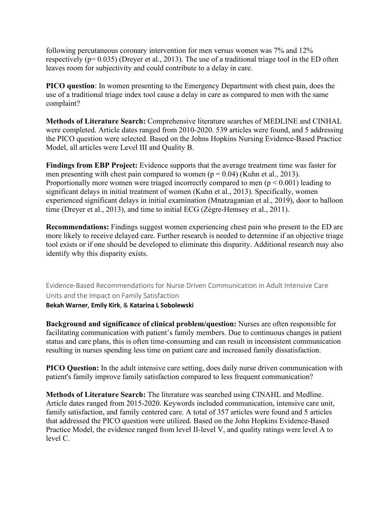following percutaneous coronary intervention for men versus women was 7% and 12% respectively ( $p= 0.035$ ) (Dreyer et al., 2013). The use of a traditional triage tool in the ED often leaves room for subjectivity and could contribute to a delay in care.

**PICO question**: In women presenting to the Emergency Department with chest pain, does the use of a traditional triage index tool cause a delay in care as compared to men with the same complaint?

**Methods of Literature Search:** Comprehensive literature searches of MEDLINE and CINHAL were completed. Article dates ranged from 2010-2020. 539 articles were found, and 5 addressing the PICO question were selected. Based on the Johns Hopkins Nursing Evidence-Based Practice Model, all articles were Level III and Quality B.

**Findings from EBP Project:** Evidence supports that the average treatment time was faster for men presenting with chest pain compared to women ( $p = 0.04$ ) (Kuhn et al., 2013). Proportionally more women were triaged incorrectly compared to men ( $p \le 0.001$ ) leading to significant delays in initial treatment of women (Kuhn et al., 2013). Specifically, women experienced significant delays in initial examination (Mnatzaganian et al., 2019), door to balloon time (Dreyer et al., 2013), and time to initial ECG (Zégre-Hemsey et al., 2011).

**Recommendations:** Findings suggest women experiencing chest pain who present to the ED are more likely to receive delayed care. Further research is needed to determine if an objective triage tool exists or if one should be developed to eliminate this disparity. Additional research may also identify why this disparity exists.

# Evidence-Based Recommendations for Nurse Driven Communication in Adult Intensive Care Units and the Impact on Family Satisfaction

**Bekah Warner**, **Emily Kirk**, & **Katarina L Sobolewski**

**Background and significance of clinical problem/question:** Nurses are often responsible for facilitating communication with patient's family members. Due to continuous changes in patient status and care plans, this is often time-consuming and can result in inconsistent communication resulting in nurses spending less time on patient care and increased family dissatisfaction.

**PICO Question:** In the adult intensive care setting, does daily nurse driven communication with patient's family improve family satisfaction compared to less frequent communication?

**Methods of Literature Search:** The literature was searched using CINAHL and Medline. Article dates ranged from 2015-2020. Keywords included communication, intensive care unit, family satisfaction, and family centered care. A total of 357 articles were found and 5 articles that addressed the PICO question were utilized. Based on the John Hopkins Evidence-Based Practice Model, the evidence ranged from level II-level V, and quality ratings were level A to level C.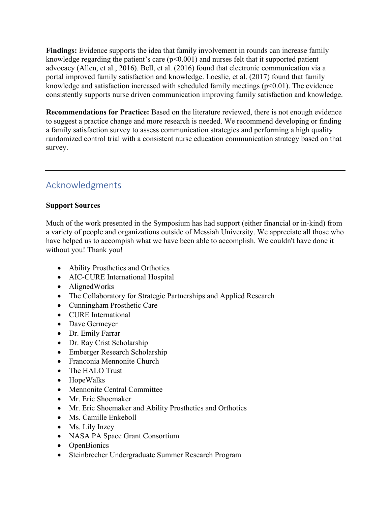**Findings:** Evidence supports the idea that family involvement in rounds can increase family knowledge regarding the patient's care  $(p<0.001)$  and nurses felt that it supported patient advocacy (Allen, et al., 2016). Bell, et al. (2016) found that electronic communication via a portal improved family satisfaction and knowledge. Loeslie, et al. (2017) found that family knowledge and satisfaction increased with scheduled family meetings  $(p<0.01)$ . The evidence consistently supports nurse driven communication improving family satisfaction and knowledge.

**Recommendations for Practice:** Based on the literature reviewed, there is not enough evidence to suggest a practice change and more research is needed. We recommend developing or finding a family satisfaction survey to assess communication strategies and performing a high quality randomized control trial with a consistent nurse education communication strategy based on that survey.

# Acknowledgments

# **Support Sources**

Much of the work presented in the Symposium has had support (either financial or in-kind) from a variety of people and organizations outside of Messiah University. We appreciate all those who have helped us to accompish what we have been able to accomplish. We couldn't have done it without you! Thank you!

- Ability Prosthetics and Orthotics
- AIC-CURE International Hospital
- AlignedWorks
- The Collaboratory for Strategic Partnerships and Applied Research
- Cunningham Prosthetic Care
- CURE International
- Dave Germeyer
- Dr. Emily Farrar
- Dr. Ray Crist Scholarship
- Emberger Research Scholarship
- Franconia Mennonite Church
- The HALO Trust
- HopeWalks
- Mennonite Central Committee
- Mr. Eric Shoemaker
- Mr. Eric Shoemaker and Ability Prosthetics and Orthotics
- Ms. Camille Enkeboll
- Ms. Lily Inzey
- NASA PA Space Grant Consortium
- OpenBionics
- Steinbrecher Undergraduate Summer Research Program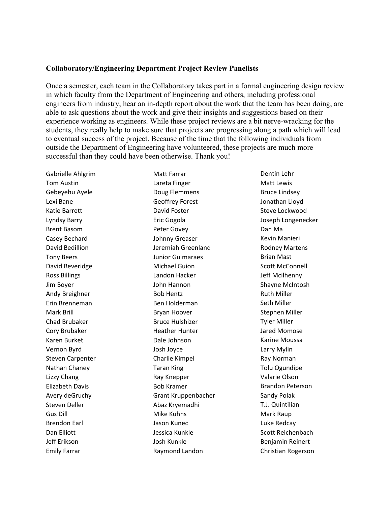# **Collaboratory/Engineering Department Project Review Panelists**

Once a semester, each team in the Collaboratory takes part in a formal engineering design review in which faculty from the Department of Engineering and others, including professional engineers from industry, hear an in-depth report about the work that the team has been doing, are able to ask questions about the work and give their insights and suggestions based on their experience working as engineers. While these project reviews are a bit nerve-wracking for the students, they really help to make sure that projects are progressing along a path which will lead to eventual success of the project. Because of the time that the following individuals from outside the Department of Engineering have volunteered, these projects are much more successful than they could have been otherwise. Thank you!

Gabrielle Ahlgrim Tom Austin Gebeyehu Ayele Lexi Bane Katie Barrett Lyndsy Barry Brent Basom Casey Bechard David Bedillion Tony Beers David Beveridge Ross Billings Jim Boyer Andy Breighner Erin Brenneman Mark Brill Chad Brubaker Cory Brubaker Karen Burket Vernon Byrd Steven Carpenter Nathan Chaney Lizzy Chang Elizabeth Davis Avery deGruchy Steven Deller Gus Dill Brendon Earl Dan Elliott Jeff Erikson Emily Farrar

Matt Farrar Lareta Finger Doug Flemmens Geoffrey Forest David Foster Eric Gogola Peter Govey Johnny Greaser Jeremiah Greenland Junior Guimaraes Michael Guion Landon Hacker John Hannon Bob Hentz Ben Holderman Bryan Hoover Bruce Hulshizer Heather Hunter Dale Johnson Josh Joyce Charlie Kimpel Taran King Ray Knepper Bob Kramer Grant Kruppenbacher Abaz Kryemadhi Mike Kuhns Jason Kunec Jessica Kunkle Josh Kunkle Raymond Landon

Dentin Lehr Matt Lewis Bruce Lindsey Jonathan Lloyd Steve Lockwood Joseph Longenecker Dan Ma Kevin Manieri Rodney Martens Brian Mast Scott McConnell Jeff Mcilhenny Shayne McIntosh Ruth Miller Seth Miller Stephen Miller Tyler Miller Jared Momose Karine Moussa Larry Mylin Ray Norman Tolu Ogundipe Valarie Olson Brandon Peterson Sandy Polak T.J. Quintilian Mark Raup Luke Redcay Scott Reichenbach Benjamin Reinert Christian Rogerson